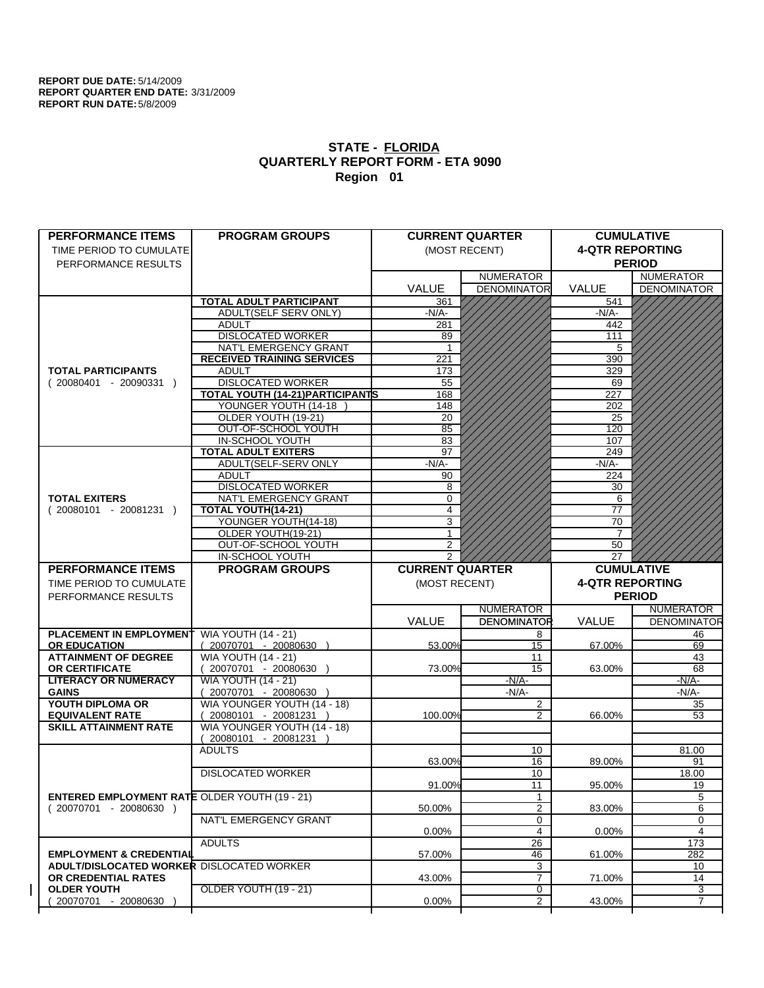| <b>PERFORMANCE ITEMS</b>                             | <b>PROGRAM GROUPS</b>                       |                        | <b>CURRENT QUARTER</b> |                        | <b>CUMULATIVE</b>  |
|------------------------------------------------------|---------------------------------------------|------------------------|------------------------|------------------------|--------------------|
| TIME PERIOD TO CUMULATE                              |                                             |                        | (MOST RECENT)          | <b>4-QTR REPORTING</b> |                    |
|                                                      |                                             |                        |                        |                        | <b>PERIOD</b>      |
| PERFORMANCE RESULTS                                  |                                             |                        | <b>NUMERATOR</b>       |                        | <b>NUMERATOR</b>   |
|                                                      |                                             | <b>VALUE</b>           | <b>DENOMINATOR</b>     | <b>VALUE</b>           | <b>DENOMINATOR</b> |
|                                                      | <b>TOTAL ADULT PARTICIPANT</b>              |                        |                        |                        |                    |
|                                                      | ADULT(SELF SERV ONLY)                       | 361<br>$-N/A$ -        |                        | 541<br>-N/A-           |                    |
|                                                      | <b>ADULT</b>                                |                        |                        | 442                    |                    |
|                                                      | <b>DISLOCATED WORKER</b>                    | 281<br>89              |                        | 111                    |                    |
|                                                      | NAT'L EMERGENCY GRANT                       | $\overline{1}$         |                        | 5                      |                    |
|                                                      |                                             | 221                    |                        | 390                    |                    |
|                                                      | <b>RECEIVED TRAINING SERVICES</b>           |                        |                        |                        |                    |
| <b>TOTAL PARTICIPANTS</b>                            | <b>ADULT</b><br><b>DISLOCATED WORKER</b>    | 173                    |                        | 329                    |                    |
| $(20080401 - 20090331)$                              | <b>TOTAL YOUTH (14-21) PARTICIPANTS</b>     | 55<br>168              |                        | 69<br>227              |                    |
|                                                      |                                             |                        |                        |                        |                    |
|                                                      | YOUNGER YOUTH (14-18<br>OLDER YOUTH (19-21) | 148                    |                        | 202<br>25              |                    |
|                                                      |                                             | 20                     |                        |                        |                    |
|                                                      | OUT-OF-SCHOOL YOUTH                         | 85                     |                        | 120                    |                    |
|                                                      | IN-SCHOOL YOUTH                             | 83                     |                        | 107                    |                    |
|                                                      | <b>TOTAL ADULT EXITERS</b>                  | 97                     |                        | 249                    |                    |
|                                                      | ADULT(SELF-SERV ONLY                        | $-N/A$ -               |                        | -N/A-                  |                    |
|                                                      | <b>ADULT</b>                                | 90                     |                        | 224                    |                    |
|                                                      | <b>DISLOCATED WORKER</b>                    | 8                      |                        | 30                     |                    |
| <b>TOTAL EXITERS</b>                                 | NAT'L EMERGENCY GRANT                       | 0                      |                        | 6                      |                    |
| $(20080101 - 20081231)$                              | TOTAL YOUTH(14-21)                          | 4                      |                        | 77                     |                    |
|                                                      | YOUNGER YOUTH(14-18)                        | 3                      |                        | 70                     |                    |
|                                                      | OLDER YOUTH(19-21)                          | 1                      |                        | 7                      |                    |
|                                                      | OUT-OF-SCHOOL YOUTH                         | 2                      |                        | 50                     |                    |
|                                                      | IN-SCHOOL YOUTH                             | 2                      |                        | 27                     |                    |
| <b>PERFORMANCE ITEMS</b>                             | <b>PROGRAM GROUPS</b>                       | <b>CURRENT QUARTER</b> |                        | <b>CUMULATIVE</b>      |                    |
|                                                      |                                             |                        |                        |                        |                    |
| TIME PERIOD TO CUMULATE                              |                                             | (MOST RECENT)          |                        | <b>4-QTR REPORTING</b> |                    |
|                                                      |                                             |                        |                        |                        |                    |
| PERFORMANCE RESULTS                                  |                                             |                        |                        |                        | <b>PERIOD</b>      |
|                                                      |                                             |                        | <b>NUMERATOR</b>       |                        | <b>NUMERATOR</b>   |
|                                                      |                                             | <b>VALUE</b>           | <b>DENOMINATOR</b>     | VALUE                  |                    |
| <b>PLACEMENT IN EMPLOYMENT</b>                       | <b>WIA YOUTH (14 - 21)</b>                  |                        | 8                      |                        | 46                 |
| <b>OR EDUCATION</b>                                  | (20070701 - 20080630 )                      | 53.00%                 | 15                     | 67.00%                 | 69                 |
| <b>ATTAINMENT OF DEGREE</b>                          | <b>WIA YOUTH (14 - 21)</b>                  |                        | 11                     |                        | 43                 |
| OR CERTIFICATE                                       | (20070701 - 20080630 )                      | 73.00%                 | 15                     | 63.00%                 | 68                 |
| <b>LITERACY OR NUMERACY</b>                          | <b>WIA YOUTH (14 - 21)</b>                  |                        | $-N/A$ -               |                        | <u>-N/A-</u>       |
| <b>GAINS</b>                                         | (20070701 - 20080630 )                      |                        | $-N/A$ -               |                        | -N/A-              |
| YOUTH DIPLOMA OR                                     | WIA YOUNGER YOUTH (14 - 18)                 |                        | $\overline{c}$         |                        | 35                 |
| <b>EQUIVALENT RATE</b>                               | 20080101 - 20081231 )                       | 100.00%                | $\overline{2}$         | 66.00%                 | 53                 |
| <b>SKILL ATTAINMENT RATE</b>                         | WIA YOUNGER YOUTH (14 - 18)                 |                        |                        |                        |                    |
|                                                      | $(20080101 - 20081231)$                     |                        |                        |                        | <b>DENOMINATOR</b> |
|                                                      | <b>ADULTS</b>                               |                        | 10                     |                        | 81.00              |
|                                                      |                                             | 63.00%                 | 16                     | 89.00%                 | 91                 |
|                                                      | <b>DISLOCATED WORKER</b>                    |                        | 10                     |                        | 18.00              |
|                                                      |                                             | 91.00%                 | $\overline{11}$        | 95.00%                 | 19                 |
| <b>ENTERED EMPLOYMENT RATE OLDER YOUTH (19 - 21)</b> |                                             |                        | $\mathbf{1}$           |                        | 5                  |
| $(20070701 - 20080630)$                              |                                             | 50.00%                 | $\overline{2}$         | 83.00%                 | 6                  |
|                                                      | NAT'L EMERGENCY GRANT                       |                        | 0                      |                        | 0                  |
|                                                      |                                             | $0.00\%$               | $\overline{4}$         | $0.00\%$               | 4                  |
|                                                      | <b>ADULTS</b>                               |                        | 26                     |                        | 173                |
| <b>EMPLOYMENT &amp; CREDENTIAL</b>                   |                                             | 57.00%                 | 46                     | 61.00%                 | 282                |
| <b>ADULT/DISLOCATED WORKER DISLOCATED WORKER</b>     |                                             |                        | 3                      |                        | 10                 |
| OR CREDENTIAL RATES                                  |                                             | 43.00%                 | 7                      | 71.00%                 | 14                 |
| <b>OLDER YOUTH</b><br>20070701 - 20080630            | OLDER YOUTH (19 - 21)                       | 0.00%                  | 0<br>$\overline{2}$    | 43.00%                 | 3<br>7             |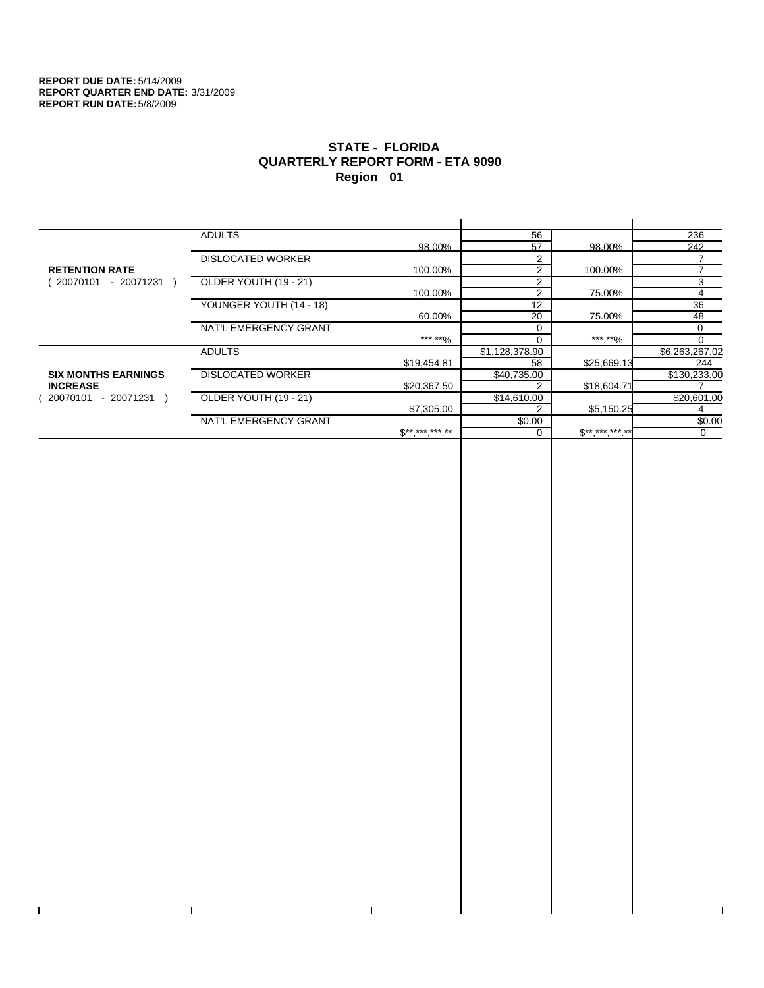$\mathbf I$ 

 $\bar{\Gamma}$ 

# **STATE - FLORIDA QUARTERLY REPORT FORM - ETA 9090 Region 01**

|                            | <b>ADULTS</b>            |                     | 56             |             | 236            |
|----------------------------|--------------------------|---------------------|----------------|-------------|----------------|
|                            |                          | 98.00%              | 57             | 98.00%      | 242            |
|                            | <b>DISLOCATED WORKER</b> |                     | $\mathfrak{p}$ |             |                |
| <b>RETENTION RATE</b>      |                          | 100.00%             | $\overline{2}$ | 100.00%     |                |
| 20070101<br>- 20071231     | OLDER YOUTH (19 - 21)    |                     | 2              |             | 3              |
|                            |                          | 100.00%             | 2              | 75.00%      | 4              |
|                            | YOUNGER YOUTH (14 - 18)  |                     | 12             |             | 36             |
|                            |                          | 60.00%              | 20             | 75.00%      | 48             |
|                            | NAT'L EMERGENCY GRANT    |                     |                |             | 0              |
|                            |                          | ***.**%             | 0              | *** **%     | 0              |
|                            | <b>ADULTS</b>            |                     | \$1,128,378.90 |             | \$6,263,267.02 |
|                            |                          | \$19,454.81         | 58             | \$25,669.13 | 244            |
| <b>SIX MONTHS EARNINGS</b> | <b>DISLOCATED WORKER</b> |                     | \$40,735.00    |             | \$130,233.00   |
| <b>INCREASE</b>            |                          | \$20,367.50         | 2              | \$18,604.71 |                |
| - 20071231 )<br>20070101   | OLDER YOUTH (19 - 21)    |                     | \$14,610.00    |             | \$20,601.00    |
|                            |                          | \$7,305.00          | 2              | \$5,150.25  |                |
|                            | NAT'L EMERGENCY GRANT    |                     | \$0.00         |             | \$0.00         |
|                            |                          | $S^{**}$ *** *** ** |                | $S********$ | 0              |
|                            |                          |                     |                |             |                |

 $\bar{\Gamma}$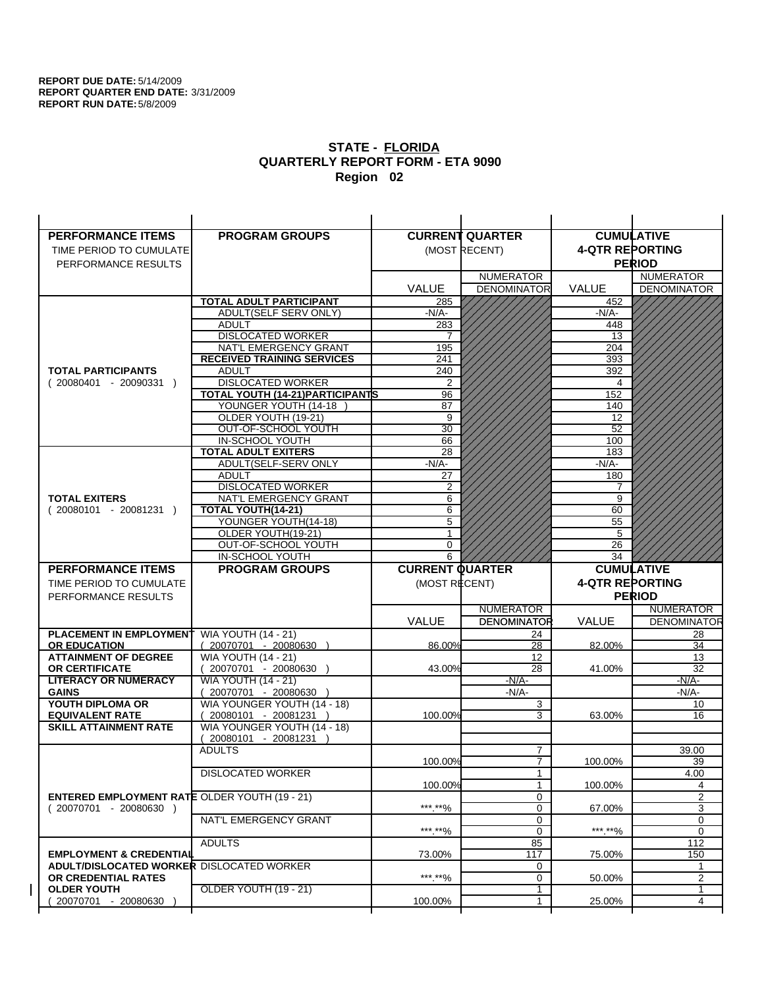| <b>PERFORMANCE ITEMS</b>                                                | <b>PROGRAM GROUPS</b>                                |                        | <b>CURRENT QUARTER</b> |                        | <b>CUMULATIVE</b>       |
|-------------------------------------------------------------------------|------------------------------------------------------|------------------------|------------------------|------------------------|-------------------------|
| TIME PERIOD TO CUMULATE                                                 |                                                      |                        | (MOST RECENT)          | <b>4-QTR REPORTING</b> |                         |
| PERFORMANCE RESULTS                                                     |                                                      |                        |                        |                        | <b>PERIOD</b>           |
|                                                                         |                                                      |                        | <b>NUMERATOR</b>       |                        | <b>NUMERATOR</b>        |
|                                                                         |                                                      | <b>VALUE</b>           | <b>DENOMINATOR</b>     | <b>VALUE</b>           | <b>DENOMINATOR</b>      |
|                                                                         | <b>TOTAL ADULT PARTICIPANT</b>                       | 285                    |                        | 452                    |                         |
|                                                                         | ADULT(SELF SERV ONLY)                                | -N/A-                  |                        | -N/A-                  |                         |
|                                                                         | <b>ADULT</b>                                         | 283                    |                        | 448                    |                         |
|                                                                         | <b>DISLOCATED WORKER</b>                             | 7                      |                        | 13                     |                         |
|                                                                         | NAT'L EMERGENCY GRANT                                | 195                    |                        | 204                    |                         |
|                                                                         | <b>RECEIVED TRAINING SERVICES</b>                    | 241                    |                        | 393                    |                         |
| <b>TOTAL PARTICIPANTS</b>                                               | <b>ADULT</b>                                         | 240                    |                        | 392                    |                         |
| $(20080401 - 20090331)$                                                 | <b>DISLOCATED WORKER</b>                             | $\overline{2}$         |                        | 4                      |                         |
|                                                                         | <b>TOTAL YOUTH (14-21) PARTICIPANTS</b>              | 96                     |                        | 152                    |                         |
|                                                                         | YOUNGER YOUTH (14-18                                 | 87                     |                        | 140                    |                         |
|                                                                         | OLDER YOUTH (19-21)                                  | 9                      |                        | 12<br>$\overline{52}$  |                         |
|                                                                         | OUT-OF-SCHOOL YOUTH<br>IN-SCHOOL YOUTH               | $\overline{30}$<br>66  |                        | 100                    |                         |
|                                                                         | <b>TOTAL ADULT EXITERS</b>                           | 28                     |                        | 183                    |                         |
|                                                                         | ADULT(SELF-SERV ONLY                                 | $-N/A$ -               |                        | $-N/A-$                |                         |
|                                                                         | <b>ADULT</b>                                         | 27                     |                        | 180                    |                         |
|                                                                         | <b>DISLOCATED WORKER</b>                             | 2                      |                        | 7                      |                         |
| <b>TOTAL EXITERS</b>                                                    | NAT'L EMERGENCY GRANT                                | 6                      |                        | 9                      |                         |
| $(20080101 - 20081231)$                                                 | TOTAL YOUTH(14-21)                                   | 6                      |                        | 60                     |                         |
|                                                                         | YOUNGER YOUTH(14-18)                                 | 5                      |                        | 55                     |                         |
|                                                                         | OLDER YOUTH(19-21)                                   | 1                      |                        | 5                      |                         |
|                                                                         | OUT-OF-SCHOOL YOUTH                                  | $\Omega$               |                        | 26                     |                         |
|                                                                         | IN-SCHOOL YOUTH                                      | 6                      |                        | 34                     |                         |
|                                                                         |                                                      |                        |                        |                        |                         |
| <b>PERFORMANCE ITEMS</b>                                                | <b>PROGRAM GROUPS</b>                                | <b>CURRENT QUARTER</b> |                        |                        | <b>CUMULATIVE</b>       |
| TIME PERIOD TO CUMULATE                                                 |                                                      | (MOST RECENT)          |                        | <b>4-QTR REPORTING</b> |                         |
| PERFORMANCE RESULTS                                                     |                                                      |                        |                        |                        | <b>PERIOD</b>           |
|                                                                         |                                                      |                        | <b>NUMERATOR</b>       |                        | <b>NUMERATOR</b>        |
|                                                                         |                                                      | <b>VALUE</b>           | <b>DENOMINATOR</b>     | VALUE                  |                         |
| <b>PLACEMENT IN EMPLOYMENT</b>                                          | <b>WIA YOUTH (14 - 21)</b>                           |                        | 24                     |                        | 28                      |
| <b>OR EDUCATION</b>                                                     | $(20070701 - 20080630)$                              | 86.00%                 | 28                     | 82.00%                 | 34                      |
| <b>ATTAINMENT OF DEGREE</b>                                             | <b>WIA YOUTH (14 - 21)</b>                           |                        | 12                     |                        | 13                      |
| <b>OR CERTIFICATE</b>                                                   | 20070701 - 20080630 )                                | 43.00%                 | 28                     | 41.00%                 | 32                      |
| <b>LITERACY OR NUMERACY</b>                                             | <b>WIA YOUTH (14 - 21)</b>                           |                        | $-N/A-$                |                        | $-N/A$ -                |
| <b>GAINS</b>                                                            | 20070701 - 20080630                                  |                        | -N/A-                  |                        | -N/A-                   |
| YOUTH DIPLOMA OR                                                        | WIA YOUNGER YOUTH (14 - 18)                          |                        | 3                      |                        | 10                      |
| <b>EQUIVALENT RATE</b><br><b>SKILL ATTAINMENT RATE</b>                  | 20080101 - 20081231 )<br>WIA YOUNGER YOUTH (14 - 18) | 100.00%                | 3                      | 63.00%                 | 16                      |
|                                                                         | (20080101 - 20081231                                 |                        |                        |                        |                         |
|                                                                         | <b>ADULTS</b>                                        |                        | $\overline{7}$         |                        | 39.00                   |
|                                                                         |                                                      | 100.00%                | $\overline{7}$         | 100.00%                | 39                      |
|                                                                         | <b>DISLOCATED WORKER</b>                             |                        | $\mathbf{1}$           |                        | 4.00                    |
|                                                                         |                                                      | 100.00%                | $\mathbf{1}$           | 100.00%                | 4                       |
| <b>ENTERED EMPLOYMENT RATE OLDER YOUTH (19 - 21)</b>                    |                                                      |                        | 0                      |                        | 2                       |
| $(20070701 - 20080630)$                                                 |                                                      | ***.**%                | 0                      | 67.00%                 | <b>DENOMINATOR</b><br>3 |
|                                                                         | NAT'L EMERGENCY GRANT                                |                        | 0                      |                        | 0                       |
|                                                                         |                                                      | ***.**%                | 0                      | ***.**%                | $\mathbf 0$             |
|                                                                         | <b>ADULTS</b>                                        |                        | 85                     |                        | 112                     |
| <b>EMPLOYMENT &amp; CREDENTIAL</b>                                      |                                                      | 73.00%                 | 117                    | 75.00%                 | 150<br>1                |
| <b>ADULT/DISLOCATED WORKER DISLOCATED WORKER</b><br>OR CREDENTIAL RATES |                                                      | ***.**%                | 0<br>$\mathbf 0$       | 50.00%                 | 2                       |
| <b>OLDER YOUTH</b>                                                      | <b>OLDER YOUTH (19 - 21)</b>                         |                        | 1                      |                        | 1                       |
| 20070701 - 20080630                                                     |                                                      | 100.00%                | 1                      | 25.00%                 | 4                       |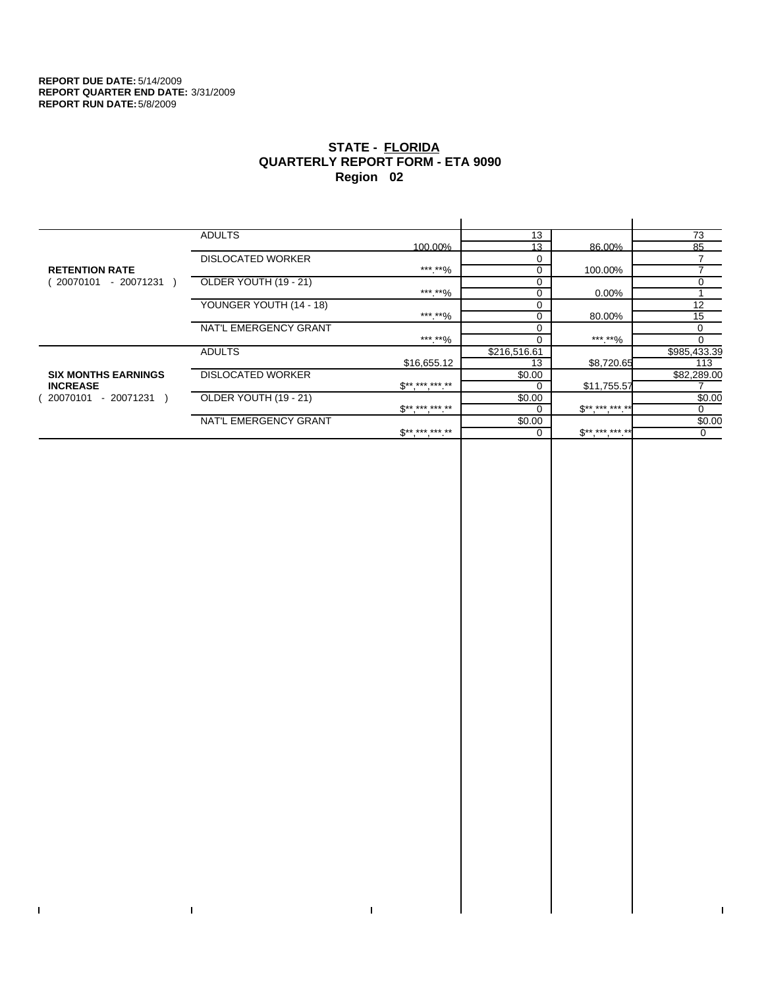$\bar{\mathbf{I}}$ 

 $\Gamma$ 

# **STATE - FLORIDA QUARTERLY REPORT FORM - ETA 9090 Region 02**

|                            | <b>ADULTS</b>            |                               | 13           |                   | 73           |
|----------------------------|--------------------------|-------------------------------|--------------|-------------------|--------------|
|                            |                          | 100.00%                       | 13           | 86.00%            | 85           |
|                            | <b>DISLOCATED WORKER</b> |                               |              |                   |              |
| <b>RETENTION RATE</b>      |                          | ***.**%                       | $\Omega$     | 100.00%           | ⇁            |
| 20070101 /<br>- 20071231   | OLDER YOUTH (19 - 21)    |                               |              |                   | 0            |
|                            |                          | ***.**%                       |              | 0.00%             |              |
|                            | YOUNGER YOUTH (14 - 18)  |                               |              |                   | 12           |
|                            |                          | ***.**%                       |              | 80.00%            | 15           |
|                            | NAT'L EMERGENCY GRANT    |                               |              |                   | 0            |
|                            |                          | ***.**%                       |              | *** **%           | $\Omega$     |
|                            | <b>ADULTS</b>            |                               | \$216,516.61 |                   | \$985,433.39 |
|                            |                          | \$16,655.12                   | 13           | \$8,720.65        | 113          |
| <b>SIX MONTHS EARNINGS</b> | <b>DISLOCATED WORKER</b> |                               | \$0.00       |                   | \$82,289.00  |
| <b>INCREASE</b>            |                          | $\mathbb{S}^{***}$ *** *** ** |              | \$11,755.57       |              |
| 20070101<br>- 20071231     | OLDER YOUTH (19 - 21)    |                               | \$0.00       |                   | \$0.00       |
|                            |                          | $\mathbb{S}^{***}$ *** *** ** |              | $S*********$      | 0            |
|                            | NAT'L EMERGENCY GRANT    |                               | \$0.00       |                   | \$0.00       |
|                            |                          | $S^{*********}$               |              | $$***$ ***.***.** | 0            |
|                            |                          |                               |              |                   |              |

 $\bar{\Gamma}$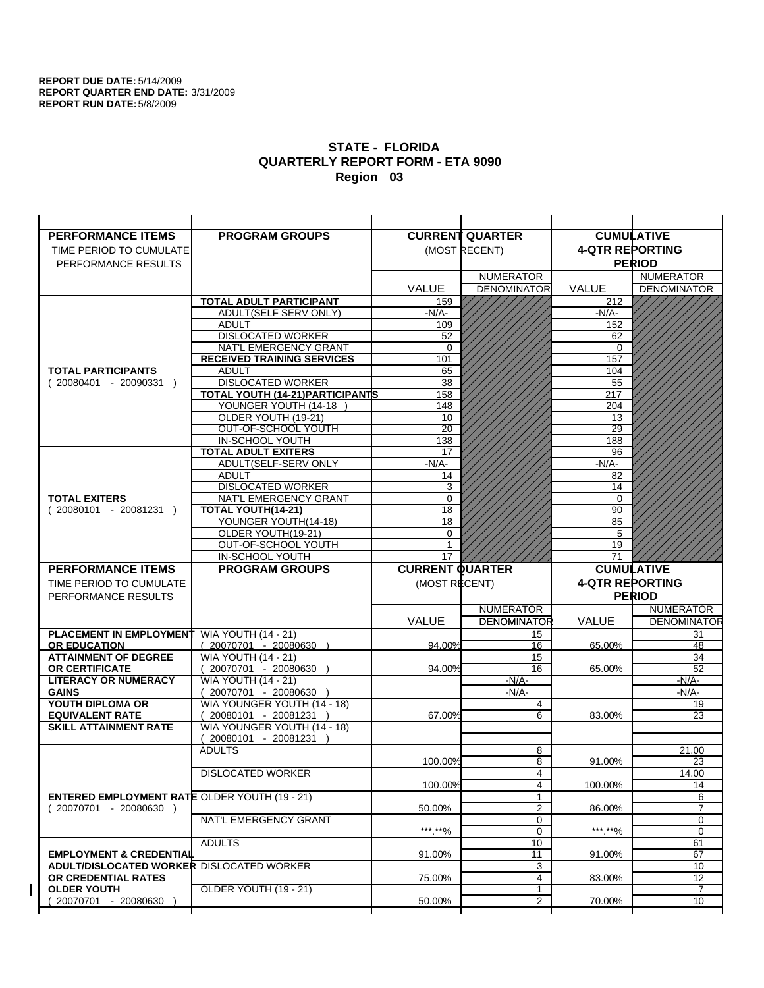| <b>PERFORMANCE ITEMS</b>                                                | <b>PROGRAM GROUPS</b>                                |                        | <b>CURRENT QUARTER</b> |                        | <b>CUMULATIVE</b>       |
|-------------------------------------------------------------------------|------------------------------------------------------|------------------------|------------------------|------------------------|-------------------------|
| TIME PERIOD TO CUMULATE                                                 |                                                      |                        | (MOST RECENT)          | <b>4-QTR REPORTING</b> |                         |
| PERFORMANCE RESULTS                                                     |                                                      |                        |                        |                        | <b>PERIOD</b>           |
|                                                                         |                                                      |                        | <b>NUMERATOR</b>       |                        | <b>NUMERATOR</b>        |
|                                                                         |                                                      | <b>VALUE</b>           | <b>DENOMINATOR</b>     | <b>VALUE</b>           | <b>DENOMINATOR</b>      |
|                                                                         | <b>TOTAL ADULT PARTICIPANT</b>                       | 159                    |                        | 212                    |                         |
|                                                                         | ADULT(SELF SERV ONLY)                                | $-N/A-$                |                        | -N/A-                  |                         |
|                                                                         | <b>ADULT</b>                                         | 109                    |                        | 152                    |                         |
|                                                                         | <b>DISLOCATED WORKER</b>                             | 52                     |                        | 62                     |                         |
|                                                                         | NAT'L EMERGENCY GRANT                                | $\Omega$               |                        | $\Omega$               |                         |
|                                                                         | <b>RECEIVED TRAINING SERVICES</b>                    | 101                    |                        | 157                    |                         |
| <b>TOTAL PARTICIPANTS</b>                                               | <b>ADULT</b>                                         | 65                     |                        | 104                    |                         |
| $(20080401 - 20090331)$                                                 | <b>DISLOCATED WORKER</b>                             | 38                     |                        | 55                     |                         |
|                                                                         | <b>TOTAL YOUTH (14-21) PARTICIPANTS</b>              | 158                    |                        | 217                    |                         |
|                                                                         | YOUNGER YOUTH (14-18                                 | 148                    |                        | 204                    |                         |
|                                                                         | OLDER YOUTH (19-21)<br>OUT-OF-SCHOOL YOUTH           | 10<br>$\overline{20}$  |                        | 13<br>29               |                         |
|                                                                         | IN-SCHOOL YOUTH                                      | 138                    |                        | 188                    |                         |
|                                                                         | <b>TOTAL ADULT EXITERS</b>                           | 17                     |                        | 96                     |                         |
|                                                                         | ADULT(SELF-SERV ONLY                                 | $-N/A$ -               |                        | $-N/A$ -               |                         |
|                                                                         | <b>ADULT</b>                                         | 14                     |                        | 82                     |                         |
|                                                                         | <b>DISLOCATED WORKER</b>                             | 3                      |                        | 14                     |                         |
| <b>TOTAL EXITERS</b>                                                    | NAT'L EMERGENCY GRANT                                | 0                      |                        | $\mathbf 0$            |                         |
| $(20080101 - 20081231)$                                                 | TOTAL YOUTH(14-21)                                   | 18                     |                        | 90                     |                         |
|                                                                         | YOUNGER YOUTH(14-18)                                 | 18                     |                        | 85                     |                         |
|                                                                         | OLDER YOUTH(19-21)                                   | $\Omega$               |                        | 5                      |                         |
|                                                                         | OUT-OF-SCHOOL YOUTH                                  |                        |                        | 19                     |                         |
|                                                                         | <b>IN-SCHOOL YOUTH</b>                               | 17                     |                        | 71                     |                         |
|                                                                         |                                                      |                        |                        |                        |                         |
| <b>PERFORMANCE ITEMS</b>                                                | <b>PROGRAM GROUPS</b>                                | <b>CURRENT QUARTER</b> |                        |                        | <b>CUMULATIVE</b>       |
| TIME PERIOD TO CUMULATE                                                 |                                                      | (MOST RECENT)          |                        | <b>4-QTR REPORTING</b> |                         |
| PERFORMANCE RESULTS                                                     |                                                      |                        |                        |                        | <b>PERIOD</b>           |
|                                                                         |                                                      |                        | <b>NUMERATOR</b>       |                        | <b>NUMERATOR</b>        |
|                                                                         |                                                      | <b>VALUE</b>           | <b>DENOMINATOR</b>     | VALUE                  |                         |
| <b>PLACEMENT IN EMPLOYMENT</b>                                          | <b>WIA YOUTH (14 - 21)</b>                           |                        | 15                     |                        | 31                      |
| <b>OR EDUCATION</b>                                                     | $(20070701 - 20080630)$                              | 94.00%                 | 16                     | 65.00%                 | 48                      |
| <b>ATTAINMENT OF DEGREE</b>                                             | <b>WIA YOUTH (14 - 21)</b>                           |                        | 15                     |                        | 34                      |
| <b>OR CERTIFICATE</b>                                                   | 20070701 - 20080630 )                                | 94.00%                 | 16                     | 65.00%                 | 52                      |
| <b>LITERACY OR NUMERACY</b>                                             | <b>WIA YOUTH (14 - 21)</b>                           |                        | $-N/A-$                |                        | $-N/A$ -                |
| <b>GAINS</b>                                                            | 20070701 - 20080630                                  |                        | $-N/A$ -               |                        | -N/A-                   |
| YOUTH DIPLOMA OR                                                        | WIA YOUNGER YOUTH (14 - 18)                          |                        | 4                      |                        | 19                      |
| <b>EQUIVALENT RATE</b><br><b>SKILL ATTAINMENT RATE</b>                  | 20080101 - 20081231 )<br>WIA YOUNGER YOUTH (14 - 18) | 67.00%                 | 6                      | 83.00%                 | 23                      |
|                                                                         | (20080101 - 20081231                                 |                        |                        |                        |                         |
|                                                                         | <b>ADULTS</b>                                        |                        | 8                      |                        | 21.00                   |
|                                                                         |                                                      | 100.00%                | 8                      | 91.00%                 | 23                      |
|                                                                         | <b>DISLOCATED WORKER</b>                             |                        | 4                      |                        | 14.00                   |
|                                                                         |                                                      | 100.00%                | 4                      | 100.00%                | 14                      |
| <b>ENTERED EMPLOYMENT RATE OLDER YOUTH (19 - 21)</b>                    |                                                      |                        | 1                      |                        | <b>DENOMINATOR</b><br>6 |
| $(20070701 - 20080630)$                                                 |                                                      | 50.00%                 | $\overline{2}$         | 86.00%                 | 7                       |
|                                                                         | NAT'L EMERGENCY GRANT                                |                        | 0                      |                        | 0                       |
|                                                                         |                                                      | ***.**%                | 0                      | ***.**%                | $\mathbf 0$             |
|                                                                         | <b>ADULTS</b>                                        |                        | 10                     |                        | 61                      |
| <b>EMPLOYMENT &amp; CREDENTIAL</b>                                      |                                                      | 91.00%                 | 11                     | 91.00%                 | 67                      |
| <b>ADULT/DISLOCATED WORKER DISLOCATED WORKER</b><br>OR CREDENTIAL RATES |                                                      | 75.00%                 | 3<br>4                 | 83.00%                 | 10<br>12                |
| <b>OLDER YOUTH</b>                                                      | <b>OLDER YOUTH (19 - 21)</b>                         |                        | 1                      |                        | 7                       |
| 20070701 - 20080630                                                     |                                                      | 50.00%                 | 2                      | 70.00%                 | 10                      |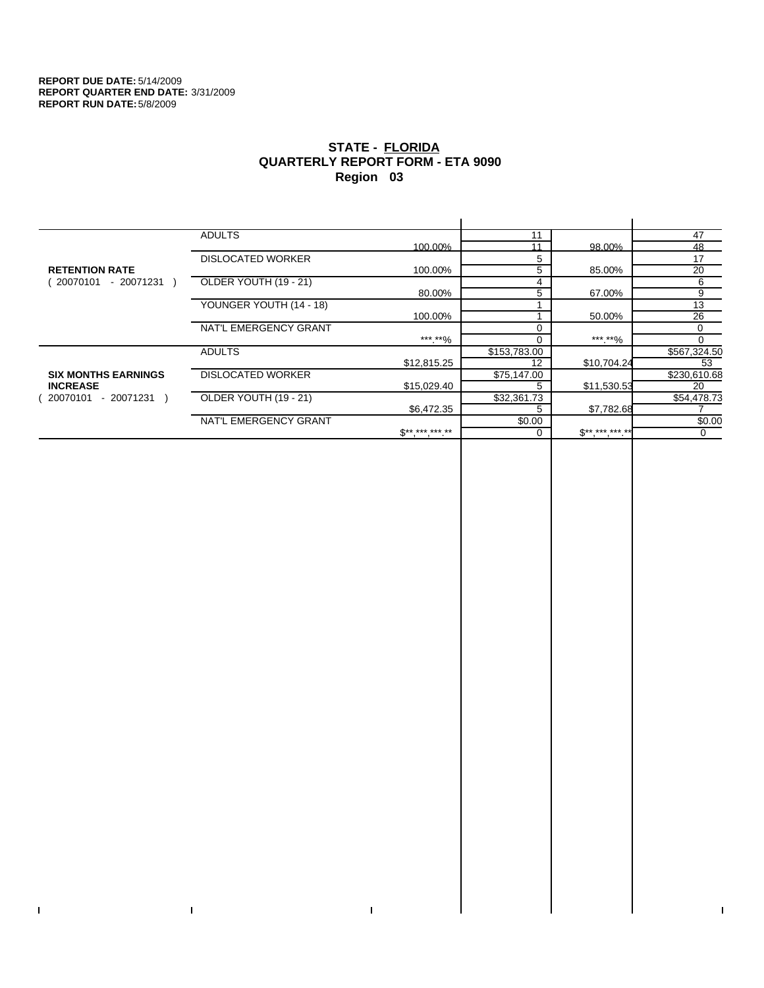$\bar{\mathbf{I}}$ 

 $\mathbf{I}$ 

# **STATE - FLORIDA QUARTERLY REPORT FORM - ETA 9090 Region 03**

|                            | <b>ADULTS</b>            |                | 11           |             | 47           |
|----------------------------|--------------------------|----------------|--------------|-------------|--------------|
|                            |                          | 100.00%        | 11           | 98.00%      | 48           |
|                            | <b>DISLOCATED WORKER</b> |                | 5            |             | 17           |
| <b>RETENTION RATE</b>      |                          | 100.00%        | 5            | 85.00%      | 20           |
| 20070101<br>- 20071231     | OLDER YOUTH (19 - 21)    |                | 4            |             | 6            |
|                            |                          | 80.00%         | 5            | 67.00%      | 9            |
|                            | YOUNGER YOUTH (14 - 18)  |                |              |             | 13           |
|                            |                          | 100.00%        |              | 50.00%      | 26           |
|                            | NAT'L EMERGENCY GRANT    |                |              |             | 0            |
|                            |                          | ***.**%        |              | *** **%     | 0            |
|                            | <b>ADULTS</b>            |                | \$153,783.00 |             | \$567,324.50 |
|                            |                          | \$12,815.25    | 12           | \$10,704.24 | 53           |
| <b>SIX MONTHS EARNINGS</b> | <b>DISLOCATED WORKER</b> |                | \$75,147.00  |             | \$230,610.68 |
| <b>INCREASE</b>            |                          | \$15,029.40    |              | \$11,530.53 | 20           |
| $-20071231$<br>20070101    | OLDER YOUTH (19 - 21)    |                | \$32,361.73  |             | \$54,478.73  |
|                            |                          | \$6.472.35     | 5            | \$7.782.68  |              |
|                            | NAT'L EMERGENCY GRANT    |                | \$0.00       |             | \$0.00       |
|                            |                          | $S^{********}$ |              | $$********$ | $\Omega$     |
|                            |                          |                |              |             |              |

 $\bar{\Gamma}$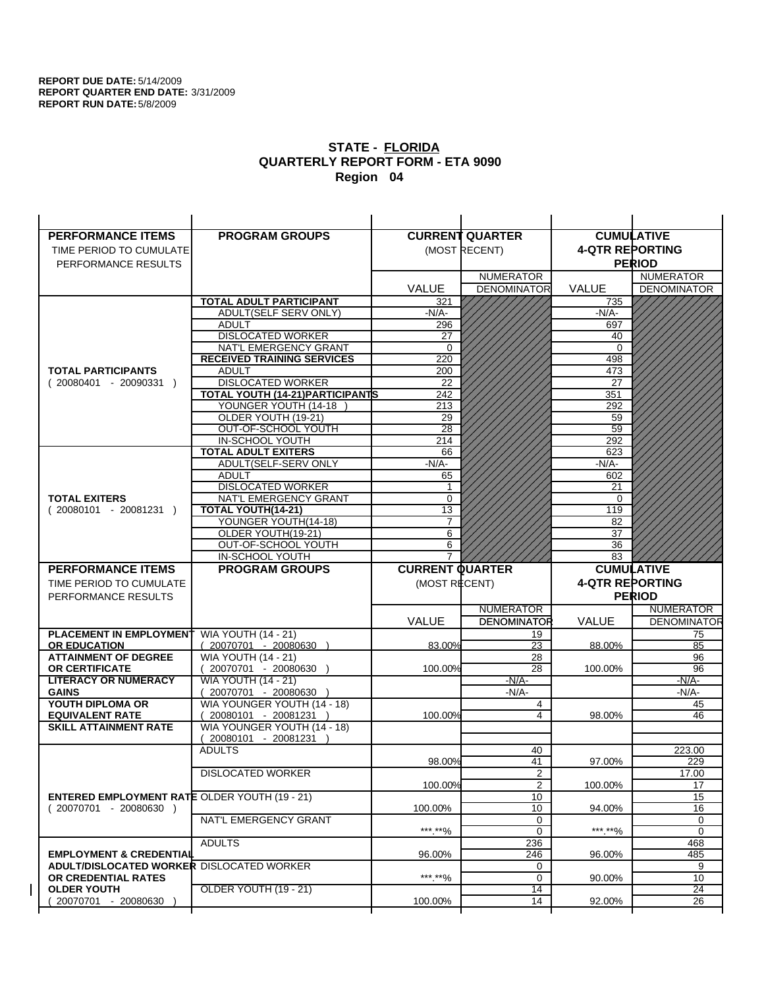| <b>PERFORMANCE ITEMS</b>                                                       | <b>PROGRAM GROUPS</b>                           |                        | <b>CURRENT QUARTER</b> |                        | <b>CUMULATIVE</b>        |
|--------------------------------------------------------------------------------|-------------------------------------------------|------------------------|------------------------|------------------------|--------------------------|
| TIME PERIOD TO CUMULATE                                                        |                                                 |                        | (MOST RECENT)          | <b>4-QTR REPORTING</b> |                          |
| PERFORMANCE RESULTS                                                            |                                                 |                        |                        |                        | <b>PERIOD</b>            |
|                                                                                |                                                 |                        | <b>NUMERATOR</b>       |                        | <b>NUMERATOR</b>         |
|                                                                                |                                                 | <b>VALUE</b>           | <b>DENOMINATOR</b>     | <b>VALUE</b>           | <b>DENOMINATOR</b>       |
|                                                                                | TOTAL ADULT PARTICIPANT                         | 321                    |                        | 735                    |                          |
|                                                                                | ADULT(SELF SERV ONLY)                           | -N/A-                  |                        | -N/A-                  |                          |
|                                                                                | <b>ADULT</b>                                    | 296                    |                        | 697                    |                          |
|                                                                                | <b>DISLOCATED WORKER</b>                        | 27                     |                        | 40                     |                          |
|                                                                                | NAT'L EMERGENCY GRANT                           | 0                      |                        | 0                      |                          |
|                                                                                | <b>RECEIVED TRAINING SERVICES</b>               | 220                    |                        | 498                    |                          |
| <b>TOTAL PARTICIPANTS</b>                                                      | <b>ADULT</b>                                    | 200                    |                        | 473                    |                          |
| $(20080401 - 20090331)$                                                        | <b>DISLOCATED WORKER</b>                        | 22                     |                        | 27                     |                          |
|                                                                                | TOTAL YOUTH (14-21) PARTICIPANTS                | 242                    |                        | 351                    |                          |
|                                                                                | YOUNGER YOUTH (14-18)                           | 213                    |                        | 292                    |                          |
|                                                                                | OLDER YOUTH (19-21)                             | 29                     |                        | 59                     |                          |
|                                                                                | OUT-OF-SCHOOL YOUTH                             | $\overline{28}$        |                        | 59                     |                          |
|                                                                                | IN-SCHOOL YOUTH                                 | 214                    |                        | 292                    |                          |
|                                                                                | <b>TOTAL ADULT EXITERS</b>                      | 66                     |                        | 623                    |                          |
|                                                                                | ADULT(SELF-SERV ONLY                            | $-N/A$ -               |                        | $-N/A-$                |                          |
|                                                                                | <b>ADULT</b>                                    | 65                     |                        | 602                    |                          |
|                                                                                | <b>DISLOCATED WORKER</b>                        | 1                      |                        | 21                     |                          |
| <b>TOTAL EXITERS</b>                                                           | NAT'L EMERGENCY GRANT                           | 0                      |                        | 0                      |                          |
| $(20080101 - 20081231)$                                                        | TOTAL YOUTH(14-21)                              | 13                     |                        | 119                    |                          |
|                                                                                | YOUNGER YOUTH(14-18)                            | $\overline{7}$         |                        | 82                     |                          |
|                                                                                | OLDER YOUTH(19-21)                              | 6                      |                        | 37                     |                          |
|                                                                                | OUT-OF-SCHOOL YOUTH                             | 6<br>$\overline{7}$    |                        | 36                     |                          |
| <b>PERFORMANCE ITEMS</b>                                                       | <b>IN-SCHOOL YOUTH</b><br><b>PROGRAM GROUPS</b> | <b>CURRENT QUARTER</b> |                        | 83                     | <b>CUMULATIVE</b>        |
|                                                                                |                                                 |                        |                        |                        |                          |
|                                                                                |                                                 |                        |                        |                        |                          |
| TIME PERIOD TO CUMULATE                                                        |                                                 | (MOST RECENT)          |                        | <b>4-QTR REPORTING</b> |                          |
| PERFORMANCE RESULTS                                                            |                                                 |                        |                        |                        | <b>PERIOD</b>            |
|                                                                                |                                                 |                        | <b>NUMERATOR</b>       |                        | <b>NUMERATOR</b>         |
|                                                                                |                                                 | <b>VALUE</b>           | <b>DENOMINATOR</b>     | <b>VALUE</b>           |                          |
| <b>PLACEMENT IN EMPLOYMENT</b>                                                 | <b>WIA YOUTH (14 - 21)</b>                      |                        | 19                     |                        | <b>DENOMINATOR</b><br>75 |
| <b>OR EDUCATION</b>                                                            | $(20070701 - 20080630)$                         | 83.00%                 | 23                     | 88.00%                 | 85                       |
| <b>ATTAINMENT OF DEGREE</b>                                                    | <b>WIA YOUTH (14 - 21)</b>                      |                        | 28                     |                        | 96                       |
| <b>OR CERTIFICATE</b>                                                          | (20070701 - 20080630                            | 100.00%                | 28                     | 100.00%                | 96                       |
| <b>LITERACY OR NUMERACY</b>                                                    | <b>WIA YOUTH (14 - 21)</b>                      |                        | $-N/A-$                |                        | -N/A-                    |
| <b>GAINS</b>                                                                   | 20070701 - 20080630                             |                        | $-N/A-$                |                        | -N/A-                    |
| YOUTH DIPLOMA OR                                                               | WIA YOUNGER YOUTH (14 - 18)                     |                        | 4                      |                        | 45                       |
| <b>EQUIVALENT RATE</b>                                                         | 20080101 - 20081231 )                           | 100.00%                | 4                      | 98.00%                 | 46                       |
| <b>SKILL ATTAINMENT RATE</b>                                                   | WIA YOUNGER YOUTH (14 - 18)                     |                        |                        |                        |                          |
|                                                                                | (20080101 - 20081231                            |                        |                        |                        |                          |
|                                                                                | <b>ADULTS</b>                                   | 98.00%                 | 40                     |                        | 223.00                   |
|                                                                                |                                                 |                        | 41                     | 97.00%                 | 229                      |
|                                                                                | <b>DISLOCATED WORKER</b>                        | 100.00%                | $\overline{2}$<br>2    | 100.00%                | 17.00<br>17              |
|                                                                                |                                                 |                        | 10                     |                        | 15                       |
| <b>ENTERED EMPLOYMENT RATE OLDER YOUTH (19 - 21)</b><br>(20070701 - 20080630 ) |                                                 | 100.00%                | 10                     | 94.00%                 | 16                       |
|                                                                                | NAT'L EMERGENCY GRANT                           |                        | 0                      |                        | 0                        |
|                                                                                |                                                 | ***.**%                | $\mathbf 0$            | ***.**%                | 0                        |
|                                                                                | <b>ADULTS</b>                                   |                        | 236                    |                        | 468                      |
| <b>EMPLOYMENT &amp; CREDENTIAL</b>                                             |                                                 | 96.00%                 | 246                    | 96.00%                 | 485                      |
| ADULT/DISLOCATED WORKER DISLOCATED WORKER                                      |                                                 |                        | 0                      |                        | 9                        |
| OR CREDENTIAL RATES                                                            |                                                 | ***.**%                | $\mathbf 0$            | 90.00%                 | 10                       |
| <b>OLDER YOUTH</b>                                                             | OLDER YOUTH (19 - 21)                           |                        | 14                     |                        | $\overline{24}$          |
| 20070701 - 20080630                                                            |                                                 | 100.00%                | 14                     | 92.00%                 | 26                       |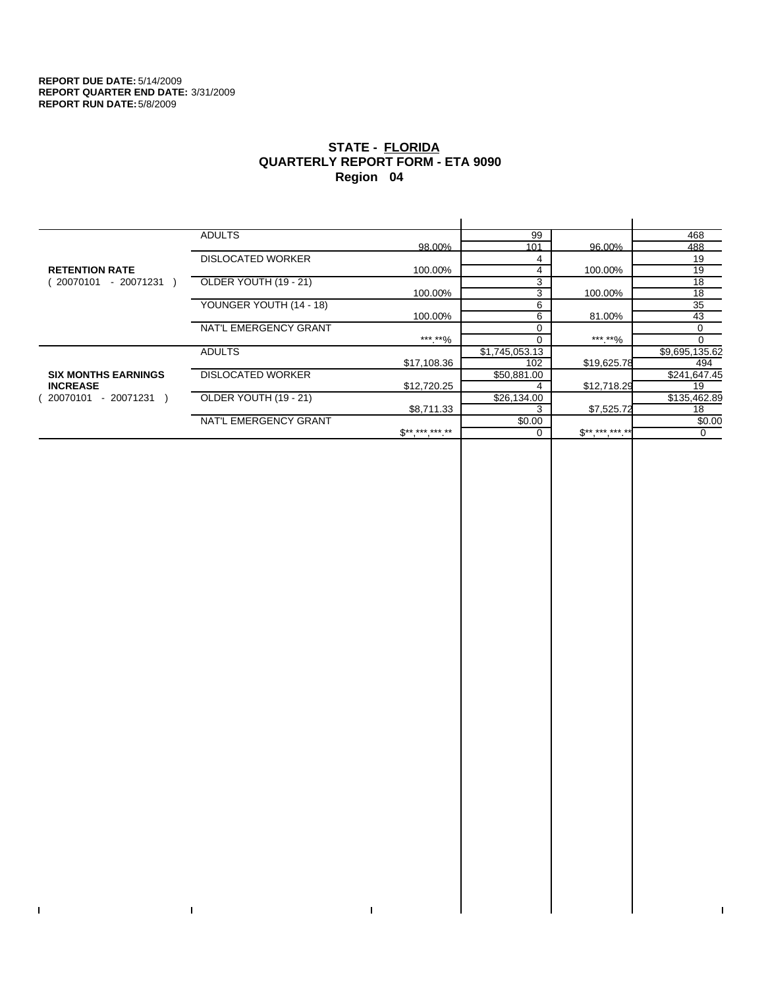$\bar{\mathbf{I}}$ 

 $\mathbf{I}$ 

# **STATE - FLORIDA QUARTERLY REPORT FORM - ETA 9090 Region 04**

|                            | <b>ADULTS</b>            |              | 99             |              | 468            |
|----------------------------|--------------------------|--------------|----------------|--------------|----------------|
|                            |                          | 98.00%       | 101            | 96.00%       | 488            |
|                            | <b>DISLOCATED WORKER</b> |              | 4              |              | 19             |
| <b>RETENTION RATE</b>      |                          | 100.00%      | 4              | 100.00%      | 19             |
| - 20071231<br>20070101     | OLDER YOUTH (19 - 21)    |              | 3              |              | 18             |
|                            |                          | 100.00%      | 3              | 100.00%      | 18             |
|                            | YOUNGER YOUTH (14 - 18)  |              | 6              |              | 35             |
|                            |                          | 100.00%      | 6              | 81.00%       | 43             |
|                            | NAT'L EMERGENCY GRANT    |              |                |              | 0              |
|                            |                          | ***.**%      |                | ***.**%      |                |
|                            | <b>ADULTS</b>            |              | \$1,745,053.13 |              | \$9,695,135.62 |
|                            |                          | \$17,108.36  | 102            | \$19,625.78  | 494            |
| <b>SIX MONTHS EARNINGS</b> | <b>DISLOCATED WORKER</b> |              | \$50,881.00    |              | \$241,647.45   |
| <b>INCREASE</b>            |                          | \$12,720.25  |                | \$12,718.29  | 19             |
| - 20071231<br>20070101     | OLDER YOUTH (19 - 21)    |              | \$26,134.00    |              | \$135,462.89   |
|                            |                          | \$8,711.33   |                | \$7,525.72   | 18             |
|                            | NAT'L EMERGENCY GRANT    |              | \$0.00         |              | \$0.00         |
|                            |                          | $S*********$ |                | $S*********$ | 0              |
|                            |                          |              |                |              |                |

 $\bar{\Gamma}$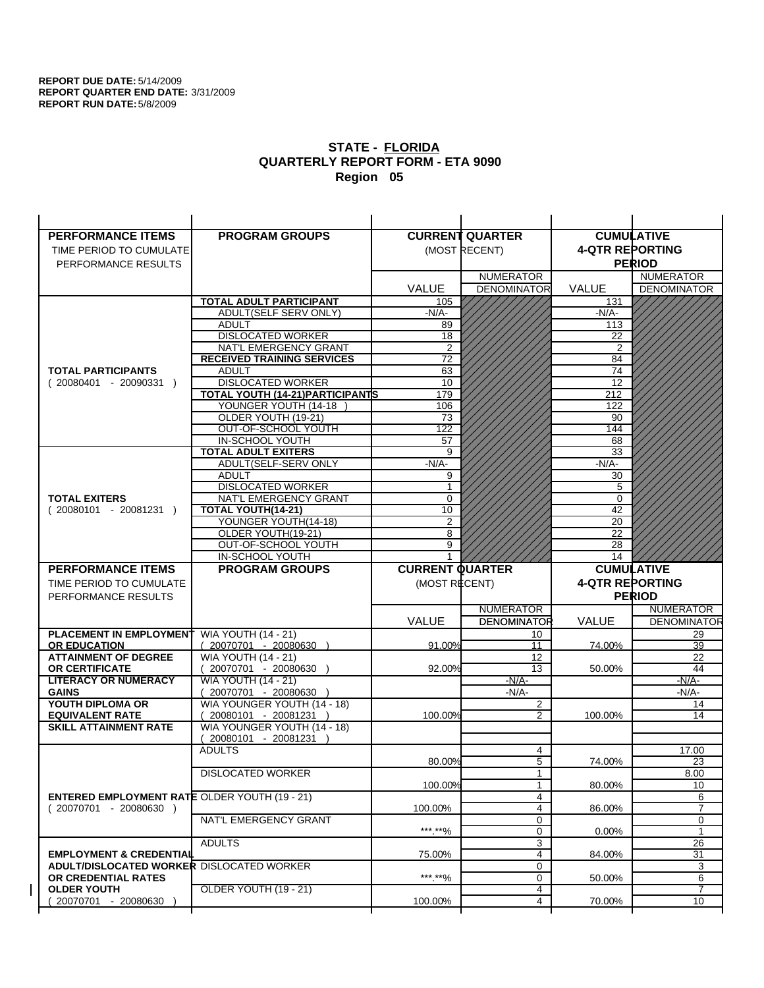| <b>PERFORMANCE ITEMS</b>                             | <b>PROGRAM GROUPS</b>                   |                        | <b>CURRENT QUARTER</b>  | <b>CUMULATIVE</b>      |                         |
|------------------------------------------------------|-----------------------------------------|------------------------|-------------------------|------------------------|-------------------------|
| TIME PERIOD TO CUMULATE                              |                                         |                        | (MOST RECENT)           | <b>4-QTR REPORTING</b> |                         |
| PERFORMANCE RESULTS                                  |                                         |                        |                         |                        | <b>PERIOD</b>           |
|                                                      |                                         |                        | <b>NUMERATOR</b>        |                        | <b>NUMERATOR</b>        |
|                                                      |                                         | <b>VALUE</b>           | <b>DENOMINATOR</b>      | <b>VALUE</b>           | <b>DENOMINATOR</b>      |
|                                                      | <b>TOTAL ADULT PARTICIPANT</b>          | 105                    |                         | 131                    |                         |
|                                                      | ADULT(SELF SERV ONLY)                   | $-N/A-$                |                         | -N/A-                  |                         |
|                                                      | <b>ADULT</b>                            | 89                     |                         | 113                    |                         |
|                                                      | <b>DISLOCATED WORKER</b>                | $\overline{18}$        |                         | 22                     |                         |
|                                                      | NAT'L EMERGENCY GRANT                   | $\overline{2}$         |                         | 2                      |                         |
|                                                      | <b>RECEIVED TRAINING SERVICES</b>       | 72                     |                         | 84                     |                         |
| <b>TOTAL PARTICIPANTS</b>                            | <b>ADULT</b>                            | 63                     |                         | 74                     |                         |
| $(20080401 - 20090331)$                              | <b>DISLOCATED WORKER</b>                | 10                     |                         | 12                     |                         |
|                                                      | <b>TOTAL YOUTH (14-21) PARTICIPANTS</b> | 179                    |                         | 212                    |                         |
|                                                      | YOUNGER YOUTH (14-18                    | 106                    |                         | 122                    |                         |
|                                                      | OLDER YOUTH (19-21)                     | 73                     |                         | 90                     |                         |
|                                                      | OUT-OF-SCHOOL YOUTH<br>IN-SCHOOL YOUTH  | 122<br>57              |                         | 144<br>68              |                         |
|                                                      | <b>TOTAL ADULT EXITERS</b>              | 9                      |                         | 33                     |                         |
|                                                      | ADULT(SELF-SERV ONLY                    | $-N/A$ -               |                         | $-N/A$ -               |                         |
|                                                      | <b>ADULT</b>                            | 9                      |                         | 30                     |                         |
|                                                      | <b>DISLOCATED WORKER</b>                | 1                      |                         | 5                      |                         |
| <b>TOTAL EXITERS</b>                                 | NAT'L EMERGENCY GRANT                   | $\mathbf 0$            |                         | 0                      |                         |
| $(20080101 - 20081231)$                              | TOTAL YOUTH(14-21)                      | 10                     |                         | 42                     |                         |
|                                                      | YOUNGER YOUTH(14-18)                    | 2                      |                         | 20                     |                         |
|                                                      | OLDER YOUTH(19-21)                      | 8                      |                         | 22                     |                         |
|                                                      | OUT-OF-SCHOOL YOUTH                     | 9                      |                         | 28                     |                         |
|                                                      | IN-SCHOOL YOUTH                         |                        |                         | 14                     |                         |
|                                                      |                                         |                        |                         |                        |                         |
| <b>PERFORMANCE ITEMS</b>                             | <b>PROGRAM GROUPS</b>                   | <b>CURRENT QUARTER</b> |                         |                        | <b>CUMULATIVE</b>       |
| TIME PERIOD TO CUMULATE                              |                                         | (MOST RECENT)          |                         | <b>4-QTR REPORTING</b> |                         |
| PERFORMANCE RESULTS                                  |                                         |                        |                         |                        | <b>PERIOD</b>           |
|                                                      |                                         |                        | <b>NUMERATOR</b>        |                        | <b>NUMERATOR</b>        |
|                                                      |                                         | <b>VALUE</b>           | <b>DENOMINATOR</b>      | VALUE                  |                         |
| <b>PLACEMENT IN EMPLOYMENT</b>                       | <b>WIA YOUTH (14 - 21)</b>              |                        | 10                      |                        | 29                      |
| <b>OR EDUCATION</b>                                  | $(20070701 - 20080630)$                 | 91.00%                 | 11                      | 74.00%                 | 39                      |
| <b>ATTAINMENT OF DEGREE</b>                          | <b>WIA YOUTH (14 - 21)</b>              |                        | 12                      |                        | 22                      |
| <b>OR CERTIFICATE</b>                                | 20070701 - 20080630 )                   | 92.00%                 | 13                      | 50.00%                 | 44                      |
| <b>LITERACY OR NUMERACY</b>                          | <b>WIA YOUTH (14 - 21)</b>              |                        | $-N/A-$                 |                        | $-N/A$ -                |
| <b>GAINS</b>                                         | 20070701 - 20080630                     |                        | -N/A-                   |                        | -N/A-                   |
| YOUTH DIPLOMA OR                                     | WIA YOUNGER YOUTH (14 - 18)             |                        | $\overline{\mathbf{c}}$ |                        | 14                      |
| <b>EQUIVALENT RATE</b>                               | 20080101 - 20081231 )                   | 100.00%                | 2                       | 100.00%                | 14                      |
| <b>SKILL ATTAINMENT RATE</b>                         | WIA YOUNGER YOUTH (14 - 18)             |                        |                         |                        |                         |
|                                                      | (20080101 - 20081231<br><b>ADULTS</b>   |                        | 4                       |                        | 17.00                   |
|                                                      |                                         | 80.00%                 | 5                       | 74.00%                 | 23                      |
|                                                      | <b>DISLOCATED WORKER</b>                |                        | $\mathbf{1}$            |                        | 8.00                    |
|                                                      |                                         | 100.00%                | $\mathbf{1}$            | 80.00%                 | 10                      |
| <b>ENTERED EMPLOYMENT RATE OLDER YOUTH (19 - 21)</b> |                                         |                        | 4                       |                        | 6                       |
| $(20070701 - 20080630)$                              |                                         | 100.00%                | 4                       | 86.00%                 | 7                       |
|                                                      | NAT'L EMERGENCY GRANT                   |                        | 0                       |                        | <b>DENOMINATOR</b><br>0 |
|                                                      |                                         | ***.**%                | 0                       | $0.00\%$               | $\mathbf{1}$            |
|                                                      | <b>ADULTS</b>                           |                        | 3                       |                        | 26                      |
| <b>EMPLOYMENT &amp; CREDENTIAL</b>                   |                                         | 75.00%                 | 4                       | 84.00%                 | 31                      |
| <b>ADULT/DISLOCATED WORKER DISLOCATED WORKER</b>     |                                         |                        | 0                       |                        | 3                       |
| OR CREDENTIAL RATES                                  |                                         | ***.**%                | $\mathbf 0$             | 50.00%                 | 6                       |
| <b>OLDER YOUTH</b><br>20070701 - 20080630            | <b>OLDER YOUTH (19 - 21)</b>            | 100.00%                | 4<br>4                  | 70.00%                 | 7<br>10                 |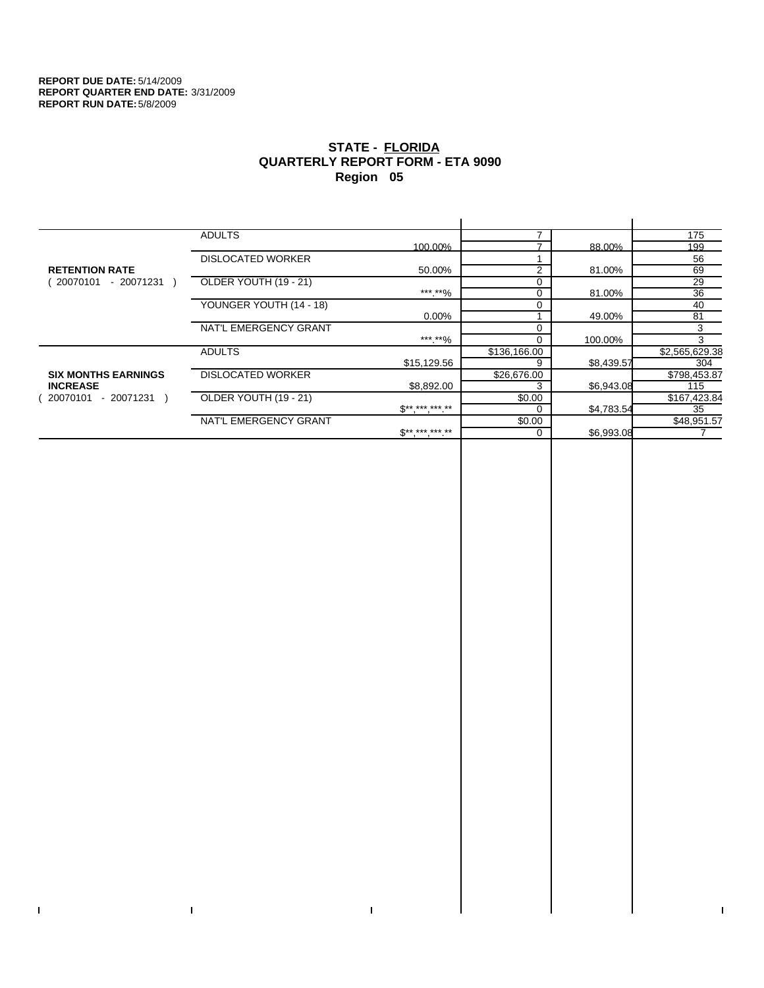$\bar{\mathbf{I}}$ 

 $\mathbf{I}$ 

# **STATE - FLORIDA QUARTERLY REPORT FORM - ETA 9090 Region 05**

|                            | <b>ADULTS</b>            |                          |              |            | 175            |
|----------------------------|--------------------------|--------------------------|--------------|------------|----------------|
|                            |                          | 100.00%                  |              | 88.00%     | 199            |
|                            | <b>DISLOCATED WORKER</b> |                          |              |            | 56             |
| <b>RETENTION RATE</b>      |                          | 50.00%                   | 2            | 81.00%     | 69             |
| - 20071231<br>20070101     | OLDER YOUTH (19 - 21)    |                          |              |            | 29             |
|                            |                          | ***.**%                  |              | 81.00%     | 36             |
|                            | YOUNGER YOUTH (14 - 18)  |                          |              |            | 40             |
|                            |                          | $0.00\%$                 |              | 49.00%     | 81             |
|                            | NAT'L EMERGENCY GRANT    |                          |              |            | 3              |
|                            |                          | ***.**%                  |              | 100.00%    | 3              |
|                            | <b>ADULTS</b>            |                          | \$136,166.00 |            | \$2,565,629.38 |
|                            |                          | \$15,129.56              | 9            | \$8,439.57 | 304            |
| <b>SIX MONTHS EARNINGS</b> | <b>DISLOCATED WORKER</b> |                          | \$26,676.00  |            | \$798,453.87   |
| <b>INCREASE</b>            |                          | \$8,892.00               | 3            | \$6,943.08 | 115            |
| $-20071231$<br>20070101    | OLDER YOUTH (19 - 21)    |                          | \$0.00       |            | \$167,423.84   |
|                            |                          | $\mathbb{S}^{*********}$ |              | \$4,783.54 | 35             |
|                            | NAT'L EMERGENCY GRANT    |                          | \$0.00       |            | \$48,951.57    |
|                            |                          | $S*********$             | $\Omega$     | \$6,993.08 |                |
|                            |                          |                          |              |            |                |

 $\bar{\Gamma}$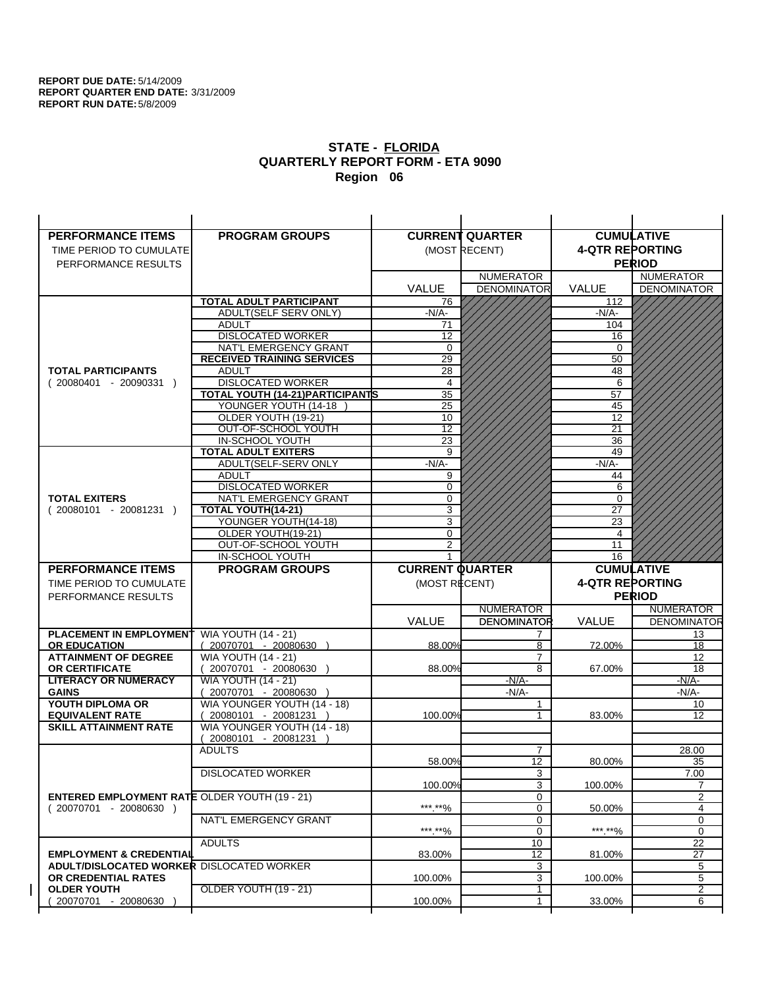| <b>PERFORMANCE ITEMS</b>                             | <b>PROGRAM GROUPS</b>                                           |                        | <b>CURRENT QUARTER</b> |                        | <b>CUMULATIVE</b>           |
|------------------------------------------------------|-----------------------------------------------------------------|------------------------|------------------------|------------------------|-----------------------------|
| TIME PERIOD TO CUMULATE                              |                                                                 |                        | (MOST RECENT)          | <b>4-QTR REPORTING</b> |                             |
| PERFORMANCE RESULTS                                  |                                                                 |                        |                        |                        | <b>PERIOD</b>               |
|                                                      |                                                                 |                        | <b>NUMERATOR</b>       |                        | <b>NUMERATOR</b>            |
|                                                      |                                                                 | <b>VALUE</b>           | <b>DENOMINATOR</b>     | <b>VALUE</b>           | <b>DENOMINATOR</b>          |
|                                                      | <b>TOTAL ADULT PARTICIPANT</b>                                  | 76                     |                        | 112                    |                             |
|                                                      | ADULT(SELF SERV ONLY)                                           | $-N/A-$                |                        | -N/A-                  |                             |
|                                                      | <b>ADULT</b>                                                    | 71                     |                        | 104                    |                             |
|                                                      | <b>DISLOCATED WORKER</b>                                        | $\overline{12}$        |                        | 16                     |                             |
|                                                      | NAT'L EMERGENCY GRANT                                           | $\Omega$               |                        | $\Omega$               |                             |
|                                                      | <b>RECEIVED TRAINING SERVICES</b>                               | 29                     |                        | 50                     |                             |
| <b>TOTAL PARTICIPANTS</b>                            | <b>ADULT</b>                                                    | 28                     |                        | 48                     |                             |
| $(20080401 - 20090331)$                              | <b>DISLOCATED WORKER</b>                                        | $\overline{4}$         |                        | 6                      |                             |
|                                                      | <b>TOTAL YOUTH (14-21) PARTICIPANTS</b><br>YOUNGER YOUTH (14-18 | 35<br>25               |                        | 57<br>45               |                             |
|                                                      | OLDER YOUTH (19-21)                                             | 10                     |                        | 12                     |                             |
|                                                      | OUT-OF-SCHOOL YOUTH                                             | $\overline{12}$        |                        | $\overline{21}$        |                             |
|                                                      | IN-SCHOOL YOUTH                                                 | $\overline{23}$        |                        | 36                     |                             |
|                                                      | <b>TOTAL ADULT EXITERS</b>                                      | 9                      |                        | 49                     |                             |
|                                                      | ADULT(SELF-SERV ONLY                                            | $-N/A$ -               |                        | $-N/A-$                |                             |
|                                                      | <b>ADULT</b>                                                    | 9                      |                        | 44                     |                             |
|                                                      | <b>DISLOCATED WORKER</b>                                        | $\Omega$               |                        | 6                      |                             |
| <b>TOTAL EXITERS</b>                                 | NAT'L EMERGENCY GRANT                                           | 0                      |                        | 0                      |                             |
| $(20080101 - 20081231)$                              | TOTAL YOUTH(14-21)                                              | 3                      |                        | 27                     |                             |
|                                                      | YOUNGER YOUTH(14-18)                                            | 3                      |                        | 23                     |                             |
|                                                      | OLDER YOUTH(19-21)<br>OUT-OF-SCHOOL YOUTH                       | $\Omega$<br>2          |                        | 4<br>11                |                             |
|                                                      | IN-SCHOOL YOUTH                                                 |                        |                        | 16                     |                             |
|                                                      |                                                                 |                        |                        |                        |                             |
|                                                      |                                                                 |                        |                        |                        |                             |
| <b>PERFORMANCE ITEMS</b>                             | <b>PROGRAM GROUPS</b>                                           | <b>CURRENT QUARTER</b> |                        |                        | <b>CUMULATIVE</b>           |
| TIME PERIOD TO CUMULATE                              |                                                                 | (MOST RECENT)          |                        | <b>4-QTR REPORTING</b> |                             |
| PERFORMANCE RESULTS                                  |                                                                 |                        |                        |                        | <b>PERIOD</b>               |
|                                                      |                                                                 |                        | <b>NUMERATOR</b>       |                        | <b>NUMERATOR</b>            |
|                                                      |                                                                 | <b>VALUE</b>           | <b>DENOMINATOR</b>     | VALUE                  |                             |
| <b>PLACEMENT IN EMPLOYMENT</b>                       | <b>WIA YOUTH (14 - 21)</b>                                      |                        | 7                      |                        | 13                          |
| <b>OR EDUCATION</b><br><b>ATTAINMENT OF DEGREE</b>   | $(20070701 - 20080630)$                                         | 88.00%                 | 8<br>$\overline{7}$    | 72.00%                 | 18<br>12                    |
| <b>OR CERTIFICATE</b>                                | <b>WIA YOUTH (14 - 21)</b><br>20070701 - 20080630 )             | 88.00%                 | $\overline{8}$         | 67.00%                 | 18                          |
| <b>LITERACY OR NUMERACY</b>                          | <b>WIA YOUTH (14 - 21)</b>                                      |                        | $-N/A-$                |                        | <b>DENOMINATOR</b><br>-N/A- |
| <b>GAINS</b>                                         | 20070701 - 20080630                                             |                        | $-N/A$ -               |                        | -N/A-                       |
| YOUTH DIPLOMA OR                                     | WIA YOUNGER YOUTH (14 - 18)                                     |                        | 1                      |                        | 10                          |
| <b>EQUIVALENT RATE</b>                               | 20080101 - 20081231 )                                           | 100.00%                |                        | 83.00%                 | 12                          |
| <b>SKILL ATTAINMENT RATE</b>                         | WIA YOUNGER YOUTH (14 - 18)                                     |                        |                        |                        |                             |
|                                                      | (20080101 - 20081231                                            |                        |                        |                        |                             |
|                                                      | <b>ADULTS</b>                                                   |                        | $\overline{7}$         |                        | 28.00                       |
|                                                      |                                                                 | 58.00%                 | 12                     | 80.00%                 | 35                          |
|                                                      | <b>DISLOCATED WORKER</b>                                        | 100.00%                | $\overline{3}$<br>3    | 100.00%                | 7.00<br>$\overline{7}$      |
| <b>ENTERED EMPLOYMENT RATE OLDER YOUTH (19 - 21)</b> |                                                                 |                        | 0                      |                        | 2                           |
| $(20070701 - 20080630)$                              |                                                                 | ***.**%                | 0                      | 50.00%                 | 4                           |
|                                                      | NAT'L EMERGENCY GRANT                                           |                        | 0                      |                        | 0                           |
|                                                      |                                                                 | ***.**%                | 0                      | ***.**%                | 0                           |
|                                                      | <b>ADULTS</b>                                                   |                        | 10                     |                        | 22                          |
| <b>EMPLOYMENT &amp; CREDENTIAL</b>                   |                                                                 | 83.00%                 | 12                     | 81.00%                 | 27                          |
| <b>ADULT/DISLOCATED WORKER DISLOCATED WORKER</b>     |                                                                 |                        | 3                      |                        | 5                           |
| OR CREDENTIAL RATES<br><b>OLDER YOUTH</b>            |                                                                 | 100.00%                | 3<br>1                 | 100.00%                | 5                           |
| 20070701 - 20080630                                  | <b>OLDER YOUTH (19 - 21)</b>                                    | 100.00%                | 1                      | 33.00%                 | 2<br>6                      |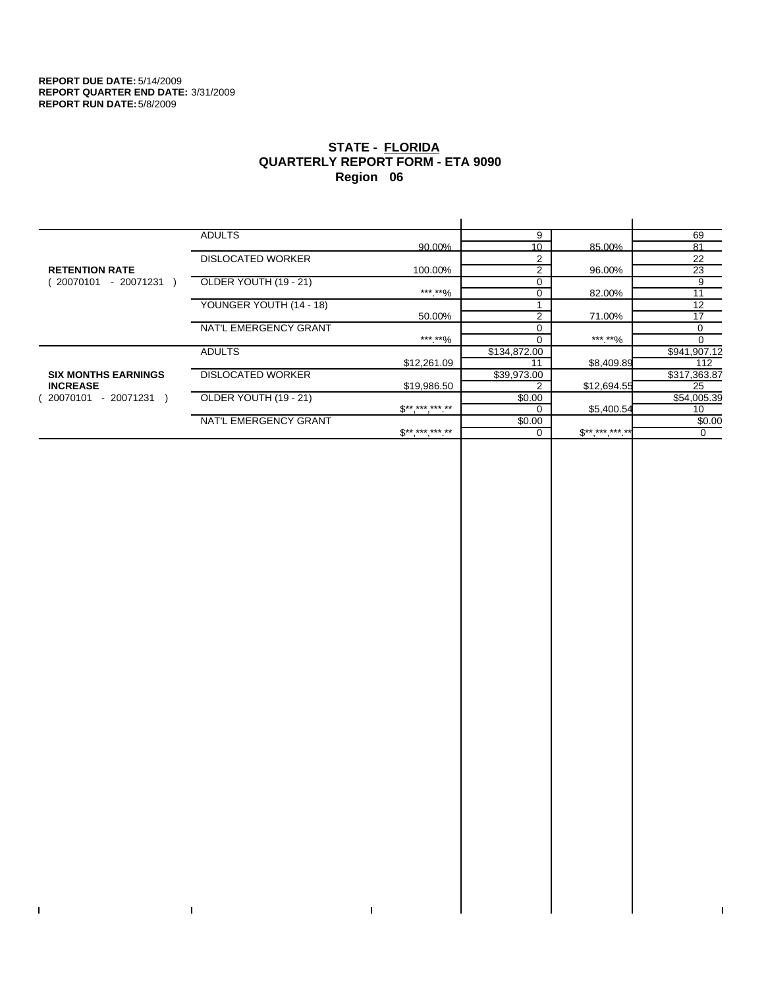$\bar{\Gamma}$ 

 $\mathbf{I}$ 

# **STATE - FLORIDA QUARTERLY REPORT FORM - ETA 9090 Region 06**

|                            | <b>ADULTS</b>            |                              | 9              |              | 69           |
|----------------------------|--------------------------|------------------------------|----------------|--------------|--------------|
|                            |                          | 90.00%                       | 10             | 85.00%       | 81           |
|                            | <b>DISLOCATED WORKER</b> |                              | 2              |              | 22           |
| <b>RETENTION RATE</b>      |                          | 100.00%                      | 2              | 96.00%       | 23           |
| - 20071231<br>20070101     | OLDER YOUTH (19 - 21)    |                              |                |              | 9            |
|                            |                          | ***.**%                      |                | 82.00%       | 11           |
|                            | YOUNGER YOUTH (14 - 18)  |                              |                |              | 12           |
|                            |                          | 50.00%                       | $\overline{2}$ | 71.00%       | 17           |
|                            | NAT'L EMERGENCY GRANT    |                              |                |              | 0            |
|                            |                          | ***.**%                      |                | *** **%      | 0            |
|                            | <b>ADULTS</b>            |                              | \$134,872.00   |              | \$941,907.12 |
|                            |                          | \$12,261.09                  |                | \$8,409.89   | 112          |
| <b>SIX MONTHS EARNINGS</b> | <b>DISLOCATED WORKER</b> |                              | \$39,973.00    |              | \$317,363.87 |
| <b>INCREASE</b>            |                          | \$19,986.50                  |                | \$12,694.55  | 25           |
| - 20071231<br>20070101     | OLDER YOUTH (19 - 21)    |                              | \$0.00         |              | \$54,005.39  |
|                            |                          | $\mathbb{S}^{**}$ *** *** ** |                | \$5,400.54   | 10           |
|                            | NAT'L EMERGENCY GRANT    |                              | \$0.00         |              | \$0.00       |
|                            |                          | $S^{**}$ *** *** **          |                | $S*********$ | 0            |
|                            |                          |                              |                |              |              |

 $\bar{\Gamma}$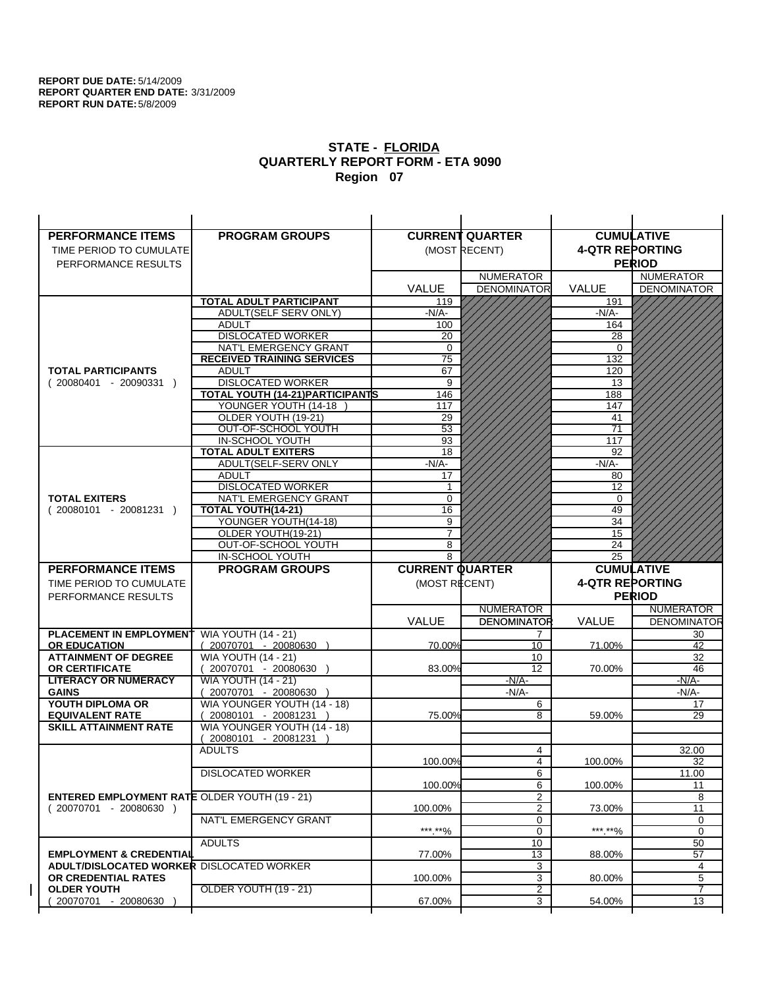| <b>PERFORMANCE ITEMS</b>                             | <b>PROGRAM GROUPS</b>                  |                        | <b>CURRENT QUARTER</b> |                        | <b>CUMULATIVE</b>        |
|------------------------------------------------------|----------------------------------------|------------------------|------------------------|------------------------|--------------------------|
| TIME PERIOD TO CUMULATE                              |                                        |                        | (MOST RECENT)          | <b>4-QTR REPORTING</b> |                          |
| PERFORMANCE RESULTS                                  |                                        |                        |                        |                        | <b>PERIOD</b>            |
|                                                      |                                        |                        | <b>NUMERATOR</b>       |                        | <b>NUMERATOR</b>         |
|                                                      |                                        | <b>VALUE</b>           | <b>DENOMINATOR</b>     | VALUE                  | <b>DENOMINATOR</b>       |
|                                                      | <b>TOTAL ADULT PARTICIPANT</b>         | 119                    |                        | 191                    |                          |
|                                                      | <b>ADULT(SELF SERV ONLY)</b>           | -N/A-                  |                        | $-N/A$ -               |                          |
|                                                      | <b>ADULT</b>                           | 100                    |                        | 164                    |                          |
|                                                      | <b>DISLOCATED WORKER</b>               | 20                     |                        | 28                     |                          |
|                                                      | NAT'L EMERGENCY GRANT                  | 0                      |                        | 0                      |                          |
|                                                      | <b>RECEIVED TRAINING SERVICES</b>      | 75                     |                        | 132                    |                          |
| <b>TOTAL PARTICIPANTS</b>                            | <b>ADULT</b>                           | 67                     |                        | 120                    |                          |
| $(20080401 - 20090331)$                              | <b>DISLOCATED WORKER</b>               | 9                      |                        | 13                     |                          |
|                                                      | TOTAL YOUTH (14-21) PARTICIPANTS       | 146                    |                        | 188                    |                          |
|                                                      | YOUNGER YOUTH (14-18                   | 117                    |                        | 147                    |                          |
|                                                      | OLDER YOUTH (19-21)                    | 29<br>$\overline{53}$  |                        | 41<br>$\overline{71}$  |                          |
|                                                      | OUT-OF-SCHOOL YOUTH<br>IN-SCHOOL YOUTH |                        |                        | 117                    |                          |
|                                                      | <b>TOTAL ADULT EXITERS</b>             | 93<br>18               |                        | 92                     |                          |
|                                                      | ADULT(SELF-SERV ONLY                   | $-N/A$ -               |                        | $-N/A-$                |                          |
|                                                      | <b>ADULT</b>                           | 17                     |                        | 80                     |                          |
|                                                      | <b>DISLOCATED WORKER</b>               | 1                      |                        | 12                     |                          |
| <b>TOTAL EXITERS</b>                                 | NAT'L EMERGENCY GRANT                  | 0                      |                        | 0                      |                          |
| $(20080101 - 20081231)$                              | TOTAL YOUTH(14-21)                     | 16                     |                        | 49                     |                          |
|                                                      | YOUNGER YOUTH(14-18)                   | 9                      |                        | 34                     |                          |
|                                                      | OLDER YOUTH(19-21)                     | $\overline{7}$         |                        | 15                     |                          |
|                                                      | OUT-OF-SCHOOL YOUTH                    | 8                      |                        | 24                     |                          |
|                                                      | IN-SCHOOL YOUTH                        | 8                      |                        | 25                     |                          |
|                                                      |                                        |                        |                        |                        |                          |
| <b>PERFORMANCE ITEMS</b>                             | <b>PROGRAM GROUPS</b>                  | <b>CURRENT QUARTER</b> |                        |                        | <b>CUMULATIVE</b>        |
| TIME PERIOD TO CUMULATE                              |                                        | (MOST RECENT)          |                        | <b>4-QTR REPORTING</b> |                          |
| PERFORMANCE RESULTS                                  |                                        |                        |                        |                        | <b>PERIOD</b>            |
|                                                      |                                        |                        | <b>NUMERATOR</b>       |                        | <b>NUMERATOR</b>         |
|                                                      |                                        | <b>VALUE</b>           | <b>DENOMINATOR</b>     | <b>VALUE</b>           |                          |
| <b>PLACEMENT IN EMPLOYMENT</b>                       | <b>WIA YOUTH (14 - 21)</b>             |                        | 7                      |                        | 30                       |
| <b>OR EDUCATION</b>                                  | $(20070701 - 20080630)$                | 70.00%                 | 10                     | 71.00%                 | 42                       |
| <b>ATTAINMENT OF DEGREE</b>                          | <b>WIA YOUTH (14 - 21)</b>             |                        | 10                     |                        | 32                       |
| <b>OR CERTIFICATE</b>                                | (20070701 - 20080630                   | 83.00%                 | 12                     | 70.00%                 | 46                       |
| <b>LITERACY OR NUMERACY</b>                          | <b>WIA YOUTH (14 - 21)</b>             |                        | $-N/A-$                |                        | -N/A-                    |
| <b>GAINS</b>                                         | 20070701 - 20080630                    |                        | $-N/A-$                |                        | $-N/A-$                  |
| YOUTH DIPLOMA OR                                     | WIA YOUNGER YOUTH (14 - 18)            |                        | 6                      |                        | 17                       |
| <b>EQUIVALENT RATE</b>                               | 20080101 - 20081231 )                  | 75.00%                 | 8                      | 59.00%                 | 29                       |
| <b>SKILL ATTAINMENT RATE</b>                         | WIA YOUNGER YOUTH (14 - 18)            |                        |                        |                        |                          |
|                                                      | (20080101 - 20081231                   |                        |                        |                        |                          |
|                                                      | <b>ADULTS</b>                          |                        | 4                      |                        | 32.00                    |
|                                                      |                                        | 100.00%                | 4                      | 100.00%                | 32                       |
|                                                      | <b>DISLOCATED WORKER</b>               |                        | $6 \overline{}$        |                        | 11.00                    |
|                                                      |                                        | 100.00%                | 6                      | 100.00%                | <b>DENOMINATOR</b><br>11 |
| <b>ENTERED EMPLOYMENT RATE OLDER YOUTH (19 - 21)</b> |                                        |                        | 2                      |                        | 8                        |
| $(20070701 - 20080630)$                              | NAT'L EMERGENCY GRANT                  | 100.00%                | 2<br>0                 | 73.00%                 | 11<br>0                  |
|                                                      |                                        | ***.**%                | 0                      | *** **%                | 0                        |
|                                                      | <b>ADULTS</b>                          |                        | 10                     |                        | 50                       |
| <b>EMPLOYMENT &amp; CREDENTIAL</b>                   |                                        | 77.00%                 | 13                     | 88.00%                 | $\overline{57}$          |
| <b>ADULT/DISLOCATED WORKER DISLOCATED WORKER</b>     |                                        |                        | 3                      |                        | 4                        |
| OR CREDENTIAL RATES                                  |                                        | 100.00%                | 3                      | 80.00%                 | 5                        |
| <b>OLDER YOUTH</b>                                   | <b>OLDER YOUTH (19 - 21)</b>           |                        | $\overline{2}$         |                        | 7                        |
| 20070701 - 20080630                                  |                                        | 67.00%                 | 3                      | 54.00%                 | 13                       |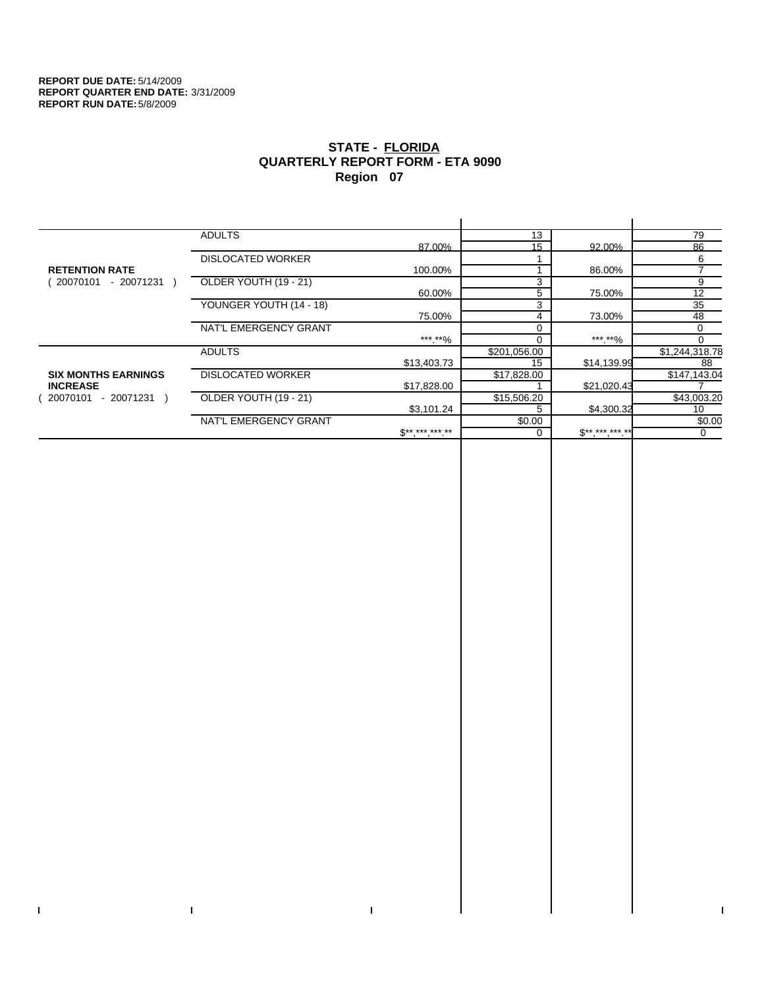$\mathbf I$ 

 $\bar{\Gamma}$ 

# **STATE - FLORIDA QUARTERLY REPORT FORM - ETA 9090 Region 07**

|                            | <b>ADULTS</b>            |                 | 13           |             | 79                       |
|----------------------------|--------------------------|-----------------|--------------|-------------|--------------------------|
|                            |                          | 87.00%          | 15           | 92.00%      | 86                       |
|                            | <b>DISLOCATED WORKER</b> |                 |              |             | 6                        |
| <b>RETENTION RATE</b>      |                          | 100.00%         |              | 86.00%      | $\overline{\phantom{a}}$ |
| 20070101<br>- 20071231     | OLDER YOUTH (19 - 21)    |                 | 3            |             | 9                        |
|                            |                          | 60.00%          | 5            | 75.00%      | 12                       |
|                            | YOUNGER YOUTH (14 - 18)  |                 | 3            |             | 35                       |
|                            |                          | 75.00%          | 4            | 73.00%      | 48                       |
|                            | NAT'L EMERGENCY GRANT    |                 | 0            |             | 0                        |
|                            |                          | ***.**%         | በ            | *** **%     | 0                        |
|                            | <b>ADULTS</b>            |                 | \$201,056.00 |             | \$1,244,318.78           |
|                            |                          | \$13,403.73     | 15           | \$14,139.99 | 88                       |
| <b>SIX MONTHS EARNINGS</b> | <b>DISLOCATED WORKER</b> |                 | \$17,828.00  |             | \$147,143.04             |
| <b>INCREASE</b>            |                          | \$17,828.00     |              | \$21,020.43 |                          |
| - 20071231 )<br>20070101   | OLDER YOUTH (19 - 21)    |                 | \$15,506.20  |             | \$43,003.20              |
|                            |                          | \$3,101.24      | 5            | \$4,300.32  | 10                       |
|                            | NAT'L EMERGENCY GRANT    |                 | \$0.00       |             | \$0.00                   |
|                            |                          | $S^{*********}$ |              | $S********$ | 0                        |
|                            |                          |                 |              |             |                          |

 $\bar{\Gamma}$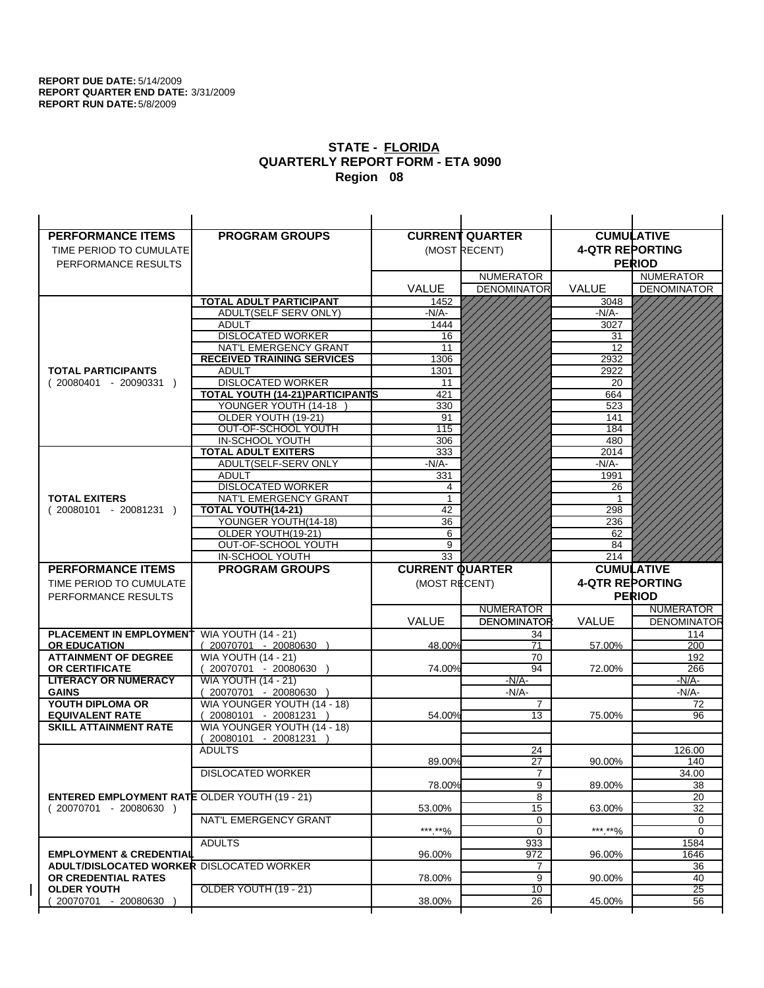| <b>PERFORMANCE ITEMS</b>                                                        | <b>PROGRAM GROUPS</b>                                    |                        | <b>CURRENT QUARTER</b> |                        | <b>CUMULATIVE</b>  |
|---------------------------------------------------------------------------------|----------------------------------------------------------|------------------------|------------------------|------------------------|--------------------|
| TIME PERIOD TO CUMULATE                                                         |                                                          |                        | (MOST RECENT)          | <b>4-QTR REPORTING</b> |                    |
| PERFORMANCE RESULTS                                                             |                                                          |                        |                        |                        | <b>PERIOD</b>      |
|                                                                                 |                                                          |                        | <b>NUMERATOR</b>       |                        | <b>NUMERATOR</b>   |
|                                                                                 |                                                          | <b>VALUE</b>           | <b>DENOMINATOR</b>     | <b>VALUE</b>           | <b>DENOMINATOR</b> |
|                                                                                 | <b>TOTAL ADULT PARTICIPANT</b>                           | 1452                   |                        | 3048                   |                    |
|                                                                                 | ADULT(SELF SERV ONLY)                                    | -N/A-                  |                        | -N/A-                  |                    |
|                                                                                 | <b>ADULT</b>                                             | 1444                   |                        | 3027                   |                    |
|                                                                                 | <b>DISLOCATED WORKER</b>                                 | 16                     |                        | 31                     |                    |
|                                                                                 | NAT'L EMERGENCY GRANT                                    | 11                     |                        | 12                     |                    |
|                                                                                 | <b>RECEIVED TRAINING SERVICES</b>                        | 1306                   |                        | 2932                   |                    |
| <b>TOTAL PARTICIPANTS</b>                                                       | <b>ADULT</b>                                             | 1301                   |                        | 2922                   |                    |
| $(20080401 - 20090331)$                                                         | <b>DISLOCATED WORKER</b>                                 | 11                     |                        | 20                     |                    |
|                                                                                 | TOTAL YOUTH (14-21) PARTICIPANTS<br>YOUNGER YOUTH (14-18 | 421<br>330             |                        | 664                    |                    |
|                                                                                 | OLDER YOUTH (19-21)                                      | 91                     |                        | 523<br>141             |                    |
|                                                                                 | OUT-OF-SCHOOL YOUTH                                      | 115                    |                        | 184                    |                    |
|                                                                                 | IN-SCHOOL YOUTH                                          | 306                    |                        | 480                    |                    |
|                                                                                 | <b>TOTAL ADULT EXITERS</b>                               | 333                    |                        | 2014                   |                    |
|                                                                                 | ADULT(SELF-SERV ONLY                                     | $-N/A$ -               |                        | $-N/A-$                |                    |
|                                                                                 | <b>ADULT</b>                                             | 331                    |                        | 1991                   |                    |
|                                                                                 | <b>DISLOCATED WORKER</b>                                 | 4                      |                        | 26                     |                    |
| <b>TOTAL EXITERS</b>                                                            | NAT'L EMERGENCY GRANT                                    | 1                      |                        | -1                     |                    |
| $(20080101 - 20081231)$                                                         | TOTAL YOUTH(14-21)                                       | 42                     |                        | 298                    |                    |
|                                                                                 | YOUNGER YOUTH(14-18)                                     | 36                     |                        | 236                    |                    |
|                                                                                 | OLDER YOUTH(19-21)                                       | 6                      |                        | 62                     |                    |
|                                                                                 | OUT-OF-SCHOOL YOUTH<br><b>IN-SCHOOL YOUTH</b>            | 9<br>33                |                        | 84<br>214              |                    |
|                                                                                 |                                                          |                        |                        |                        |                    |
|                                                                                 |                                                          |                        |                        |                        |                    |
| <b>PERFORMANCE ITEMS</b>                                                        | <b>PROGRAM GROUPS</b>                                    | <b>CURRENT QUARTER</b> |                        |                        | <b>CUMULATIVE</b>  |
| TIME PERIOD TO CUMULATE                                                         |                                                          | (MOST RECENT)          |                        | <b>4-QTR REPORTING</b> |                    |
| PERFORMANCE RESULTS                                                             |                                                          |                        |                        |                        | <b>PERIOD</b>      |
|                                                                                 |                                                          |                        | <b>NUMERATOR</b>       |                        | <b>NUMERATOR</b>   |
|                                                                                 |                                                          | <b>VALUE</b>           | <b>DENOMINATOR</b>     | VALUE                  | <b>DENOMINATOR</b> |
| <b>PLACEMENT IN EMPLOYMENT</b>                                                  | <b>WIA YOUTH (14 - 21)</b>                               |                        | 34                     |                        | 114                |
| <b>OR EDUCATION</b>                                                             | $(20070701 - 20080630)$                                  | 48.00%                 | 71                     | 57.00%                 | 200                |
| <b>ATTAINMENT OF DEGREE</b>                                                     | <b>WIA YOUTH (14 - 21)</b>                               |                        | 70<br>94               |                        | 192                |
| <b>OR CERTIFICATE</b><br><b>LITERACY OR NUMERACY</b>                            | 20070701 - 20080630 )<br><b>WIA YOUTH (14 - 21)</b>      | 74.00%                 | $-N/A-$                | 72.00%                 | 266<br>$-N/A$ -    |
| <b>GAINS</b>                                                                    | 20070701 - 20080630                                      |                        | -N/A-                  |                        | -N/A-              |
| YOUTH DIPLOMA OR                                                                | WIA YOUNGER YOUTH (14 - 18)                              |                        | $\overline{7}$         |                        | 72                 |
| <b>EQUIVALENT RATE</b>                                                          | 20080101 - 20081231 )                                    | 54.00%                 | 13                     | 75.00%                 | 96                 |
| <b>SKILL ATTAINMENT RATE</b>                                                    | WIA YOUNGER YOUTH (14 - 18)                              |                        |                        |                        |                    |
|                                                                                 | (20080101 - 20081231                                     |                        |                        |                        |                    |
|                                                                                 | <b>ADULTS</b>                                            |                        | 24                     |                        | 126.00             |
|                                                                                 |                                                          | 89.00%                 | 27                     | 90.00%                 | 140                |
|                                                                                 | <b>DISLOCATED WORKER</b>                                 |                        | $\overline{7}$         |                        | 34.00              |
|                                                                                 |                                                          | 78.00%                 | 9                      | 89.00%                 | 38                 |
| <b>ENTERED EMPLOYMENT RATE OLDER YOUTH (19 - 21)</b><br>$(20070701 - 20080630)$ |                                                          | 53.00%                 | 8<br>15                | 63.00%                 | 20                 |
|                                                                                 | NAT'L EMERGENCY GRANT                                    |                        | 0                      |                        | 32<br>0            |
|                                                                                 |                                                          | ***.**%                | 0                      | ***.**%                | $\mathbf 0$        |
|                                                                                 | <b>ADULTS</b>                                            |                        | 933                    |                        | 1584               |
| <b>EMPLOYMENT &amp; CREDENTIAL</b>                                              |                                                          | 96.00%                 | 972                    | 96.00%                 | 1646               |
| <b>ADULT/DISLOCATED WORKER DISLOCATED WORKER</b>                                |                                                          |                        | 7                      |                        | 36                 |
| OR CREDENTIAL RATES                                                             |                                                          | 78.00%                 | 9                      | 90.00%                 | 40                 |
| <b>OLDER YOUTH</b><br>20070701 - 20080630                                       | OLDER YOUTH (19 - 21)                                    | 38.00%                 | 10<br>$\overline{26}$  | 45.00%                 | 25<br>56           |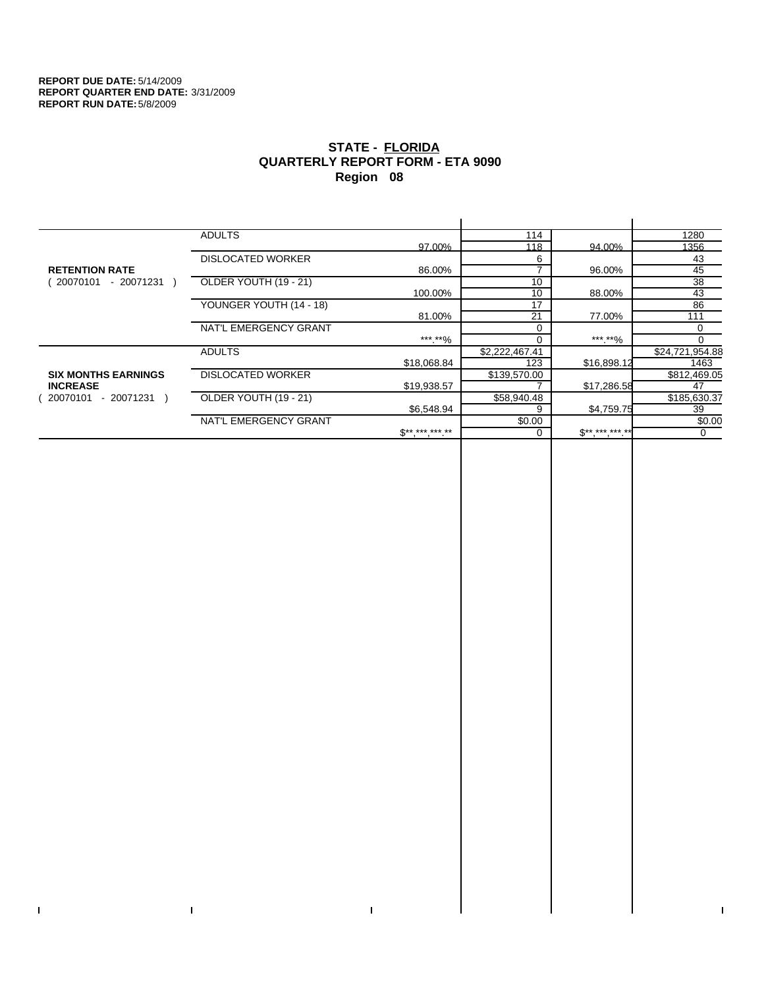$\bar{\Gamma}$ 

 $\Gamma$ 

# **STATE - FLORIDA QUARTERLY REPORT FORM - ETA 9090 Region 08**

|                            | <b>ADULTS</b>            |              | 114            |             | 1280            |
|----------------------------|--------------------------|--------------|----------------|-------------|-----------------|
|                            |                          | 97.00%       | 118            | 94.00%      | 1356            |
|                            | <b>DISLOCATED WORKER</b> |              | 6              |             | 43              |
| <b>RETENTION RATE</b>      |                          | 86.00%       |                | 96.00%      | 45              |
| - 20071231<br>20070101     | OLDER YOUTH (19 - 21)    |              | 10             |             | 38              |
|                            |                          | 100.00%      | 10             | 88.00%      | 43              |
|                            | YOUNGER YOUTH (14 - 18)  |              | 17             |             | 86              |
|                            |                          | 81.00%       | 21             | 77.00%      | 111             |
|                            | NAT'L EMERGENCY GRANT    |              | $\Omega$       |             | 0               |
|                            |                          | ***.**%      |                | ***.**%     |                 |
|                            | <b>ADULTS</b>            |              | \$2,222,467.41 |             | \$24,721,954.88 |
|                            |                          | \$18,068.84  | 123            | \$16,898.12 | 1463            |
| <b>SIX MONTHS EARNINGS</b> | <b>DISLOCATED WORKER</b> |              | \$139,570.00   |             | \$812,469.05    |
| <b>INCREASE</b>            |                          | \$19,938.57  |                | \$17,286.58 | 47              |
| - 20071231<br>20070101     | OLDER YOUTH (19 - 21)    |              | \$58,940.48    |             | \$185,630.37    |
|                            |                          | \$6,548.94   | 9              | \$4,759.75  | 39              |
|                            | NAT'L EMERGENCY GRANT    |              | \$0.00         |             | \$0.00          |
|                            |                          | $S*********$ |                | $S********$ | 0               |
|                            |                          |              |                |             |                 |

 $\bar{\Gamma}$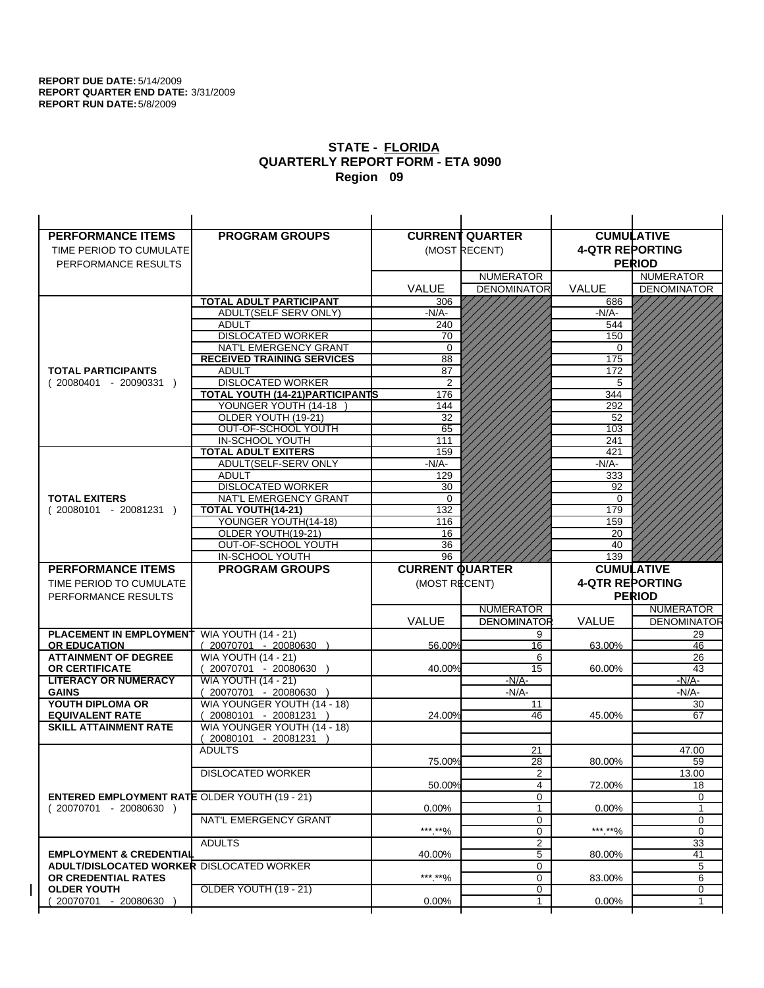| <b>PERFORMANCE ITEMS</b>                             | <b>PROGRAM GROUPS</b>                                |                        | <b>CURRENT QUARTER</b>       |                        | <b>CUMULATIVE</b>        |
|------------------------------------------------------|------------------------------------------------------|------------------------|------------------------------|------------------------|--------------------------|
| TIME PERIOD TO CUMULATE                              |                                                      |                        | (MOST RECENT)                | <b>4-QTR REPORTING</b> |                          |
| PERFORMANCE RESULTS                                  |                                                      |                        |                              |                        | <b>PERIOD</b>            |
|                                                      |                                                      |                        | <b>NUMERATOR</b>             |                        | <b>NUMERATOR</b>         |
|                                                      |                                                      | <b>VALUE</b>           | <b>DENOMINATOR</b>           | VALUE                  | <b>DENOMINATOR</b>       |
|                                                      | <b>TOTAL ADULT PARTICIPANT</b>                       | 306                    |                              | 686                    |                          |
|                                                      | ADULT(SELF SERV ONLY)                                | $-N/A-$                |                              | -N/A-                  |                          |
|                                                      | <b>ADULT</b>                                         | 240                    |                              | 544                    |                          |
|                                                      | <b>DISLOCATED WORKER</b>                             | 70                     |                              | 150                    |                          |
|                                                      | NAT'L EMERGENCY GRANT                                | $\Omega$               |                              | $\Omega$               |                          |
|                                                      | <b>RECEIVED TRAINING SERVICES</b>                    | 88                     |                              | 175                    |                          |
| <b>TOTAL PARTICIPANTS</b>                            | <b>ADULT</b>                                         | 87                     |                              | 172                    |                          |
| $(20080401 - 20090331)$                              | <b>DISLOCATED WORKER</b>                             | $\overline{2}$         |                              | 5                      |                          |
|                                                      | <b>TOTAL YOUTH (14-21) PARTICIPANTS</b>              | 176                    |                              | 344                    |                          |
|                                                      | YOUNGER YOUTH (14-18                                 | 144                    |                              | 292                    |                          |
|                                                      | OLDER YOUTH (19-21)<br>OUT-OF-SCHOOL YOUTH           | 32<br>65               |                              | 52<br>103              |                          |
|                                                      | IN-SCHOOL YOUTH                                      | 111                    |                              | 241                    |                          |
|                                                      | <b>TOTAL ADULT EXITERS</b>                           | 159                    |                              | 421                    |                          |
|                                                      | ADULT(SELF-SERV ONLY                                 | $-N/A$ -               |                              | $-N/A$ -               |                          |
|                                                      | <b>ADULT</b>                                         | 129                    |                              | 333                    |                          |
|                                                      | <b>DISLOCATED WORKER</b>                             | 30                     |                              | 92                     |                          |
| <b>TOTAL EXITERS</b>                                 | NAT'L EMERGENCY GRANT                                | 0                      |                              | 0                      |                          |
| $(20080101 - 20081231)$                              | TOTAL YOUTH(14-21)                                   | 132                    |                              | 179                    |                          |
|                                                      | YOUNGER YOUTH(14-18)                                 | 116                    |                              | 159                    |                          |
|                                                      | OLDER YOUTH(19-21)                                   | 16                     |                              | 20                     |                          |
|                                                      | OUT-OF-SCHOOL YOUTH                                  | 36                     |                              | 40                     |                          |
|                                                      | IN-SCHOOL YOUTH                                      | 96                     |                              | 139                    |                          |
|                                                      |                                                      |                        |                              |                        |                          |
| <b>PERFORMANCE ITEMS</b>                             | <b>PROGRAM GROUPS</b>                                | <b>CURRENT QUARTER</b> |                              |                        | <b>CUMULATIVE</b>        |
| TIME PERIOD TO CUMULATE                              |                                                      | (MOST RECENT)          |                              | <b>4-QTR REPORTING</b> |                          |
| PERFORMANCE RESULTS                                  |                                                      |                        |                              |                        | <b>PERIOD</b>            |
|                                                      |                                                      |                        | <b>NUMERATOR</b>             |                        | <b>NUMERATOR</b>         |
|                                                      |                                                      | <b>VALUE</b>           | <b>DENOMINATOR</b>           | <b>VALUE</b>           |                          |
| <b>PLACEMENT IN EMPLOYMENT</b>                       | <b>WIA YOUTH (14 - 21)</b>                           |                        | 9                            |                        | 29                       |
| <b>OR EDUCATION</b>                                  | $(20070701 - 20080630)$                              | 56.00%                 | 16                           | 63.00%                 | 46                       |
| <b>ATTAINMENT OF DEGREE</b>                          | <b>WIA YOUTH (14 - 21)</b>                           |                        | 6                            |                        | 26                       |
| <b>OR CERTIFICATE</b>                                | 20070701 - 20080630 )                                | 40.00%                 | 15                           | 60.00%                 | 43                       |
| <b>LITERACY OR NUMERACY</b>                          | <b>WIA YOUTH (14 - 21)</b>                           |                        | $-N/A-$                      |                        | $-N/A$ -                 |
| <b>GAINS</b>                                         | 20070701 - 20080630                                  |                        | -N/A-                        |                        | -N/A-                    |
| YOUTH DIPLOMA OR<br><b>EQUIVALENT RATE</b>           | WIA YOUNGER YOUTH (14 - 18)<br>20080101 - 20081231 ) | 24.00%                 | 11<br>46                     | 45.00%                 | 30<br>67                 |
| <b>SKILL ATTAINMENT RATE</b>                         | WIA YOUNGER YOUTH (14 - 18)                          |                        |                              |                        |                          |
|                                                      | (20080101 - 20081231                                 |                        |                              |                        |                          |
|                                                      | <b>ADULTS</b>                                        |                        | 21                           |                        | 47.00                    |
|                                                      |                                                      | 75.00%                 | 28                           | 80.00%                 | <b>DENOMINATOR</b><br>59 |
|                                                      | <b>DISLOCATED WORKER</b>                             |                        | $\overline{2}$               |                        | 13.00                    |
|                                                      |                                                      | 50.00%                 | 4                            | 72.00%                 | 18                       |
| <b>ENTERED EMPLOYMENT RATE OLDER YOUTH (19 - 21)</b> |                                                      |                        | 0                            |                        | 0                        |
| $(20070701 - 20080630)$                              |                                                      | 0.00%                  | 1                            | $0.00\%$               | 1                        |
|                                                      | NAT'L EMERGENCY GRANT                                |                        | 0                            |                        | 0                        |
|                                                      |                                                      | ***.**%                | 0                            | ***.**%                | 0                        |
| <b>EMPLOYMENT &amp; CREDENTIAL</b>                   | <b>ADULTS</b>                                        | 40.00%                 | $\overline{\mathbf{c}}$<br>5 | 80.00%                 | 33<br>41                 |
| <b>ADULT/DISLOCATED WORKER DISLOCATED WORKER</b>     |                                                      |                        | 0                            |                        | 5                        |
| OR CREDENTIAL RATES                                  |                                                      | *** **%                | $\mathbf 0$                  | 83.00%                 | 6                        |
| <b>OLDER YOUTH</b>                                   | OLDER YOUTH (19 - 21)                                |                        | 0                            |                        | 0                        |
| 20070701 - 20080630                                  |                                                      | 0.00%                  | 1                            | $0.00\%$               | $\mathbf{1}$             |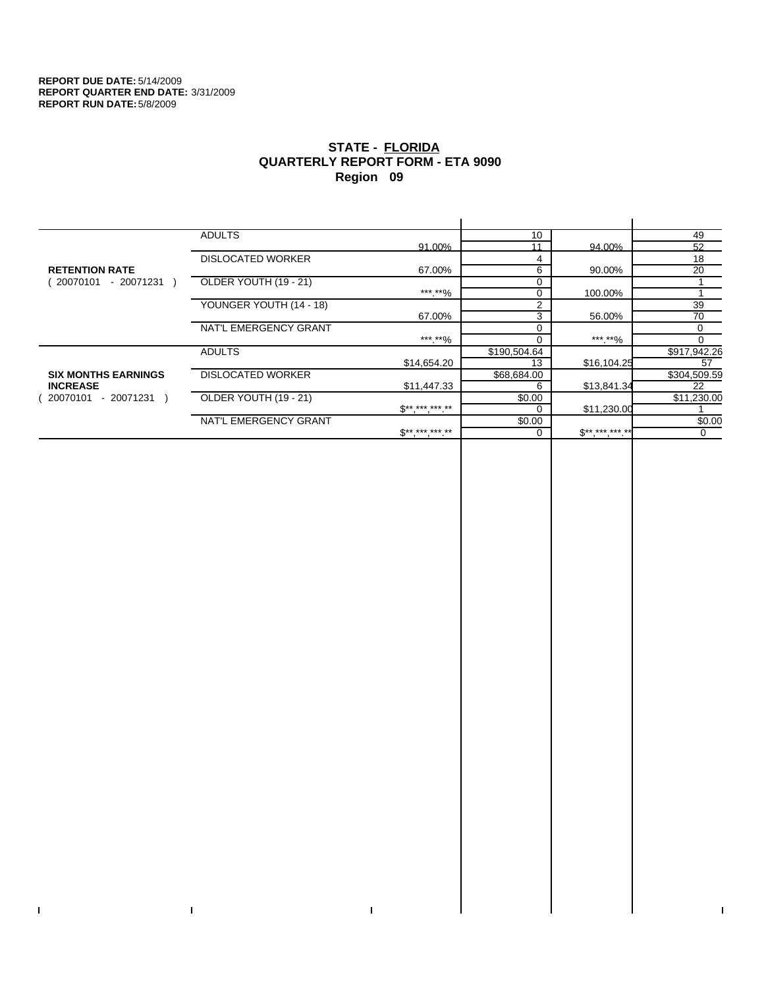$\bar{\Gamma}$ 

 $\Gamma$ 

# **STATE - FLORIDA QUARTERLY REPORT FORM - ETA 9090 Region 09**

|                            | <b>ADULTS</b>            |                     | 10           |             | 49           |
|----------------------------|--------------------------|---------------------|--------------|-------------|--------------|
|                            |                          | 91.00%              | 11           | 94.00%      | 52           |
|                            | <b>DISLOCATED WORKER</b> |                     | 4            |             | 18           |
| <b>RETENTION RATE</b>      |                          | 67.00%              | 6            | 90.00%      | 20           |
| - 20071231 )<br>20070101   | OLDER YOUTH (19 - 21)    |                     |              |             |              |
|                            |                          | ***.**%             |              | 100.00%     |              |
|                            | YOUNGER YOUTH (14 - 18)  |                     | 2            |             | 39           |
|                            |                          | 67.00%              | 3            | 56.00%      | 70           |
|                            | NAT'L EMERGENCY GRANT    |                     |              |             | $\Omega$     |
|                            |                          | ***.**%             |              | ***.**%     |              |
|                            | <b>ADULTS</b>            |                     | \$190,504.64 |             | \$917,942.26 |
|                            |                          | \$14,654.20         | 13           | \$16,104.25 | 57           |
| <b>SIX MONTHS EARNINGS</b> | <b>DISLOCATED WORKER</b> |                     | \$68,684.00  |             | \$304,509.59 |
| <b>INCREASE</b>            |                          | \$11,447.33         | 6            | \$13,841.34 | 22           |
| - 20071231<br>20070101     | OLDER YOUTH (19 - 21)    |                     | \$0.00       |             | \$11,230.00  |
|                            |                          | $S*********$        |              | \$11,230.00 |              |
|                            | NAT'L EMERGENCY GRANT    |                     | \$0.00       |             | \$0.00       |
|                            |                          | $S^{**}$ *** *** ** |              | $S********$ | 0            |
|                            |                          |                     |              |             |              |

 $\bar{\Gamma}$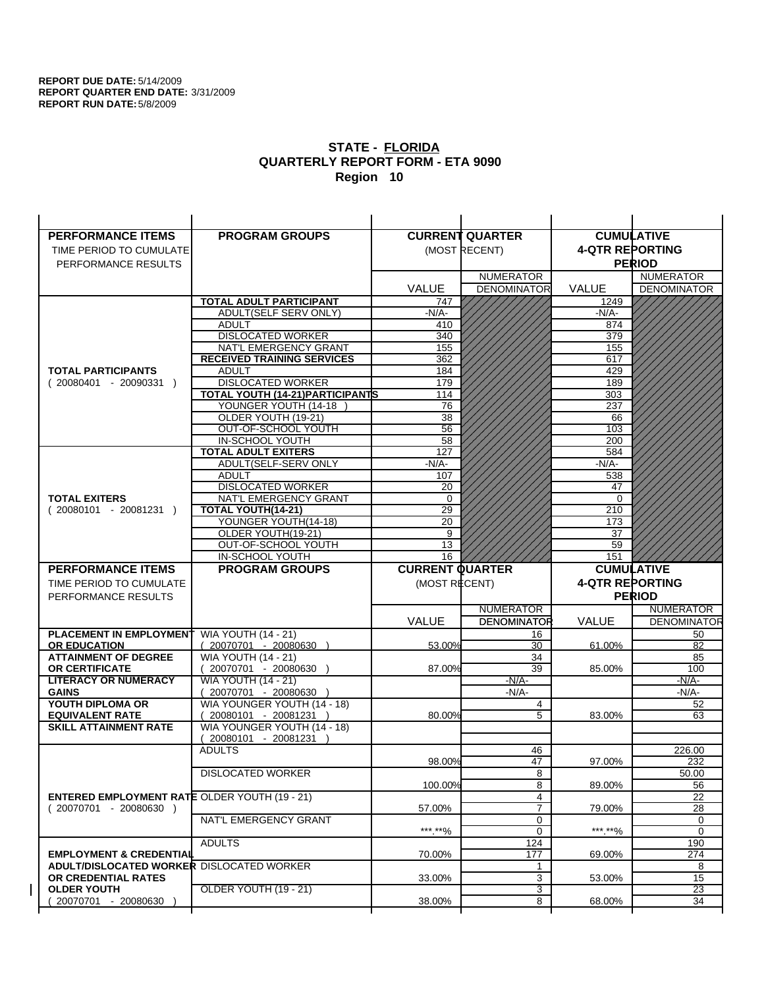| <b>PERFORMANCE ITEMS</b>                             | <b>PROGRAM GROUPS</b>                                    |                        | <b>CURRENT QUARTER</b> |                        | <b>CUMULATIVE</b>        |
|------------------------------------------------------|----------------------------------------------------------|------------------------|------------------------|------------------------|--------------------------|
| TIME PERIOD TO CUMULATE                              |                                                          |                        | (MOST RECENT)          | <b>4-QTR REPORTING</b> |                          |
| PERFORMANCE RESULTS                                  |                                                          |                        |                        |                        | <b>PERIOD</b>            |
|                                                      |                                                          |                        | <b>NUMERATOR</b>       |                        | <b>NUMERATOR</b>         |
|                                                      |                                                          | <b>VALUE</b>           | <b>DENOMINATOR</b>     | VALUE                  | <b>DENOMINATOR</b>       |
|                                                      | <b>TOTAL ADULT PARTICIPANT</b>                           | 747                    |                        | 1249                   |                          |
|                                                      | <b>ADULT(SELF SERV ONLY)</b>                             | $-N/A-$                |                        | -N/A-                  |                          |
|                                                      | <b>ADULT</b>                                             | 410                    |                        | 874                    |                          |
|                                                      | <b>DISLOCATED WORKER</b>                                 | 340                    |                        | 379                    |                          |
|                                                      | NAT'L EMERGENCY GRANT                                    | 155                    |                        | 155                    |                          |
|                                                      | <b>RECEIVED TRAINING SERVICES</b>                        | 362                    |                        | 617                    |                          |
| <b>TOTAL PARTICIPANTS</b>                            | <b>ADULT</b>                                             | 184                    |                        | 429                    |                          |
| $(20080401 - 20090331)$                              | <b>DISLOCATED WORKER</b>                                 | 179                    |                        | 189                    |                          |
|                                                      | TOTAL YOUTH (14-21) PARTICIPANTS<br>YOUNGER YOUTH (14-18 | 114<br>76              |                        | 303<br>237             |                          |
|                                                      | OLDER YOUTH (19-21)                                      | 38                     |                        | 66                     |                          |
|                                                      | OUT-OF-SCHOOL YOUTH                                      | $\overline{56}$        |                        | 103                    |                          |
|                                                      | IN-SCHOOL YOUTH                                          | 58                     |                        | 200                    |                          |
|                                                      | <b>TOTAL ADULT EXITERS</b>                               | 127                    |                        | 584                    |                          |
|                                                      | ADULT(SELF-SERV ONLY                                     | $-N/A$ -               |                        | $-N/A-$                |                          |
|                                                      | <b>ADULT</b>                                             | 107                    |                        | 538                    |                          |
|                                                      | <b>DISLOCATED WORKER</b>                                 | 20                     |                        | 47                     |                          |
| <b>TOTAL EXITERS</b>                                 | NAT'L EMERGENCY GRANT                                    | $\mathbf 0$            |                        | 0                      |                          |
| $(20080101 - 20081231)$                              | TOTAL YOUTH(14-21)                                       | 29                     |                        | 210                    |                          |
|                                                      | YOUNGER YOUTH(14-18)                                     | 20                     |                        | 173                    |                          |
|                                                      | OLDER YOUTH(19-21)                                       | 9                      |                        | 37                     |                          |
|                                                      | OUT-OF-SCHOOL YOUTH                                      | 13                     |                        | 59                     |                          |
|                                                      | IN-SCHOOL YOUTH                                          | 16                     |                        | 151                    |                          |
|                                                      |                                                          |                        |                        |                        |                          |
| <b>PERFORMANCE ITEMS</b>                             | <b>PROGRAM GROUPS</b>                                    | <b>CURRENT QUARTER</b> |                        |                        | <b>CUMULATIVE</b>        |
| TIME PERIOD TO CUMULATE                              |                                                          | (MOST RECENT)          |                        | <b>4-QTR REPORTING</b> |                          |
| PERFORMANCE RESULTS                                  |                                                          |                        |                        |                        | <b>PERIOD</b>            |
|                                                      |                                                          |                        | <b>NUMERATOR</b>       |                        | <b>NUMERATOR</b>         |
|                                                      |                                                          | <b>VALUE</b>           | <b>DENOMINATOR</b>     | <b>VALUE</b>           |                          |
| <b>PLACEMENT IN EMPLOYMENT</b>                       | <b>WIA YOUTH (14 - 21)</b>                               |                        | 16                     |                        | <b>DENOMINATOR</b><br>50 |
| <b>OR EDUCATION</b>                                  | $(20070701 - 20080630)$                                  | 53.00%                 | 30                     | 61.00%                 | 82                       |
| <b>ATTAINMENT OF DEGREE</b>                          | <b>WIA YOUTH (14 - 21)</b>                               |                        | 34                     |                        | 85                       |
| <b>OR CERTIFICATE</b>                                | (20070701 - 20080630                                     | 87.00%                 | 39                     | 85.00%                 | 100                      |
| <b>LITERACY OR NUMERACY</b><br><b>GAINS</b>          | <b>WIA YOUTH (14 - 21)</b>                               |                        | $-N/A-$<br>$-N/A-$     |                        | $-N/A$ -                 |
| YOUTH DIPLOMA OR                                     | 20070701 - 20080630<br>WIA YOUNGER YOUTH (14 - 18)       |                        | 4                      |                        | $-N/A-$<br>52            |
| <b>EQUIVALENT RATE</b>                               | 20080101 - 20081231 )                                    | 80.00%                 | 5                      | 83.00%                 | 63                       |
| <b>SKILL ATTAINMENT RATE</b>                         | WIA YOUNGER YOUTH (14 - 18)                              |                        |                        |                        |                          |
|                                                      | (20080101 - 20081231                                     |                        |                        |                        |                          |
|                                                      | <b>ADULTS</b>                                            |                        | 46                     |                        | 226.00                   |
|                                                      |                                                          | 98.00%                 | 47                     | 97.00%                 | 232                      |
|                                                      | <b>DISLOCATED WORKER</b>                                 |                        | $\overline{8}$         |                        | 50.00                    |
|                                                      |                                                          | 100.00%                | 8                      | 89.00%                 | 56                       |
| <b>ENTERED EMPLOYMENT RATE OLDER YOUTH (19 - 21)</b> |                                                          |                        | 4                      |                        | 22                       |
| $(20070701 - 20080630)$                              |                                                          | 57.00%                 | $\overline{7}$         | 79.00%                 | 28                       |
|                                                      | NAT'L EMERGENCY GRANT                                    |                        | 0<br>0                 |                        | 0<br>0                   |
|                                                      | <b>ADULTS</b>                                            | ***.**%                | 124                    | *** **%                | 190                      |
| <b>EMPLOYMENT &amp; CREDENTIAL</b>                   |                                                          | 70.00%                 | 177                    | 69.00%                 | 274                      |
| <b>ADULT/DISLOCATED WORKER DISLOCATED WORKER</b>     |                                                          |                        | 1                      |                        | 8                        |
| OR CREDENTIAL RATES                                  |                                                          | 33.00%                 | 3                      | 53.00%                 | 15                       |
| <b>OLDER YOUTH</b>                                   | <b>OLDER YOUTH (19 - 21)</b>                             |                        | 3                      |                        | 23                       |
| 20070701 - 20080630                                  |                                                          | 38.00%                 | 8                      | 68.00%                 | 34                       |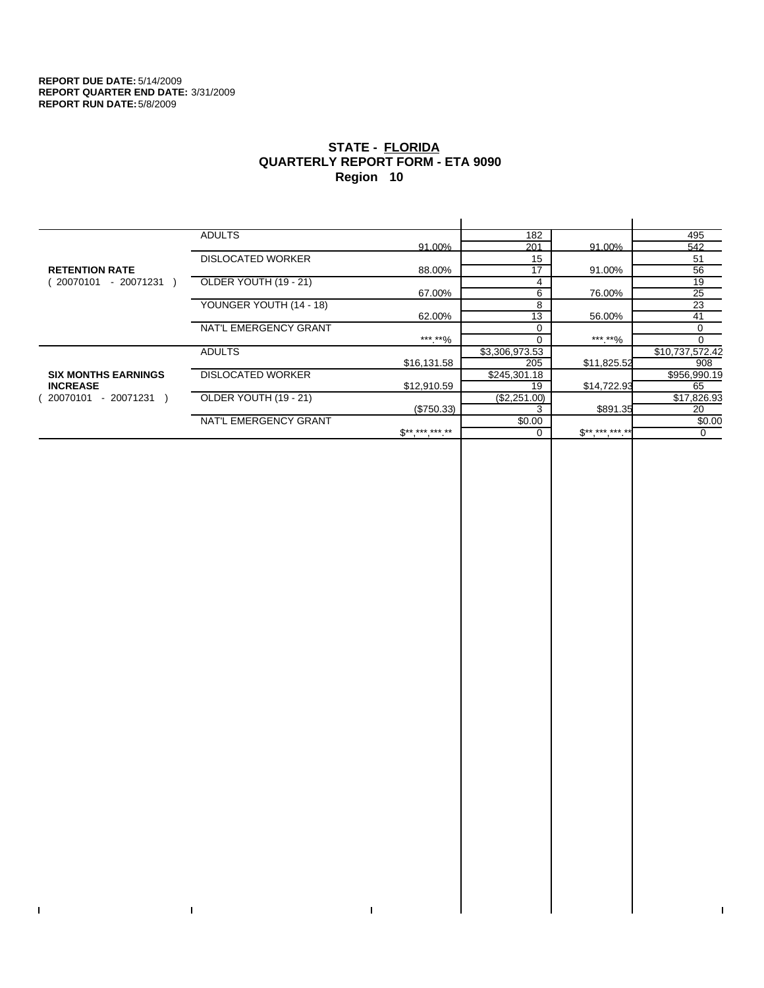$\bar{\Gamma}$ 

 $\mathbf{I}$ 

# **STATE - FLORIDA QUARTERLY REPORT FORM - ETA 9090 Region 10**

|                            | <b>ADULTS</b>            |              | 182            |              | 495             |
|----------------------------|--------------------------|--------------|----------------|--------------|-----------------|
|                            |                          | 91.00%       | 201            | 91.00%       | 542             |
|                            | <b>DISLOCATED WORKER</b> |              | 15             |              | 51              |
| <b>RETENTION RATE</b>      |                          | 88.00%       | 17             | 91.00%       | 56              |
| - 20071231 )<br>20070101   | OLDER YOUTH (19 - 21)    |              | 4              |              | 19              |
|                            |                          | 67.00%       | 6              | 76.00%       | 25              |
|                            | YOUNGER YOUTH (14 - 18)  |              | 8              |              | 23              |
|                            |                          | 62.00%       | 13             | 56.00%       | 41              |
|                            | NAT'L EMERGENCY GRANT    |              |                |              | 0               |
|                            |                          | ***.**%      |                | ***.**%      |                 |
|                            | <b>ADULTS</b>            |              | \$3,306,973.53 |              | \$10,737,572.42 |
|                            |                          | \$16,131.58  | 205            | \$11,825.52  | 908             |
| <b>SIX MONTHS EARNINGS</b> | <b>DISLOCATED WORKER</b> |              | \$245,301.18   |              | \$956,990.19    |
| <b>INCREASE</b>            |                          | \$12,910.59  | 19             | \$14,722.93  | 65              |
| - 20071231<br>20070101     | OLDER YOUTH (19 - 21)    |              | (\$2,251.00)   |              | \$17,826.93     |
|                            |                          | (\$750.33)   |                | \$891.35     | 20              |
|                            | NAT'L EMERGENCY GRANT    |              | \$0.00         |              | \$0.00          |
|                            |                          | $$*********$ |                | $S*********$ | $\mathbf 0$     |
|                            |                          |              |                |              |                 |

 $\bar{\Gamma}$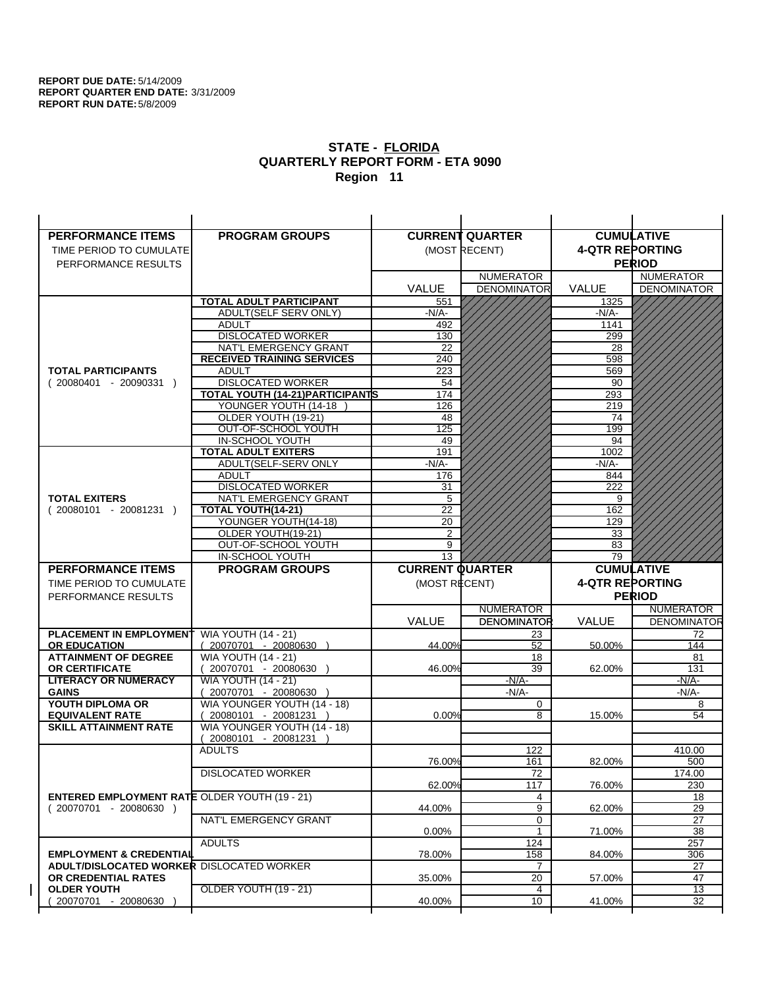| <b>PERFORMANCE ITEMS</b>                             | <b>PROGRAM GROUPS</b>                              |                        | <b>CURRENT QUARTER</b> |                        | <b>CUMULATIVE</b>        |
|------------------------------------------------------|----------------------------------------------------|------------------------|------------------------|------------------------|--------------------------|
| TIME PERIOD TO CUMULATE                              |                                                    |                        | (MOST RECENT)          | <b>4-QTR REPORTING</b> |                          |
| PERFORMANCE RESULTS                                  |                                                    |                        |                        |                        | <b>PERIOD</b>            |
|                                                      |                                                    |                        | <b>NUMERATOR</b>       |                        | <b>NUMERATOR</b>         |
|                                                      |                                                    | <b>VALUE</b>           | <b>DENOMINATOR</b>     | VALUE                  | <b>DENOMINATOR</b>       |
|                                                      | <b>TOTAL ADULT PARTICIPANT</b>                     | 551                    |                        | 1325                   |                          |
|                                                      | <b>ADULT(SELF SERV ONLY)</b>                       | -N/A-                  |                        | -N/A-                  |                          |
|                                                      | <b>ADULT</b>                                       | 492                    |                        | 1141                   |                          |
|                                                      | <b>DISLOCATED WORKER</b>                           | 130                    |                        | 299                    |                          |
|                                                      | NAT'L EMERGENCY GRANT                              | 22                     |                        | 28                     |                          |
|                                                      | <b>RECEIVED TRAINING SERVICES</b>                  | 240                    |                        | 598                    |                          |
| <b>TOTAL PARTICIPANTS</b>                            | <b>ADULT</b>                                       | 223                    |                        | 569                    |                          |
| $(20080401 - 20090331)$                              | <b>DISLOCATED WORKER</b>                           | 54                     |                        | 90                     |                          |
|                                                      | TOTAL YOUTH (14-21) PARTICIPANTS                   | 174                    |                        | 293                    |                          |
|                                                      | YOUNGER YOUTH (14-18                               | 126                    |                        | 219                    |                          |
|                                                      | OLDER YOUTH (19-21)                                | 48                     |                        | 74                     |                          |
|                                                      | OUT-OF-SCHOOL YOUTH                                | 125                    |                        | 199                    |                          |
|                                                      | IN-SCHOOL YOUTH                                    | 49                     |                        | 94                     |                          |
|                                                      | <b>TOTAL ADULT EXITERS</b>                         | 191                    |                        | 1002                   |                          |
|                                                      | ADULT(SELF-SERV ONLY                               | $-N/A$ -               |                        | $-N/A-$                |                          |
|                                                      | <b>ADULT</b><br><b>DISLOCATED WORKER</b>           | 176                    |                        | 844<br>222             |                          |
| <b>TOTAL EXITERS</b>                                 | NAT'L EMERGENCY GRANT                              | 31<br>5                |                        | 9                      |                          |
| $(20080101 - 20081231)$                              | TOTAL YOUTH(14-21)                                 | 22                     |                        | 162                    |                          |
|                                                      | YOUNGER YOUTH(14-18)                               | 20                     |                        | 129                    |                          |
|                                                      | OLDER YOUTH(19-21)                                 | 2                      |                        | 33                     |                          |
|                                                      | OUT-OF-SCHOOL YOUTH                                | 9                      |                        | 83                     |                          |
|                                                      | IN-SCHOOL YOUTH                                    | 13                     |                        | 79                     |                          |
|                                                      |                                                    |                        |                        |                        |                          |
| <b>PERFORMANCE ITEMS</b>                             | <b>PROGRAM GROUPS</b>                              | <b>CURRENT QUARTER</b> |                        |                        | <b>CUMULATIVE</b>        |
|                                                      |                                                    |                        |                        |                        |                          |
| TIME PERIOD TO CUMULATE                              |                                                    | (MOST RECENT)          |                        | <b>4-QTR REPORTING</b> |                          |
| PERFORMANCE RESULTS                                  |                                                    |                        |                        |                        | <b>PERIOD</b>            |
|                                                      |                                                    |                        | <b>NUMERATOR</b>       |                        | <b>NUMERATOR</b>         |
|                                                      |                                                    | <b>VALUE</b>           | <b>DENOMINATOR</b>     | <b>VALUE</b>           |                          |
| <b>PLACEMENT IN EMPLOYMENT</b>                       | <b>WIA YOUTH (14 - 21)</b>                         |                        | 23                     |                        | <b>DENOMINATOR</b><br>72 |
| <b>OR EDUCATION</b><br><b>ATTAINMENT OF DEGREE</b>   | $(20070701 - 20080630)$                            | 44.00%                 | 52<br>18               | 50.00%                 | 144<br>81                |
| <b>OR CERTIFICATE</b>                                | <b>WIA YOUTH (14 - 21)</b><br>(20070701 - 20080630 | 46.00%                 | 39                     | 62.00%                 | 131                      |
| <b>LITERACY OR NUMERACY</b>                          | <b>WIA YOUTH (14 - 21)</b>                         |                        | $-N/A-$                |                        | -N/A-                    |
| <b>GAINS</b>                                         | 20070701 - 20080630                                |                        | $-N/A-$                |                        | $-N/A-$                  |
| YOUTH DIPLOMA OR                                     | WIA YOUNGER YOUTH (14 - 18)                        |                        | 0                      |                        | 8                        |
| <b>EQUIVALENT RATE</b>                               | 20080101 - 20081231 )                              | 0.00%                  | 8                      | 15.00%                 | 54                       |
| <b>SKILL ATTAINMENT RATE</b>                         | WIA YOUNGER YOUTH (14 - 18)                        |                        |                        |                        |                          |
|                                                      | (20080101 - 20081231                               |                        |                        |                        |                          |
|                                                      | <b>ADULTS</b>                                      |                        | 122                    |                        | 410.00                   |
|                                                      |                                                    | 76.00%                 | 161                    | 82.00%                 | 500                      |
|                                                      | <b>DISLOCATED WORKER</b>                           |                        | $\overline{72}$        |                        | 174.00                   |
|                                                      |                                                    | 62.00%                 | 117                    | 76.00%                 | 230                      |
| <b>ENTERED EMPLOYMENT RATE OLDER YOUTH (19 - 21)</b> |                                                    |                        | 4                      |                        | 18                       |
| $(20070701 - 20080630)$                              |                                                    | 44.00%                 | 9                      | 62.00%                 | 29                       |
|                                                      | NAT'L EMERGENCY GRANT                              |                        | 0                      |                        | 27                       |
|                                                      |                                                    | 0.00%                  | 1                      | 71.00%                 | 38                       |
|                                                      | <b>ADULTS</b>                                      |                        | 124                    |                        | 257                      |
| <b>EMPLOYMENT &amp; CREDENTIAL</b>                   |                                                    | 78.00%                 | 158                    | 84.00%                 | 306                      |
| <b>ADULT/DISLOCATED WORKER DISLOCATED WORKER</b>     |                                                    |                        | 7                      | 57.00%                 | 27<br>47                 |
| OR CREDENTIAL RATES<br><b>OLDER YOUTH</b>            | <b>OLDER YOUTH (19 - 21)</b>                       | 35.00%                 | 20<br>4                |                        | $\overline{13}$          |
| 20070701 - 20080630                                  |                                                    | 40.00%                 | 10                     | 41.00%                 | 32                       |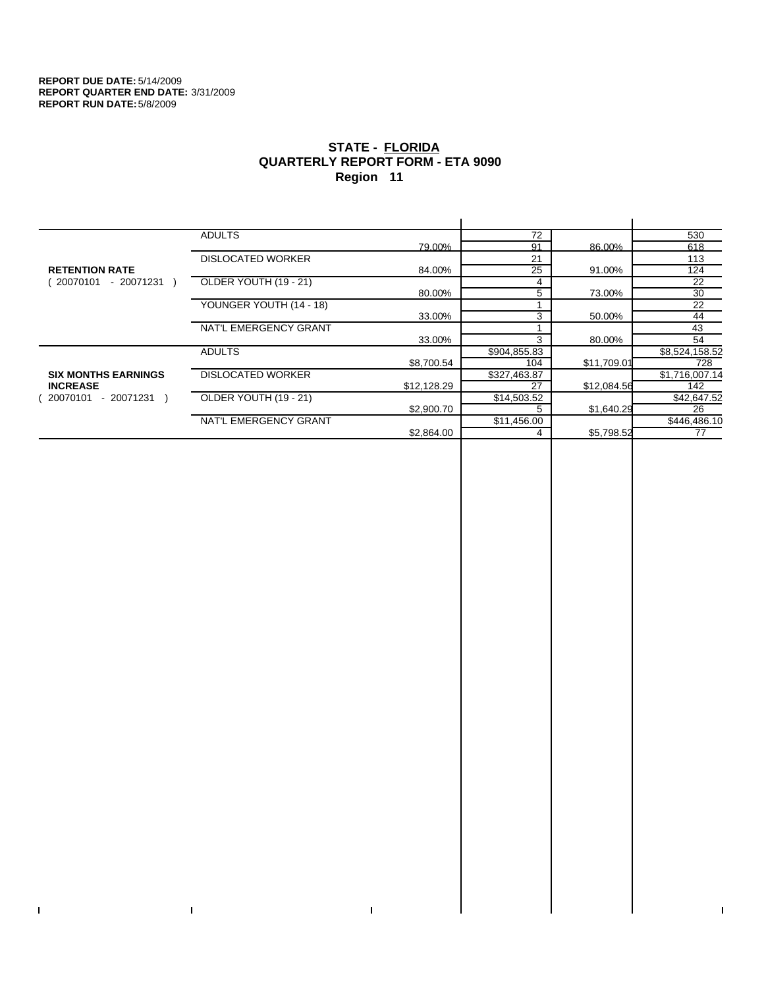$\bar{\Gamma}$ 

 $\Gamma$ 

# **STATE - FLORIDA QUARTERLY REPORT FORM - ETA 9090 Region 11**

|                            | <b>ADULTS</b>            |             | 72           |             | 530            |
|----------------------------|--------------------------|-------------|--------------|-------------|----------------|
|                            |                          | 79.00%      | 91           | 86.00%      | 618            |
|                            | <b>DISLOCATED WORKER</b> |             | 21           |             | 113            |
| <b>RETENTION RATE</b>      |                          | 84.00%      | 25           | 91.00%      | 124            |
| - 20071231<br>20070101     | OLDER YOUTH (19 - 21)    |             | 4            |             | 22             |
|                            |                          | 80.00%      | 5            | 73.00%      | 30             |
|                            | YOUNGER YOUTH (14 - 18)  |             |              |             | 22             |
|                            |                          | 33.00%      | 3            | 50.00%      | 44             |
|                            | NAT'L EMERGENCY GRANT    |             |              |             | 43             |
|                            |                          | 33.00%      | 3            | 80.00%      | 54             |
|                            | <b>ADULTS</b>            |             | \$904,855.83 |             | \$8,524,158.52 |
|                            |                          | \$8,700.54  | 104          | \$11,709.01 | 728            |
| <b>SIX MONTHS EARNINGS</b> | <b>DISLOCATED WORKER</b> |             | \$327,463.87 |             | \$1,716,007.14 |
| <b>INCREASE</b>            |                          | \$12,128.29 | 27           | \$12,084.56 | 142            |
| $-20071231$<br>20070101    | OLDER YOUTH (19 - 21)    |             | \$14,503.52  |             | \$42,647.52    |
|                            |                          | \$2,900.70  |              | \$1,640.29  | 26             |
|                            | NAT'L EMERGENCY GRANT    |             | \$11,456.00  |             | \$446,486.10   |
|                            |                          | \$2,864.00  |              | \$5,798.52  | 77             |
|                            |                          |             |              |             |                |

 $\bar{\Gamma}$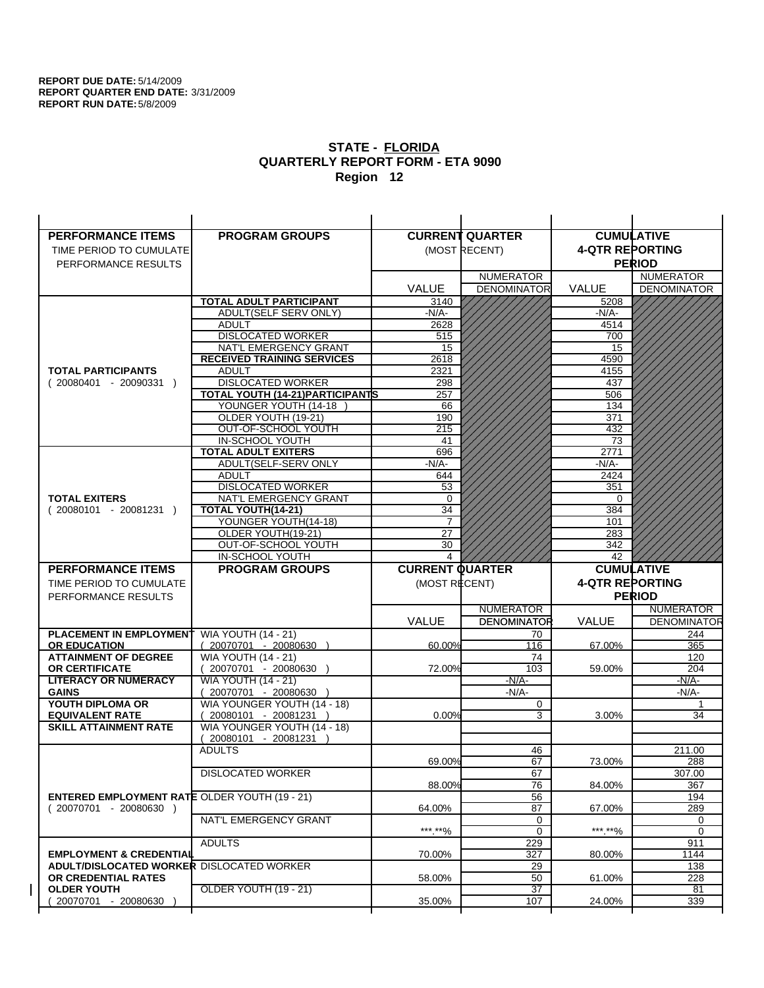| <b>PERFORMANCE ITEMS</b>                             | <b>PROGRAM GROUPS</b>                                |                        | <b>CURRENT QUARTER</b> |                        | <b>CUMULATIVE</b>  |
|------------------------------------------------------|------------------------------------------------------|------------------------|------------------------|------------------------|--------------------|
| TIME PERIOD TO CUMULATE                              |                                                      |                        | (MOST RECENT)          | <b>4-QTR REPORTING</b> |                    |
| PERFORMANCE RESULTS                                  |                                                      |                        |                        |                        | <b>PERIOD</b>      |
|                                                      |                                                      |                        | <b>NUMERATOR</b>       |                        | <b>NUMERATOR</b>   |
|                                                      |                                                      | <b>VALUE</b>           | <b>DENOMINATOR</b>     | <b>VALUE</b>           | <b>DENOMINATOR</b> |
|                                                      | TOTAL ADULT PARTICIPANT                              | 3140                   |                        | 5208                   |                    |
|                                                      | ADULT(SELF SERV ONLY)                                | -N/A-                  |                        | -N/A-                  |                    |
|                                                      | <b>ADULT</b>                                         | 2628                   |                        | 4514                   |                    |
|                                                      | <b>DISLOCATED WORKER</b>                             | 515                    |                        | 700                    |                    |
|                                                      | NAT'L EMERGENCY GRANT                                | 15                     |                        | 15                     |                    |
|                                                      | <b>RECEIVED TRAINING SERVICES</b>                    | 2618                   |                        | 4590                   |                    |
| <b>TOTAL PARTICIPANTS</b>                            | <b>ADULT</b>                                         | 2321                   |                        | 4155                   |                    |
| $(20080401 - 20090331)$                              | <b>DISLOCATED WORKER</b>                             | 298                    |                        | 437                    |                    |
|                                                      | TOTAL YOUTH (14-21) PARTICIPANTS                     | 257                    |                        | 506                    |                    |
|                                                      | YOUNGER YOUTH (14-18)                                | 66                     |                        | 134                    |                    |
|                                                      | OLDER YOUTH (19-21)                                  | 190                    |                        | 371                    |                    |
|                                                      | OUT-OF-SCHOOL YOUTH                                  | 215                    |                        | 432                    |                    |
|                                                      | IN-SCHOOL YOUTH                                      | 41                     |                        | 73                     |                    |
|                                                      | <b>TOTAL ADULT EXITERS</b>                           | 696                    |                        | 2771                   |                    |
|                                                      | ADULT(SELF-SERV ONLY                                 | $-N/A-$                |                        | $-N/A-$                |                    |
|                                                      | <b>ADULT</b>                                         | 644                    |                        | 2424                   |                    |
|                                                      | <b>DISLOCATED WORKER</b>                             | 53                     |                        | 351                    |                    |
| <b>TOTAL EXITERS</b>                                 | NAT'L EMERGENCY GRANT                                | 0<br>$\overline{34}$   |                        | 0<br>384               |                    |
| $(20080101 - 20081231)$                              | TOTAL YOUTH(14-21)                                   | $\overline{7}$         |                        |                        |                    |
|                                                      | YOUNGER YOUTH(14-18)<br>OLDER YOUTH(19-21)           | 27                     |                        | 101<br>283             |                    |
|                                                      | OUT-OF-SCHOOL YOUTH                                  | 30                     |                        | 342                    |                    |
|                                                      | <b>IN-SCHOOL YOUTH</b>                               | 4                      |                        | 42                     |                    |
|                                                      |                                                      |                        |                        |                        |                    |
|                                                      |                                                      |                        |                        |                        |                    |
| <b>PERFORMANCE ITEMS</b>                             | <b>PROGRAM GROUPS</b>                                | <b>CURRENT QUARTER</b> |                        |                        | <b>CUMULATIVE</b>  |
| TIME PERIOD TO CUMULATE                              |                                                      | (MOST RECENT)          |                        | <b>4-QTR REPORTING</b> |                    |
| PERFORMANCE RESULTS                                  |                                                      |                        |                        |                        | <b>PERIOD</b>      |
|                                                      |                                                      |                        | <b>NUMERATOR</b>       |                        | <b>NUMERATOR</b>   |
|                                                      |                                                      | <b>VALUE</b>           | <b>DENOMINATOR</b>     | <b>VALUE</b>           | <b>DENOMINATOR</b> |
| <b>PLACEMENT IN EMPLOYMENT</b>                       | <b>WIA YOUTH (14 - 21)</b>                           |                        | 70                     |                        | 244                |
| <b>OR EDUCATION</b>                                  | $(20070701 - 20080630)$                              | 60.00%                 | 116                    | 67.00%                 | 365                |
| <b>ATTAINMENT OF DEGREE</b>                          | <b>WIA YOUTH (14 - 21)</b>                           |                        | 74                     |                        | 120                |
| <b>OR CERTIFICATE</b>                                | (20070701 - 20080630                                 | 72.00%                 | 103                    | 59.00%                 | 204                |
| <b>LITERACY OR NUMERACY</b>                          | <b>WIA YOUTH (14 - 21)</b>                           |                        | $-N/A-$                |                        | -N/A-              |
| <b>GAINS</b>                                         | 20070701 - 20080630                                  |                        | $-N/A-$<br>0           |                        | -N/A-<br>1         |
| YOUTH DIPLOMA OR<br><b>EQUIVALENT RATE</b>           | WIA YOUNGER YOUTH (14 - 18)<br>20080101 - 20081231 ) | 0.00%                  | 3                      | 3.00%                  | 34                 |
| <b>SKILL ATTAINMENT RATE</b>                         | WIA YOUNGER YOUTH (14 - 18)                          |                        |                        |                        |                    |
|                                                      | (20080101 - 20081231                                 |                        |                        |                        |                    |
|                                                      | <b>ADULTS</b>                                        |                        | 46                     |                        | 211.00             |
|                                                      |                                                      | 69.00%                 | 67                     | 73.00%                 | 288                |
|                                                      | <b>DISLOCATED WORKER</b>                             |                        | 67                     |                        | 307.00             |
|                                                      |                                                      | 88.00%                 | 76                     | 84.00%                 | 367                |
| <b>ENTERED EMPLOYMENT RATE OLDER YOUTH (19 - 21)</b> |                                                      |                        | 56                     |                        | 194                |
| (20070701 - 20080630 )                               |                                                      | 64.00%                 | 87                     | 67.00%                 | 289                |
|                                                      | NAT'L EMERGENCY GRANT                                |                        | 0                      |                        | 0                  |
|                                                      |                                                      | ***.**%                | $\mathbf 0$            | ***.**%                | 0                  |
|                                                      | <b>ADULTS</b>                                        |                        | 229                    |                        | 911                |
| <b>EMPLOYMENT &amp; CREDENTIAL</b>                   |                                                      | 70.00%                 | 327                    | 80.00%                 | 1144               |
| ADULT/DISLOCATED WORKER DISLOCATED WORKER            |                                                      |                        | 29                     |                        | 138                |
| OR CREDENTIAL RATES                                  |                                                      | 58.00%                 | 50                     | 61.00%                 | 228                |
| <b>OLDER YOUTH</b><br>20070701 - 20080630            | OLDER YOUTH (19 - 21)                                | 35.00%                 | $\overline{37}$<br>107 | 24.00%                 | 81<br>339          |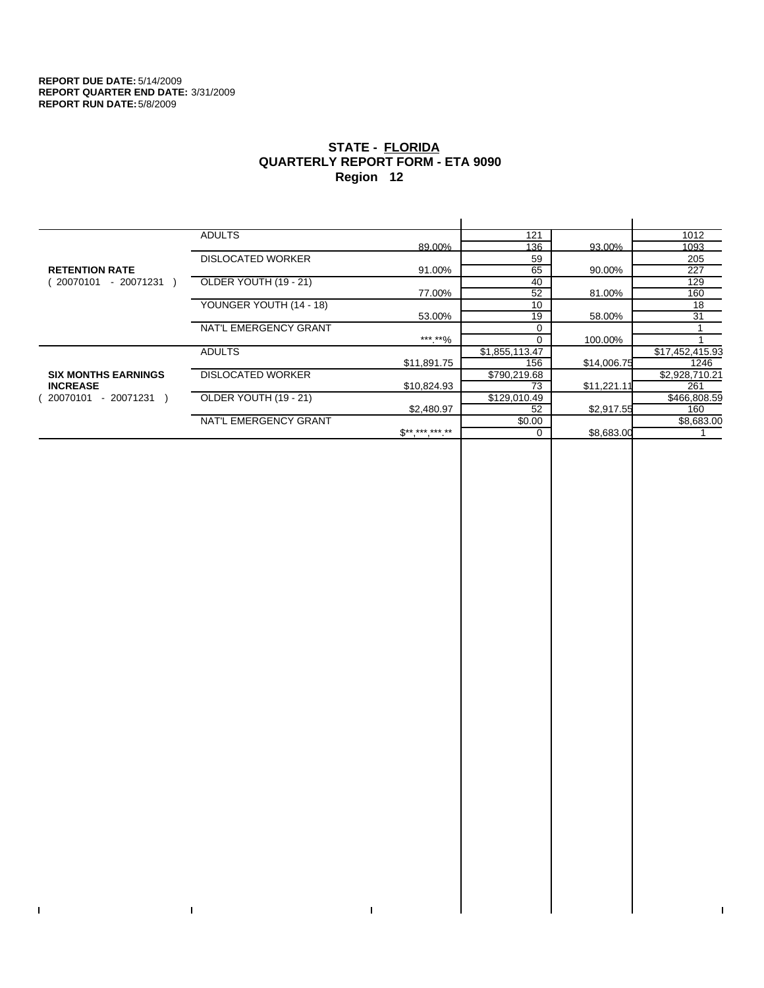$\bar{\Gamma}$ 

 $\Gamma$ 

# **STATE - FLORIDA QUARTERLY REPORT FORM - ETA 9090 Region 12**

|                            | <b>ADULTS</b>            |              | 121            |             | 1012            |
|----------------------------|--------------------------|--------------|----------------|-------------|-----------------|
|                            |                          | 89.00%       | 136            | 93.00%      | 1093            |
|                            | <b>DISLOCATED WORKER</b> |              | 59             |             | 205             |
| <b>RETENTION RATE</b>      |                          | 91.00%       | 65             | 90.00%      | 227             |
| $-20071231$<br>20070101    | OLDER YOUTH (19 - 21)    |              | 40             |             | 129             |
|                            |                          | 77.00%       | 52             | 81.00%      | 160             |
|                            | YOUNGER YOUTH (14 - 18)  |              | 10             |             | 18              |
|                            |                          | 53.00%       | 19             | 58.00%      | 31              |
|                            | NAT'L EMERGENCY GRANT    |              |                |             |                 |
|                            |                          | ***.**%      |                | 100.00%     |                 |
|                            | <b>ADULTS</b>            |              | \$1,855,113.47 |             | \$17,452,415.93 |
|                            |                          | \$11,891.75  | 156            | \$14,006.75 | 1246            |
| <b>SIX MONTHS EARNINGS</b> | <b>DISLOCATED WORKER</b> |              | \$790,219.68   |             | \$2,928,710.21  |
| <b>INCREASE</b>            |                          | \$10,824.93  | 73             | \$11,221.11 | 261             |
| - 20071231<br>20070101     | OLDER YOUTH (19 - 21)    |              | \$129,010.49   |             | \$466,808.59    |
|                            |                          | \$2,480.97   | 52             | \$2,917.55  | 160             |
|                            | NAT'L EMERGENCY GRANT    |              | \$0.00         |             | \$8,683.00      |
|                            |                          | $S*********$ |                | \$8,683.00  |                 |
|                            |                          |              |                |             |                 |

 $\bar{\Gamma}$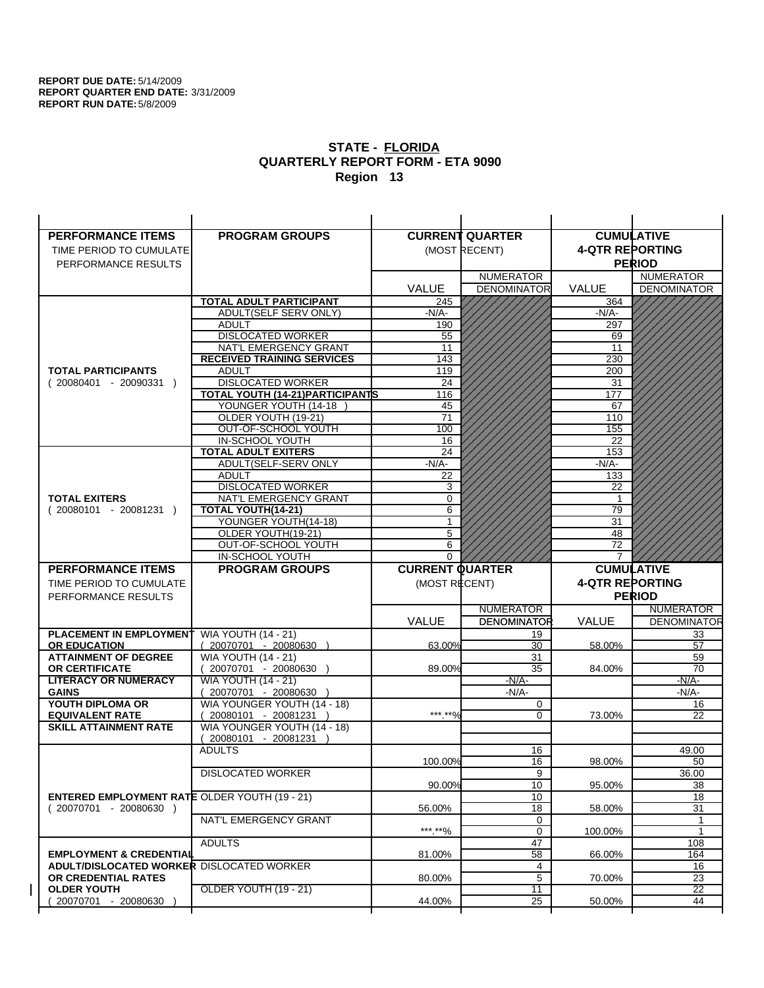| <b>PERFORMANCE ITEMS</b>                             | <b>PROGRAM GROUPS</b>                   |                        | <b>CURRENT QUARTER</b> |                        | <b>CUMULATIVE</b>     |
|------------------------------------------------------|-----------------------------------------|------------------------|------------------------|------------------------|-----------------------|
| TIME PERIOD TO CUMULATE                              |                                         |                        | (MOST RECENT)          | <b>4-QTR REPORTING</b> |                       |
| PERFORMANCE RESULTS                                  |                                         |                        |                        |                        | <b>PERIOD</b>         |
|                                                      |                                         |                        | <b>NUMERATOR</b>       |                        | <b>NUMERATOR</b>      |
|                                                      |                                         | <b>VALUE</b>           | <b>DENOMINATOR</b>     | <b>VALUE</b>           | <b>DENOMINATOR</b>    |
|                                                      | <b>TOTAL ADULT PARTICIPANT</b>          | 245                    |                        | 364                    |                       |
|                                                      | ADULT(SELF SERV ONLY)                   | $-N/A-$                |                        | -N/A-                  |                       |
|                                                      | <b>ADULT</b>                            | 190                    |                        | 297                    |                       |
|                                                      | <b>DISLOCATED WORKER</b>                | 55                     |                        | 69                     |                       |
|                                                      | NAT'L EMERGENCY GRANT                   | 11                     |                        | 11                     |                       |
|                                                      | <b>RECEIVED TRAINING SERVICES</b>       | 143                    |                        | 230                    |                       |
| <b>TOTAL PARTICIPANTS</b>                            | <b>ADULT</b>                            | 119                    |                        | 200                    |                       |
| $(20080401 - 20090331)$                              | <b>DISLOCATED WORKER</b>                | 24                     |                        | 31                     |                       |
|                                                      | <b>TOTAL YOUTH (14-21) PARTICIPANTS</b> | 116                    |                        | 177                    |                       |
|                                                      | YOUNGER YOUTH (14-18                    | 45                     |                        | 67                     |                       |
|                                                      | OLDER YOUTH (19-21)                     | 71                     |                        | 110                    |                       |
|                                                      | OUT-OF-SCHOOL YOUTH                     | 100                    |                        | 155                    |                       |
|                                                      | IN-SCHOOL YOUTH                         | 16                     |                        | 22                     |                       |
|                                                      | <b>TOTAL ADULT EXITERS</b>              | 24                     |                        | 153                    |                       |
|                                                      | ADULT(SELF-SERV ONLY                    | $-N/A$ -               |                        | $-N/A$ -               |                       |
|                                                      | <b>ADULT</b>                            | 22                     |                        | 133                    |                       |
|                                                      | <b>DISLOCATED WORKER</b>                | 3                      |                        | 22                     |                       |
| <b>TOTAL EXITERS</b>                                 | NAT'L EMERGENCY GRANT                   | 0                      |                        | 1                      |                       |
| $(20080101 - 20081231)$                              | TOTAL YOUTH(14-21)                      | 6                      |                        | 79                     |                       |
|                                                      | YOUNGER YOUTH(14-18)                    | 1                      |                        | 31                     |                       |
|                                                      | OLDER YOUTH(19-21)                      | 5                      |                        | 48                     |                       |
|                                                      | OUT-OF-SCHOOL YOUTH                     | 6                      |                        | 72                     |                       |
|                                                      | IN-SCHOOL YOUTH                         | $\Omega$               |                        | 7                      |                       |
|                                                      |                                         |                        |                        |                        |                       |
| <b>PERFORMANCE ITEMS</b>                             | <b>PROGRAM GROUPS</b>                   | <b>CURRENT QUARTER</b> |                        |                        | <b>CUMULATIVE</b>     |
| TIME PERIOD TO CUMULATE                              |                                         | (MOST RECENT)          |                        | <b>4-QTR REPORTING</b> |                       |
| PERFORMANCE RESULTS                                  |                                         |                        |                        |                        | <b>PERIOD</b>         |
|                                                      |                                         |                        | <b>NUMERATOR</b>       |                        | <b>NUMERATOR</b>      |
|                                                      |                                         | <b>VALUE</b>           | <b>DENOMINATOR</b>     | <b>VALUE</b>           | <b>DENOMINATOR</b>    |
| <b>PLACEMENT IN EMPLOYMENT</b>                       | <b>WIA YOUTH (14 - 21)</b>              |                        | 19                     |                        | 33                    |
| <b>OR EDUCATION</b>                                  | $(20070701 - 20080630)$                 | 63.00%                 | 30                     | 58.00%                 | 57                    |
| <b>ATTAINMENT OF DEGREE</b>                          | <b>WIA YOUTH (14 - 21)</b>              |                        | 31                     |                        | 59                    |
| <b>OR CERTIFICATE</b>                                | 20070701 - 20080630 )                   | 89.00%                 | 35                     | 84.00%                 | 70                    |
| <b>LITERACY OR NUMERACY</b>                          | <b>WIA YOUTH (14 - 21)</b>              |                        | $-N/A-$                |                        | $-N/A$ -              |
| <b>GAINS</b>                                         | 20070701 - 20080630                     |                        | $-N/A$ -               |                        | -N/A-                 |
| YOUTH DIPLOMA OR                                     | WIA YOUNGER YOUTH (14 - 18)             |                        | 0                      |                        | 16                    |
| <b>EQUIVALENT RATE</b>                               | 20080101 - 20081231 )                   | *** **%                | $\Omega$               | 73.00%                 | 22                    |
| <b>SKILL ATTAINMENT RATE</b>                         | WIA YOUNGER YOUTH (14 - 18)             |                        |                        |                        |                       |
|                                                      | (20080101 - 20081231                    |                        |                        |                        |                       |
|                                                      | <b>ADULTS</b>                           |                        | 16                     |                        | 49.00                 |
|                                                      |                                         | 100.00%                | 16                     | 98.00%                 | 50                    |
|                                                      | <b>DISLOCATED WORKER</b>                |                        | $\overline{9}$         |                        | 36.00                 |
|                                                      |                                         | 90.00%                 | 10                     | 95.00%                 | 38                    |
| <b>ENTERED EMPLOYMENT RATE OLDER YOUTH (19 - 21)</b> |                                         |                        | 10                     |                        | 18                    |
| $(20070701 - 20080630)$                              |                                         | 56.00%                 | 18                     | 58.00%                 | 31                    |
|                                                      | NAT'L EMERGENCY GRANT                   |                        | 0                      |                        | 1                     |
|                                                      |                                         | ***.**%                | 0                      | 100.00%                | $\mathbf{1}$          |
|                                                      | <b>ADULTS</b>                           |                        | 47                     |                        | 108                   |
| <b>EMPLOYMENT &amp; CREDENTIAL</b>                   |                                         | 81.00%                 | 58                     | 66.00%                 | 164                   |
| <b>ADULT/DISLOCATED WORKER DISLOCATED WORKER</b>     |                                         |                        | 4                      |                        | 16                    |
| OR CREDENTIAL RATES                                  |                                         | 80.00%                 | 5                      | 70.00%                 | 23                    |
| <b>OLDER YOUTH</b><br>20070701 - 20080630            | <b>OLDER YOUTH (19 - 21)</b>            | 44.00%                 | 11<br>$\overline{25}$  | 50.00%                 | $\overline{22}$<br>44 |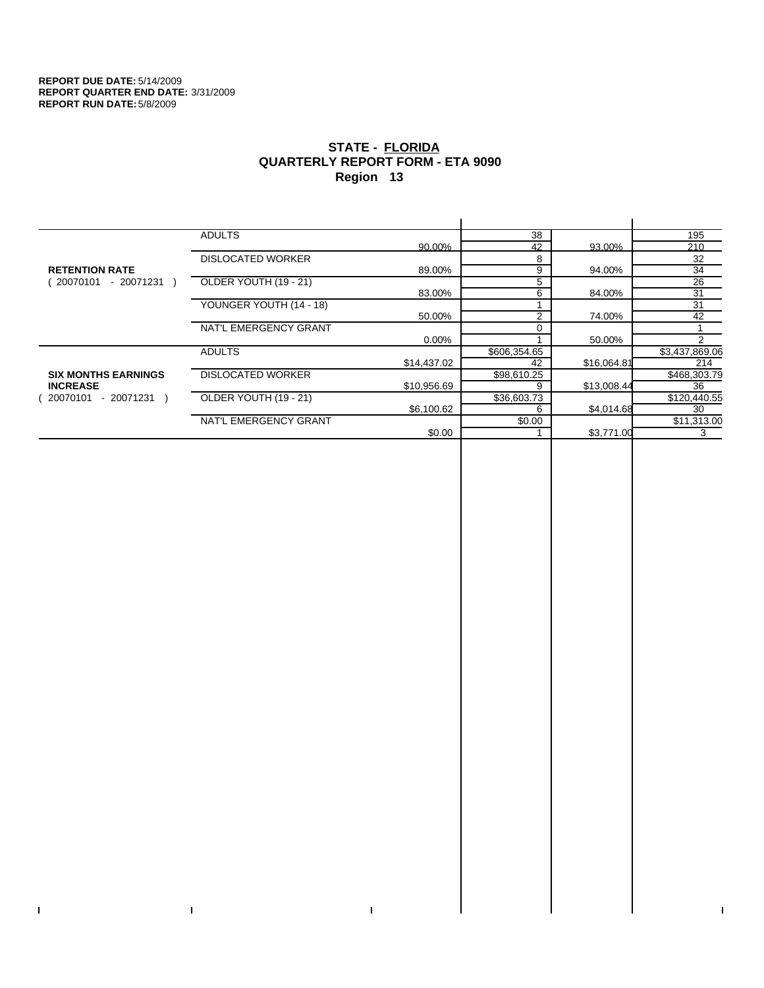$\bar{\Gamma}$ 

 $\Gamma$ 

# **STATE - FLORIDA QUARTERLY REPORT FORM - ETA 9090 Region 13**

|                            | <b>ADULTS</b>            |             | 38             |             | 195             |
|----------------------------|--------------------------|-------------|----------------|-------------|-----------------|
|                            |                          | 90.00%      | 42             | 93.00%      | 210             |
|                            | <b>DISLOCATED WORKER</b> |             | 8              |             | 32              |
| <b>RETENTION RATE</b>      |                          | 89.00%      | 9              | 94.00%      | 34              |
| 20070101<br>- 20071231     | OLDER YOUTH (19 - 21)    |             | 5              |             | $\overline{26}$ |
|                            |                          | 83.00%      | 6              | 84.00%      | 31              |
|                            | YOUNGER YOUTH (14 - 18)  |             |                |             | 31              |
|                            |                          | 50.00%      | $\overline{2}$ | 74.00%      | 42              |
|                            | NAT'L EMERGENCY GRANT    |             |                |             |                 |
|                            |                          | $0.00\%$    |                | 50.00%      | 2               |
|                            | <b>ADULTS</b>            |             | \$606,354.65   |             | \$3,437,869.06  |
|                            |                          | \$14,437.02 | 42             | \$16,064.81 | 214             |
| <b>SIX MONTHS EARNINGS</b> | <b>DISLOCATED WORKER</b> |             | \$98,610.25    |             | \$468,303.79    |
| <b>INCREASE</b>            |                          | \$10,956.69 | 9              | \$13,008.44 | 36              |
| - 20071231 )<br>20070101   | OLDER YOUTH (19 - 21)    |             | \$36,603.73    |             | \$120,440.55    |
|                            |                          | \$6,100.62  | 6              | \$4,014.68  | 30              |
|                            | NAT'L EMERGENCY GRANT    |             | \$0.00         |             | \$11,313.00     |
|                            |                          | \$0.00      |                | \$3,771.00  | 3               |
|                            |                          |             |                |             |                 |

 $\bar{\Gamma}$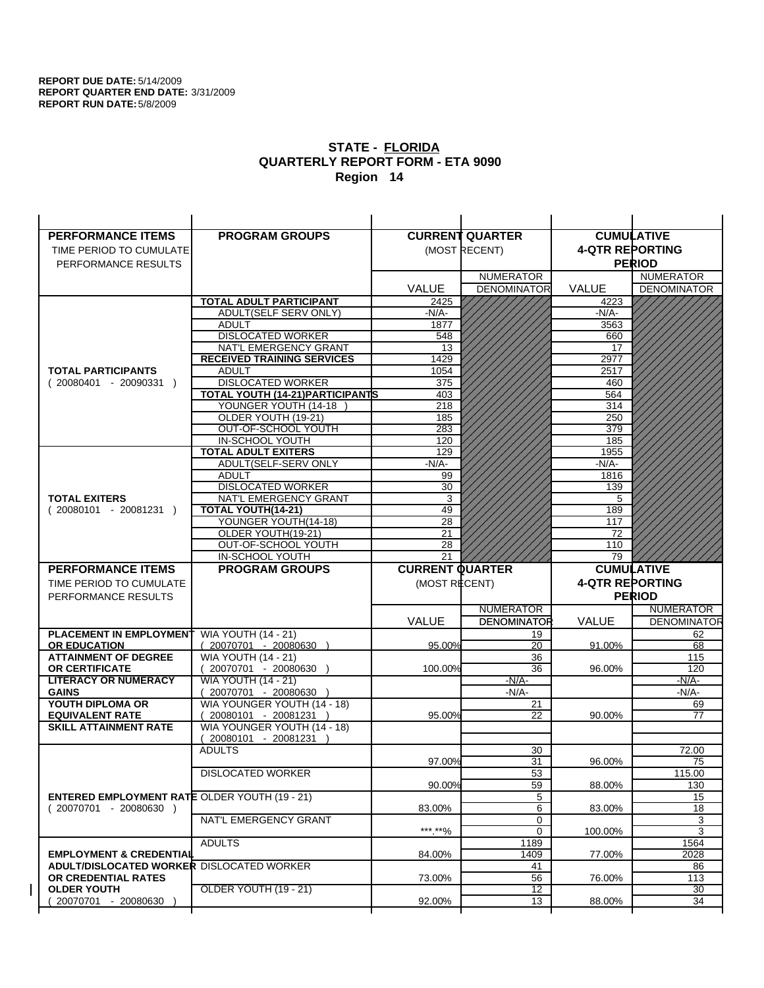| <b>PERFORMANCE ITEMS</b>                             | <b>PROGRAM GROUPS</b>                                 |                        | <b>CURRENT QUARTER</b> |                        | <b>CUMULATIVE</b>                 |
|------------------------------------------------------|-------------------------------------------------------|------------------------|------------------------|------------------------|-----------------------------------|
| TIME PERIOD TO CUMULATE                              |                                                       |                        | (MOST RECENT)          | <b>4-QTR REPORTING</b> |                                   |
| PERFORMANCE RESULTS                                  |                                                       |                        |                        |                        | <b>PERIOD</b>                     |
|                                                      |                                                       |                        | <b>NUMERATOR</b>       |                        | <b>NUMERATOR</b>                  |
|                                                      |                                                       | <b>VALUE</b>           | <b>DENOMINATOR</b>     | VALUE                  | <b>DENOMINATOR</b>                |
|                                                      | TOTAL ADULT PARTICIPANT                               | 2425                   |                        | 4223                   |                                   |
|                                                      | <b>ADULT(SELF SERV ONLY)</b>                          | -N/A-                  |                        | -N/A-                  |                                   |
|                                                      | <b>ADULT</b>                                          | 1877                   |                        | 3563                   |                                   |
|                                                      | <b>DISLOCATED WORKER</b>                              | 548                    |                        | 660                    |                                   |
|                                                      | NAT'L EMERGENCY GRANT                                 | 13                     |                        | 17                     |                                   |
|                                                      | <b>RECEIVED TRAINING SERVICES</b>                     | 1429                   |                        | 2977                   |                                   |
| <b>TOTAL PARTICIPANTS</b>                            | <b>ADULT</b><br><b>DISLOCATED WORKER</b>              | 1054<br>375            |                        | 2517                   |                                   |
| $(20080401 - 20090331)$                              | TOTAL YOUTH (14-21) PARTICIPANTS                      | 403                    |                        | 460<br>564             |                                   |
|                                                      | YOUNGER YOUTH (14-18                                  | 218                    |                        | 314                    |                                   |
|                                                      | OLDER YOUTH (19-21)                                   | 185                    |                        | 250                    |                                   |
|                                                      | OUT-OF-SCHOOL YOUTH                                   | 283                    |                        | 379                    |                                   |
|                                                      | IN-SCHOOL YOUTH                                       | 120                    |                        | 185                    |                                   |
|                                                      | <b>TOTAL ADULT EXITERS</b>                            | 129                    |                        | 1955                   |                                   |
|                                                      | ADULT(SELF-SERV ONLY                                  | $-N/A$ -               |                        | $-N/A-$                |                                   |
|                                                      | <b>ADULT</b>                                          | 99                     |                        | 1816                   |                                   |
|                                                      | <b>DISLOCATED WORKER</b>                              | 30                     |                        | 139                    |                                   |
| <b>TOTAL EXITERS</b>                                 | NAT'L EMERGENCY GRANT                                 | 3                      |                        | 5                      |                                   |
| $(20080101 - 20081231)$                              | TOTAL YOUTH(14-21)                                    | 49                     |                        | 189                    |                                   |
|                                                      | YOUNGER YOUTH(14-18)<br>OLDER YOUTH(19-21)            | 28<br>21               |                        | 117<br>72              |                                   |
|                                                      | OUT-OF-SCHOOL YOUTH                                   | 28                     |                        | 110                    |                                   |
|                                                      | IN-SCHOOL YOUTH                                       | 21                     |                        | 79                     |                                   |
|                                                      |                                                       |                        |                        |                        |                                   |
|                                                      |                                                       |                        |                        |                        | <b>CUMULATIVE</b>                 |
| <b>PERFORMANCE ITEMS</b>                             | <b>PROGRAM GROUPS</b>                                 | <b>CURRENT QUARTER</b> |                        |                        |                                   |
| TIME PERIOD TO CUMULATE                              |                                                       | (MOST RECENT)          |                        | <b>4-QTR REPORTING</b> |                                   |
| PERFORMANCE RESULTS                                  |                                                       |                        | <b>NUMERATOR</b>       |                        | <b>PERIOD</b><br><b>NUMERATOR</b> |
|                                                      |                                                       | <b>VALUE</b>           | <b>DENOMINATOR</b>     | <b>VALUE</b>           | <b>DENOMINATOR</b>                |
| <b>PLACEMENT IN EMPLOYMENT</b>                       |                                                       |                        | 19                     |                        | 62                                |
| <b>OR EDUCATION</b>                                  | <b>WIA YOUTH (14 - 21)</b><br>$(20070701 - 20080630)$ | 95.00%                 | 20                     | 91.00%                 | 68                                |
| <b>ATTAINMENT OF DEGREE</b>                          | <b>WIA YOUTH (14 - 21)</b>                            |                        | 36                     |                        | 115                               |
| <b>OR CERTIFICATE</b>                                | (20070701 - 20080630                                  | 100.00%                | 36                     | 96.00%                 | 120                               |
| <b>LITERACY OR NUMERACY</b>                          | <b>WIA YOUTH (14 - 21)</b>                            |                        | $-N/A-$                |                        | $-N/A$ -                          |
| <b>GAINS</b>                                         | 20070701 - 20080630                                   |                        | $-N/A-$                |                        | $-N/A-$                           |
| YOUTH DIPLOMA OR                                     | WIA YOUNGER YOUTH (14 - 18)                           |                        | 21                     |                        | 69                                |
| <b>EQUIVALENT RATE</b>                               | 20080101 - 20081231 )                                 | 95.00%                 | 22                     | 90.00%                 | 77                                |
| <b>SKILL ATTAINMENT RATE</b>                         | WIA YOUNGER YOUTH (14 - 18)                           |                        |                        |                        |                                   |
|                                                      | (20080101 - 20081231                                  |                        |                        |                        |                                   |
|                                                      | <b>ADULTS</b>                                         | 97.00%                 | 30<br>31               | 96.00%                 | 72.00<br>75                       |
|                                                      |                                                       |                        |                        |                        |                                   |
|                                                      | <b>DISLOCATED WORKER</b>                              | 90.00%                 | $\overline{53}$<br>59  | 88.00%                 | 115.00<br>130                     |
| <b>ENTERED EMPLOYMENT RATE OLDER YOUTH (19 - 21)</b> |                                                       |                        | 5                      |                        | 15                                |
| $(20070701 - 20080630)$                              |                                                       | 83.00%                 | 6                      | 83.00%                 | 18                                |
|                                                      | NAT'L EMERGENCY GRANT                                 |                        | 0                      |                        | 3                                 |
|                                                      |                                                       | ***.**%                | $\mathbf 0$            | 100.00%                | 3                                 |
|                                                      | <b>ADULTS</b>                                         |                        | 1189                   |                        | 1564                              |
| <b>EMPLOYMENT &amp; CREDENTIAL</b>                   |                                                       | 84.00%                 | 1409                   | 77.00%                 | 2028                              |
| <b>ADULT/DISLOCATED WORKER DISLOCATED WORKER</b>     |                                                       |                        | 41                     |                        | 86                                |
| OR CREDENTIAL RATES<br><b>OLDER YOUTH</b>            | OLDER YOUTH (19 - 21)                                 | 73.00%                 | 56<br>$\overline{12}$  | 76.00%                 | 113<br>$\overline{30}$            |
| 20070701 - 20080630                                  |                                                       | 92.00%                 | 13                     | 88.00%                 | 34                                |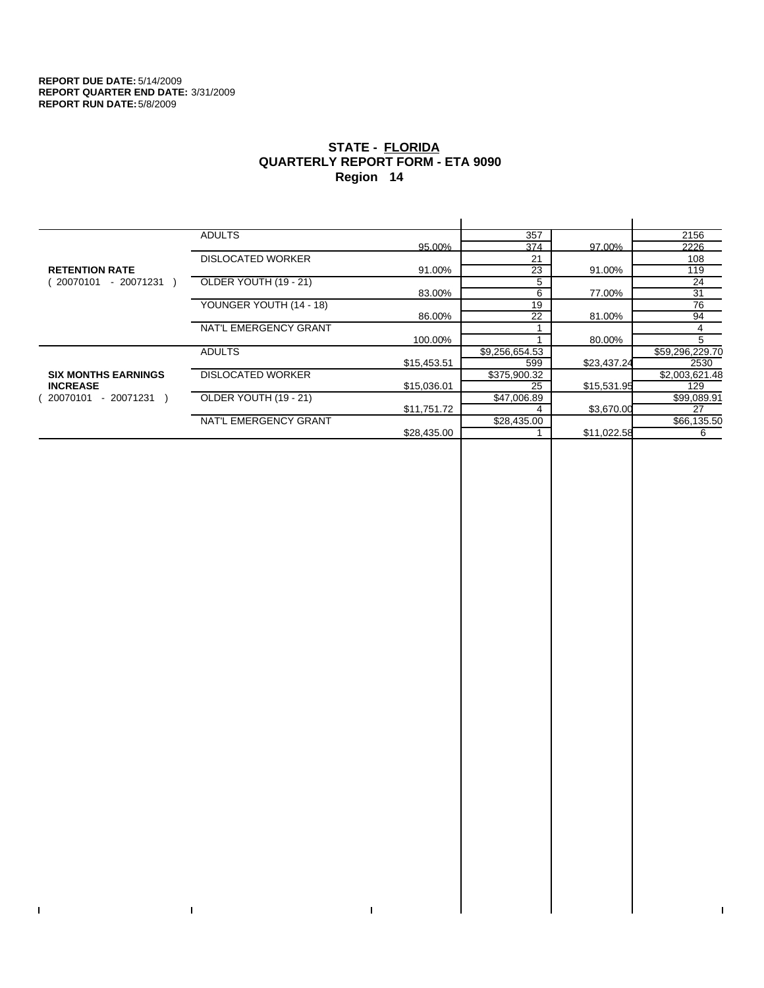$\bar{\Gamma}$ 

 $\Gamma$ 

# **STATE - FLORIDA QUARTERLY REPORT FORM - ETA 9090 Region 14**

|                            | <b>ADULTS</b>            |             | 357            |             | 2156            |
|----------------------------|--------------------------|-------------|----------------|-------------|-----------------|
|                            |                          | 95.00%      | 374            | 97.00%      | 2226            |
|                            | <b>DISLOCATED WORKER</b> |             | 21             |             | 108             |
| <b>RETENTION RATE</b>      |                          | 91.00%      | 23             | 91.00%      | 119             |
| 20070101<br>- 20071231     | OLDER YOUTH (19 - 21)    |             | 5              |             | 24              |
|                            |                          | 83.00%      | 6              | 77.00%      | 31              |
|                            | YOUNGER YOUTH (14 - 18)  |             | 19             |             | 76              |
|                            |                          | 86.00%      | 22             | 81.00%      | 94              |
|                            | NAT'L EMERGENCY GRANT    |             |                |             | 4               |
|                            |                          | 100.00%     |                | 80.00%      | 5               |
|                            | <b>ADULTS</b>            |             | \$9,256,654.53 |             | \$59,296,229.70 |
|                            |                          | \$15,453.51 | 599            | \$23,437.24 | 2530            |
| <b>SIX MONTHS EARNINGS</b> | <b>DISLOCATED WORKER</b> |             | \$375,900.32   |             | \$2,003,621.48  |
| <b>INCREASE</b>            |                          | \$15,036.01 | 25             | \$15,531.95 | 129             |
| $-20071231$ )<br>20070101  | OLDER YOUTH (19 - 21)    |             | \$47,006.89    |             | \$99,089.91     |
|                            |                          | \$11,751.72 |                | \$3,670.00  | 27              |
|                            | NAT'L EMERGENCY GRANT    |             | \$28,435.00    |             | \$66,135.50     |
|                            |                          | \$28,435.00 |                | \$11,022.58 | 6               |
|                            |                          |             |                |             |                 |

 $\bar{\Gamma}$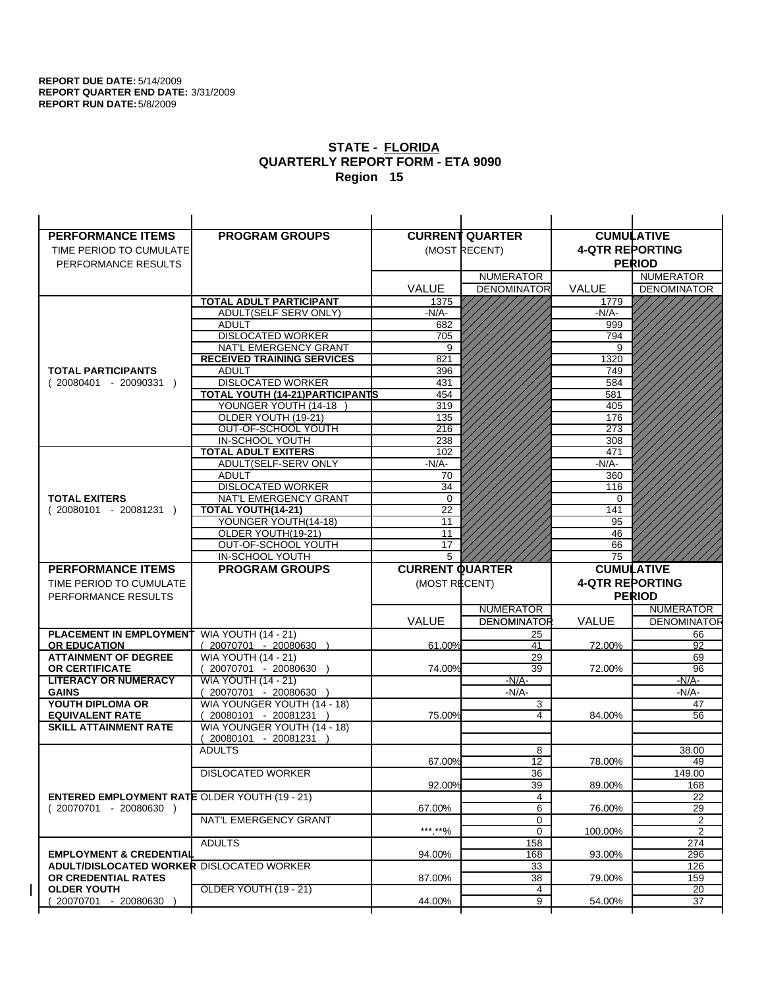| <b>PERFORMANCE ITEMS</b>                             | <b>PROGRAM GROUPS</b>                                  |                        | <b>CURRENT QUARTER</b> |                        | <b>CUMULATIVE</b>     |
|------------------------------------------------------|--------------------------------------------------------|------------------------|------------------------|------------------------|-----------------------|
| TIME PERIOD TO CUMULATE                              |                                                        |                        | (MOST RECENT)          | <b>4-QTR REPORTING</b> |                       |
| PERFORMANCE RESULTS                                  |                                                        |                        |                        |                        | <b>PERIOD</b>         |
|                                                      |                                                        |                        | <b>NUMERATOR</b>       |                        | <b>NUMERATOR</b>      |
|                                                      |                                                        | <b>VALUE</b>           | <b>DENOMINATOR</b>     | VALUE                  | <b>DENOMINATOR</b>    |
|                                                      | <b>TOTAL ADULT PARTICIPANT</b>                         | 1375                   |                        | 1779                   |                       |
|                                                      | ADULT(SELF SERV ONLY)                                  | -N/A-                  |                        | $-N/A-$                |                       |
|                                                      | <b>ADULT</b>                                           | 682                    |                        | 999                    |                       |
|                                                      | <b>DISLOCATED WORKER</b>                               | 705                    |                        | 794                    |                       |
|                                                      | NAT'L EMERGENCY GRANT                                  | 9                      |                        | 9                      |                       |
|                                                      | <b>RECEIVED TRAINING SERVICES</b>                      | 821                    |                        | 1320                   |                       |
| <b>TOTAL PARTICIPANTS</b>                            | <b>ADULT</b>                                           | 396                    |                        | 749                    |                       |
| $(20080401 - 20090331)$                              | <b>DISLOCATED WORKER</b>                               | 431                    |                        | 584                    |                       |
|                                                      | TOTAL YOUTH (14-21) PARTICIPANTS                       | 454                    |                        | 581                    |                       |
|                                                      | YOUNGER YOUTH (14-18                                   | 319                    |                        | 405                    |                       |
|                                                      | OLDER YOUTH (19-21)                                    | 135<br>216             |                        | 176<br>273             |                       |
|                                                      | OUT-OF-SCHOOL YOUTH<br>IN-SCHOOL YOUTH                 | 238                    |                        | 308                    |                       |
|                                                      | <b>TOTAL ADULT EXITERS</b>                             | 102                    |                        | 471                    |                       |
|                                                      | ADULT(SELF-SERV ONLY                                   | $-N/A-$                |                        | $-N/A-$                |                       |
|                                                      | <b>ADULT</b>                                           | 70                     |                        | 360                    |                       |
|                                                      | <b>DISLOCATED WORKER</b>                               | 34                     |                        | 116                    |                       |
| <b>TOTAL EXITERS</b>                                 | NAT'L EMERGENCY GRANT                                  | $\mathbf 0$            |                        | 0                      |                       |
| $(20080101 - 20081231)$                              | TOTAL YOUTH(14-21)                                     | 22                     |                        | 141                    |                       |
|                                                      | YOUNGER YOUTH(14-18)                                   | 11                     |                        | 95                     |                       |
|                                                      | OLDER YOUTH(19-21)                                     | 11                     |                        | 46                     |                       |
|                                                      | OUT-OF-SCHOOL YOUTH                                    | 17                     |                        | 66                     |                       |
|                                                      | IN-SCHOOL YOUTH                                        | 5                      |                        | 75                     |                       |
|                                                      |                                                        |                        |                        |                        |                       |
| <b>PERFORMANCE ITEMS</b>                             | <b>PROGRAM GROUPS</b>                                  | <b>CURRENT QUARTER</b> |                        |                        | <b>CUMULATIVE</b>     |
| TIME PERIOD TO CUMULATE                              |                                                        | (MOST RECENT)          |                        | <b>4-QTR REPORTING</b> |                       |
| PERFORMANCE RESULTS                                  |                                                        |                        |                        |                        | <b>PERIOD</b>         |
|                                                      |                                                        |                        | <b>NUMERATOR</b>       |                        | <b>NUMERATOR</b>      |
|                                                      |                                                        | <b>VALUE</b>           | <b>DENOMINATOR</b>     | <b>VALUE</b>           | <b>DENOMINATOR</b>    |
| <b>PLACEMENT IN EMPLOYMENT</b>                       | <b>WIA YOUTH (14 - 21)</b>                             |                        | 25                     |                        | 66                    |
| <b>OR EDUCATION</b>                                  | $(20070701 - 20080630)$                                | 61.00%                 | 41                     | 72.00%                 | 92                    |
| <b>ATTAINMENT OF DEGREE</b>                          | <b>WIA YOUTH (14 - 21)</b>                             |                        | 29                     |                        | 69                    |
| OR CERTIFICATE                                       | $(20070701 - 20080630)$                                | 74.00%                 | 39                     | 72.00%                 | 96                    |
| <b>LITERACY OR NUMERACY</b>                          | <b>WIA YOUTH (14 - 21)</b>                             |                        | $-N/A$ -               |                        | -N/A-                 |
| <b>GAINS</b><br>YOUTH DIPLOMA OR                     | 20070701 - 20080630                                    |                        | $-N/A$ -               |                        | $-N/A-$<br>47         |
| <b>EQUIVALENT RATE</b>                               | WIA YOUNGER YOUTH (14 - 18)<br>$(20080101 - 20081231)$ | 75.00%                 | 3<br>4                 | 84.00%                 | 56                    |
| <b>SKILL ATTAINMENT RATE</b>                         | WIA YOUNGER YOUTH (14 - 18)                            |                        |                        |                        |                       |
|                                                      | (20080101 - 20081231                                   |                        |                        |                        |                       |
|                                                      | <b>ADULTS</b>                                          |                        | 8                      |                        | 38.00                 |
|                                                      |                                                        | 67.00%                 | 12                     | 78.00%                 | 49                    |
|                                                      | <b>DISLOCATED WORKER</b>                               |                        | $\overline{36}$        |                        | 149.00                |
|                                                      |                                                        | 92.00%                 | 39                     | 89.00%                 | 168                   |
| <b>ENTERED EMPLOYMENT RATE OLDER YOUTH (19 - 21)</b> |                                                        |                        | 4                      |                        | 22                    |
| $(20070701 - 20080630)$                              |                                                        | 67.00%                 | 6                      | 76.00%                 | 29                    |
|                                                      | NAT'L EMERGENCY GRANT                                  | *** **%                | 0                      |                        | 2                     |
|                                                      | <b>ADULTS</b>                                          |                        | $\mathbf 0$            | 100.00%                | 2<br>274              |
| <b>EMPLOYMENT &amp; CREDENTIAL</b>                   |                                                        | 94.00%                 | 158<br>168             | 93.00%                 | 296                   |
| ADULT/DISLOCATED WORKER DISLOCATED WORKER            |                                                        |                        | 33                     |                        | 126                   |
| OR CREDENTIAL RATES                                  |                                                        | 87.00%                 | 38                     | 79.00%                 | 159                   |
| <b>OLDER YOUTH</b><br>20070701 - 20080630            | OLDER YOUTH (19 - 21)                                  | 44.00%                 | 4<br>9                 | 54.00%                 | $\overline{20}$<br>37 |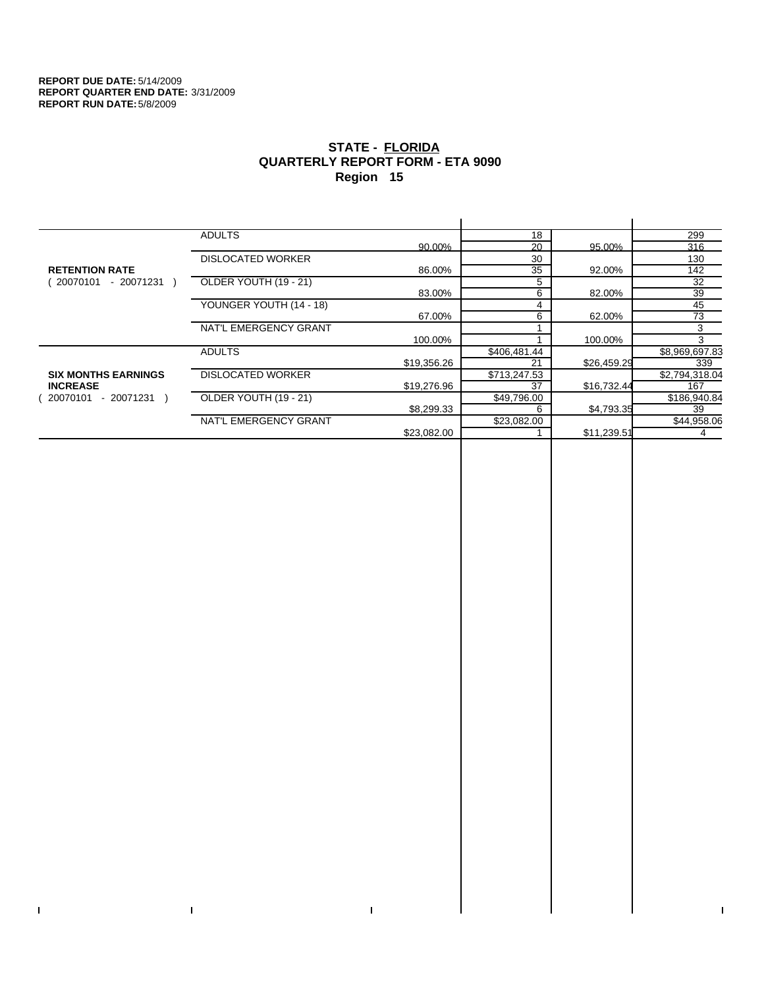$\bar{\Gamma}$ 

 $\Gamma$ 

# **STATE - FLORIDA QUARTERLY REPORT FORM - ETA 9090 Region 15**

|                            | <b>ADULTS</b>            |             | 18           |             | 299            |
|----------------------------|--------------------------|-------------|--------------|-------------|----------------|
|                            |                          | 90.00%      | 20           | 95.00%      | 316            |
|                            | <b>DISLOCATED WORKER</b> |             | 30           |             | 130            |
| <b>RETENTION RATE</b>      |                          | 86.00%      | 35           | 92.00%      | 142            |
| - 20071231<br>20070101     | OLDER YOUTH (19 - 21)    |             | 5            |             | 32             |
|                            |                          | 83.00%      | 6            | 82.00%      | 39             |
|                            | YOUNGER YOUTH (14 - 18)  |             | 4            |             | 45             |
|                            |                          | 67.00%      | 6            | 62.00%      | 73             |
|                            | NAT'L EMERGENCY GRANT    |             |              |             | 3              |
|                            |                          | 100.00%     |              | 100.00%     | 3              |
|                            | <b>ADULTS</b>            |             | \$406,481.44 |             | \$8,969,697.83 |
|                            |                          | \$19,356.26 | 21           | \$26,459.29 | 339            |
| <b>SIX MONTHS EARNINGS</b> | <b>DISLOCATED WORKER</b> |             | \$713,247.53 |             | \$2,794,318.04 |
| <b>INCREASE</b>            |                          | \$19,276.96 | 37           | \$16,732.44 | 167            |
| - 20071231 )<br>20070101   | OLDER YOUTH (19 - 21)    |             | \$49,796.00  |             | \$186,940.84   |
|                            |                          | \$8,299.33  | 6            | \$4,793.35  | 39             |
|                            | NAT'L EMERGENCY GRANT    |             | \$23,082.00  |             | \$44,958.06    |
|                            |                          | \$23.082.00 |              | \$11,239.51 | 4              |
|                            |                          |             |              |             |                |

 $\bar{\Gamma}$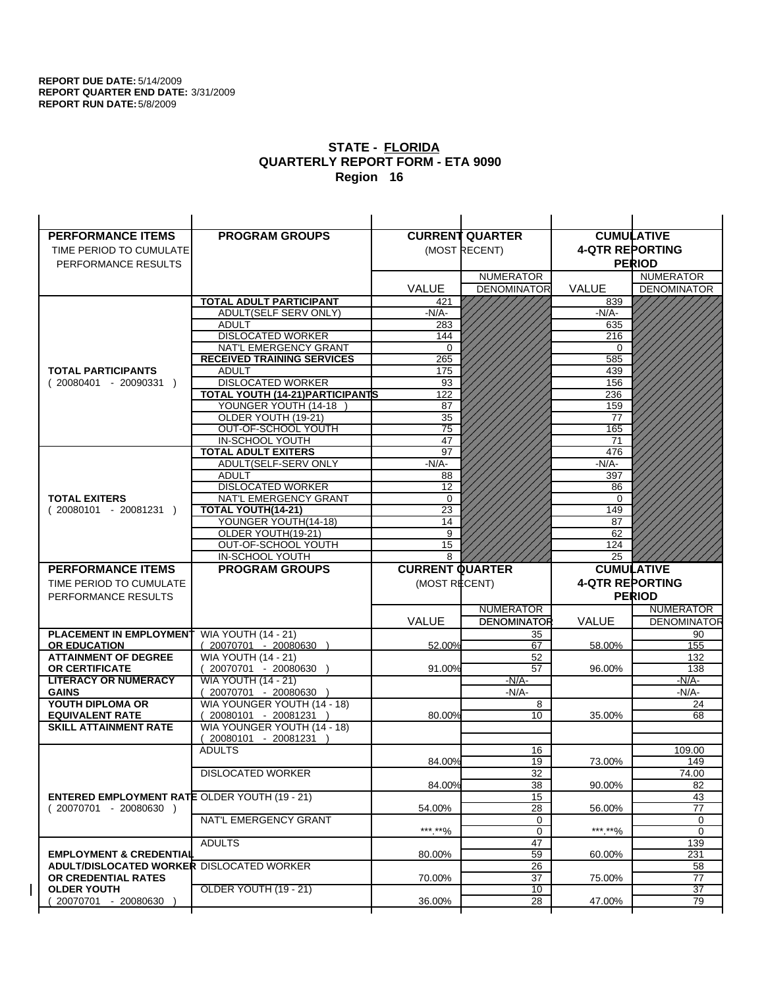| <b>PERFORMANCE ITEMS</b>                                                        | <b>PROGRAM GROUPS</b>                  |                        | <b>CURRENT QUARTER</b> |                        | <b>CUMULATIVE</b>             |
|---------------------------------------------------------------------------------|----------------------------------------|------------------------|------------------------|------------------------|-------------------------------|
| TIME PERIOD TO CUMULATE                                                         |                                        |                        | (MOST RECENT)          | <b>4-QTR REPORTING</b> |                               |
| PERFORMANCE RESULTS                                                             |                                        |                        |                        |                        | <b>PERIOD</b>                 |
|                                                                                 |                                        |                        | <b>NUMERATOR</b>       |                        | <b>NUMERATOR</b>              |
|                                                                                 |                                        | <b>VALUE</b>           | <b>DENOMINATOR</b>     | VALUE                  | <b>DENOMINATOR</b>            |
|                                                                                 | TOTAL ADULT PARTICIPANT                | 421                    |                        | 839                    |                               |
|                                                                                 | <b>ADULT(SELF SERV ONLY)</b>           | -N/A-                  |                        | $-N/A$ -               |                               |
|                                                                                 | <b>ADULT</b>                           | 283                    |                        | 635                    |                               |
|                                                                                 | <b>DISLOCATED WORKER</b>               | 144                    |                        | 216                    |                               |
|                                                                                 | NAT'L EMERGENCY GRANT                  | $\Omega$               |                        | 0                      |                               |
|                                                                                 | <b>RECEIVED TRAINING SERVICES</b>      | 265                    |                        | 585                    |                               |
| <b>TOTAL PARTICIPANTS</b>                                                       | <b>ADULT</b>                           | 175                    |                        | 439                    |                               |
| $(20080401 - 20090331)$                                                         | <b>DISLOCATED WORKER</b>               | 93                     |                        | 156                    |                               |
|                                                                                 | TOTAL YOUTH (14-21) PARTICIPANTS       | 122                    |                        | 236                    |                               |
|                                                                                 | YOUNGER YOUTH (14-18                   | 87                     |                        | 159                    |                               |
|                                                                                 | OLDER YOUTH (19-21)                    | 35                     |                        | 77                     |                               |
|                                                                                 | OUT-OF-SCHOOL YOUTH                    | $\overline{75}$        |                        | 165                    |                               |
|                                                                                 | IN-SCHOOL YOUTH                        | 47                     |                        | 71                     |                               |
|                                                                                 | <b>TOTAL ADULT EXITERS</b>             | $\overline{97}$        |                        | 476                    |                               |
|                                                                                 | ADULT(SELF-SERV ONLY                   | $-N/A$ -               |                        | $-N/A-$                |                               |
|                                                                                 | <b>ADULT</b>                           | 88                     |                        | 397                    |                               |
|                                                                                 | <b>DISLOCATED WORKER</b>               | $\overline{12}$        |                        | 86                     |                               |
| <b>TOTAL EXITERS</b>                                                            | NAT'L EMERGENCY GRANT                  | 0                      |                        | 0                      |                               |
| $(20080101 - 20081231)$                                                         | TOTAL YOUTH(14-21)                     | 23                     |                        | 149                    |                               |
|                                                                                 | YOUNGER YOUTH(14-18)                   | 14                     |                        | 87                     |                               |
|                                                                                 | OLDER YOUTH(19-21)                     | 9                      |                        | 62                     |                               |
|                                                                                 | OUT-OF-SCHOOL YOUTH<br>IN-SCHOOL YOUTH | 15<br>8                |                        | 124                    |                               |
|                                                                                 |                                        |                        |                        | 25                     |                               |
|                                                                                 |                                        |                        |                        |                        |                               |
| <b>PERFORMANCE ITEMS</b>                                                        | <b>PROGRAM GROUPS</b>                  | <b>CURRENT QUARTER</b> |                        |                        | <b>CUMULATIVE</b>             |
| TIME PERIOD TO CUMULATE                                                         |                                        | (MOST RECENT)          |                        | <b>4-QTR REPORTING</b> |                               |
| PERFORMANCE RESULTS                                                             |                                        |                        |                        |                        | <b>PERIOD</b>                 |
|                                                                                 |                                        |                        | <b>NUMERATOR</b>       |                        | <b>NUMERATOR</b>              |
|                                                                                 |                                        | <b>VALUE</b>           | <b>DENOMINATOR</b>     | <b>VALUE</b>           |                               |
| <b>PLACEMENT IN EMPLOYMENT</b>                                                  | <b>WIA YOUTH (14 - 21)</b>             |                        | 35                     |                        | 90                            |
| <b>OR EDUCATION</b>                                                             | $(20070701 - 20080630)$                | 52.00%                 | 67                     | 58.00%                 | 155                           |
| <b>ATTAINMENT OF DEGREE</b>                                                     | <b>WIA YOUTH (14 - 21)</b>             |                        | 52                     |                        | 132                           |
| <b>OR CERTIFICATE</b>                                                           | (20070701 - 20080630                   | 91.00%                 | 57                     | 96.00%                 | 138                           |
| <b>LITERACY OR NUMERACY</b>                                                     | <b>WIA YOUTH (14 - 21)</b>             |                        | $-N/A$ -               |                        | $-N/A$ -                      |
| <b>GAINS</b>                                                                    | 20070701 - 20080630                    |                        | $-N/A-$                |                        | <b>DENOMINATOR</b><br>$-N/A-$ |
| YOUTH DIPLOMA OR                                                                | WIA YOUNGER YOUTH (14 - 18)            |                        | 8                      |                        | 24                            |
| <b>EQUIVALENT RATE</b>                                                          | 20080101 - 20081231 )                  | 80.00%                 | 10                     | 35.00%                 | 68                            |
| <b>SKILL ATTAINMENT RATE</b>                                                    | WIA YOUNGER YOUTH (14 - 18)            |                        |                        |                        |                               |
|                                                                                 | (20080101 - 20081231                   |                        |                        |                        |                               |
|                                                                                 | <b>ADULTS</b>                          |                        | 16                     |                        | 109.00                        |
|                                                                                 |                                        | 84.00%                 | 19                     | 73.00%                 | 149                           |
|                                                                                 | <b>DISLOCATED WORKER</b>               |                        | $\overline{32}$        |                        | 74.00                         |
|                                                                                 |                                        | 84.00%                 | 38                     | 90.00%                 | 82                            |
| <b>ENTERED EMPLOYMENT RATE OLDER YOUTH (19 - 21)</b><br>$(20070701 - 20080630)$ |                                        | 54.00%                 | 15<br>28               | 56.00%                 | 43<br>77                      |
|                                                                                 | NAT'L EMERGENCY GRANT                  |                        | 0                      |                        | 0                             |
|                                                                                 |                                        | ***.**%                | 0                      | *** **%                | 0                             |
|                                                                                 | <b>ADULTS</b>                          |                        | 47                     |                        | 139                           |
| <b>EMPLOYMENT &amp; CREDENTIAL</b>                                              |                                        | 80.00%                 | 59                     | 60.00%                 | 231                           |
| <b>ADULT/DISLOCATED WORKER DISLOCATED WORKER</b>                                |                                        |                        | 26                     |                        | 58                            |
| OR CREDENTIAL RATES                                                             |                                        | 70.00%                 | 37                     | 75.00%                 | 77                            |
| <b>OLDER YOUTH</b>                                                              | <b>OLDER YOUTH (19 - 21)</b>           |                        | 10                     |                        | $\overline{37}$               |
| 20070701 - 20080630                                                             |                                        | 36.00%                 | 28                     | 47.00%                 | 79                            |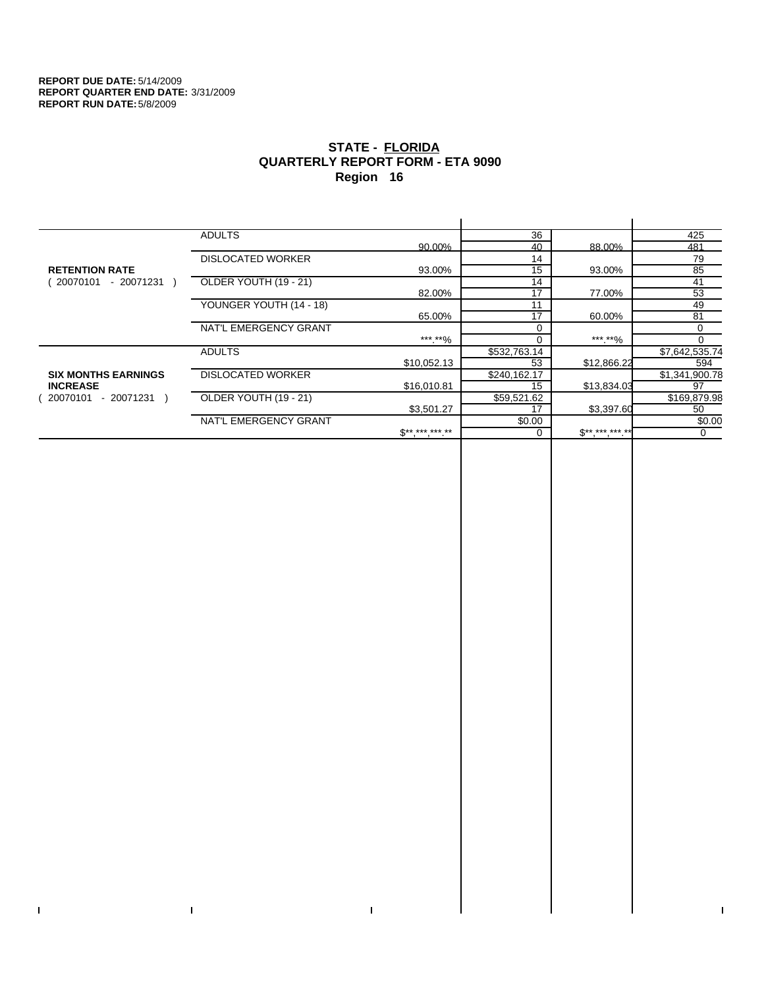$\bar{\Gamma}$ 

 $\mathbf{I}$ 

# **STATE - FLORIDA QUARTERLY REPORT FORM - ETA 9090 Region 16**

|                            | <b>ADULTS</b>            |                     | 36           |             | 425            |
|----------------------------|--------------------------|---------------------|--------------|-------------|----------------|
|                            |                          | 90.00%              | 40           | 88.00%      | 481            |
|                            | <b>DISLOCATED WORKER</b> |                     | 14           |             | 79             |
| <b>RETENTION RATE</b>      |                          | 93.00%              | 15           | 93.00%      | 85             |
| - 20071231<br>20070101     | OLDER YOUTH (19 - 21)    |                     | 14           |             | 41             |
|                            |                          | 82.00%              | 17           | 77.00%      | 53             |
|                            | YOUNGER YOUTH (14 - 18)  |                     | 11           |             | 49             |
|                            |                          | 65.00%              | 17           | 60.00%      | 81             |
|                            | NAT'L EMERGENCY GRANT    |                     | $\Omega$     |             | 0              |
|                            |                          | ***.**%             |              | ***.**%     | $\Omega$       |
|                            | <b>ADULTS</b>            |                     | \$532,763.14 |             | \$7,642,535.74 |
|                            |                          | \$10,052.13         | 53           | \$12,866.22 | 594            |
| <b>SIX MONTHS EARNINGS</b> | <b>DISLOCATED WORKER</b> |                     | \$240,162.17 |             | \$1,341,900.78 |
| <b>INCREASE</b>            |                          | \$16.010.81         | 15           | \$13,834.03 | 97             |
| - 20071231<br>20070101     | OLDER YOUTH (19 - 21)    |                     | \$59,521.62  |             | \$169,879.98   |
|                            |                          | \$3,501.27          | 17           | \$3,397.60  | 50             |
|                            | NAT'L EMERGENCY GRANT    |                     | \$0.00       |             | \$0.00         |
|                            |                          | $S^{**}$ *** *** ** |              | $$********$ | 0              |
|                            |                          |                     |              |             |                |

 $\bar{\Gamma}$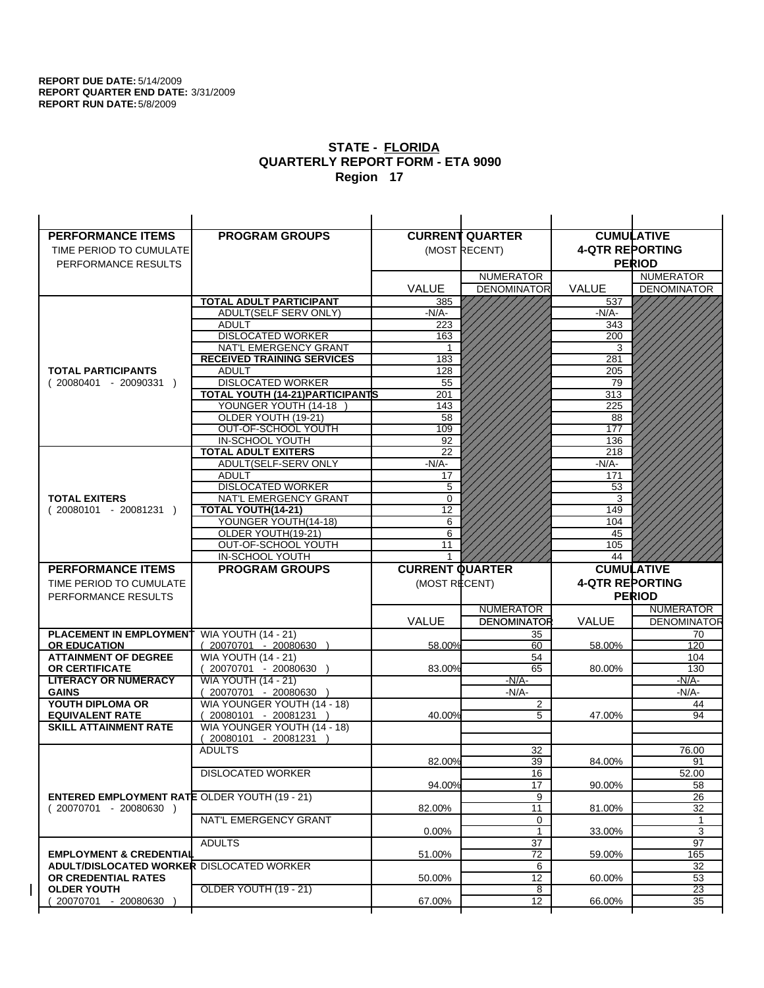| <b>PERFORMANCE ITEMS</b>                               | <b>PROGRAM GROUPS</b>                      |                        | <b>CURRENT QUARTER</b> |                        | <b>CUMULATIVE</b>  |
|--------------------------------------------------------|--------------------------------------------|------------------------|------------------------|------------------------|--------------------|
| TIME PERIOD TO CUMULATE                                |                                            |                        | (MOST RECENT)          | <b>4-QTR REPORTING</b> |                    |
| PERFORMANCE RESULTS                                    |                                            |                        |                        |                        | <b>PERIOD</b>      |
|                                                        |                                            |                        | <b>NUMERATOR</b>       |                        | <b>NUMERATOR</b>   |
|                                                        |                                            | <b>VALUE</b>           | <b>DENOMINATOR</b>     | <b>VALUE</b>           | <b>DENOMINATOR</b> |
|                                                        | TOTAL ADULT PARTICIPANT                    | 385                    |                        | 537                    |                    |
|                                                        | ADULT(SELF SERV ONLY)                      | -N/A-                  |                        | -N/A-                  |                    |
|                                                        | <b>ADULT</b>                               | 223                    |                        | 343                    |                    |
|                                                        | <b>DISLOCATED WORKER</b>                   | 163                    |                        | 200                    |                    |
|                                                        | NAT'L EMERGENCY GRANT                      |                        |                        | 3                      |                    |
|                                                        | <b>RECEIVED TRAINING SERVICES</b>          | 183                    |                        | 281                    |                    |
| <b>TOTAL PARTICIPANTS</b>                              | <b>ADULT</b>                               | 128                    |                        | 205                    |                    |
| $(20080401 - 20090331)$                                | <b>DISLOCATED WORKER</b>                   | 55                     |                        | 79                     |                    |
|                                                        | TOTAL YOUTH (14-21) PARTICIPANTS           | 201                    |                        | 313                    |                    |
|                                                        | YOUNGER YOUTH (14-18)                      | 143                    |                        | 225                    |                    |
|                                                        | OLDER YOUTH (19-21)                        | 58                     |                        | 88                     |                    |
|                                                        | OUT-OF-SCHOOL YOUTH                        | 109                    |                        | 177                    |                    |
|                                                        | IN-SCHOOL YOUTH                            | 92                     |                        | 136                    |                    |
|                                                        | <b>TOTAL ADULT EXITERS</b>                 | 22                     |                        | 218                    |                    |
|                                                        | ADULT(SELF-SERV ONLY                       | $-N/A-$                |                        | $-N/A-$                |                    |
|                                                        | <b>ADULT</b>                               | 17                     |                        | 171                    |                    |
|                                                        | <b>DISLOCATED WORKER</b>                   | 5                      |                        | 53                     |                    |
| <b>TOTAL EXITERS</b>                                   | NAT'L EMERGENCY GRANT                      | 0                      |                        | 3                      |                    |
| $(20080101 - 20081231)$                                | <b>TOTAL YOUTH(14-21)</b>                  | $\overline{12}$        |                        | 149                    |                    |
|                                                        | YOUNGER YOUTH(14-18)<br>OLDER YOUTH(19-21) | 6<br>6                 |                        | 104<br>45              |                    |
|                                                        | OUT-OF-SCHOOL YOUTH                        | 11                     |                        | 105                    |                    |
|                                                        | IN-SCHOOL YOUTH                            |                        |                        | 44                     |                    |
| <b>PERFORMANCE ITEMS</b>                               | <b>PROGRAM GROUPS</b>                      | <b>CURRENT QUARTER</b> |                        |                        | <b>CUMULATIVE</b>  |
|                                                        |                                            |                        |                        |                        |                    |
|                                                        |                                            |                        |                        |                        |                    |
| TIME PERIOD TO CUMULATE                                |                                            | (MOST RECENT)          |                        | <b>4-QTR REPORTING</b> |                    |
| PERFORMANCE RESULTS                                    |                                            |                        |                        |                        | <b>PERIOD</b>      |
|                                                        |                                            |                        | <b>NUMERATOR</b>       |                        | <b>NUMERATOR</b>   |
|                                                        |                                            | <b>VALUE</b>           | <b>DENOMINATOR</b>     | <b>VALUE</b>           | <b>DENOMINATOR</b> |
| <b>PLACEMENT IN EMPLOYMENT</b>                         | <b>WIA YOUTH (14 - 21)</b>                 |                        | 35                     |                        | 70                 |
| <b>OR EDUCATION</b>                                    | $(20070701 - 20080630)$                    | 58.00%                 | 60                     | 58.00%                 | 120                |
| <b>ATTAINMENT OF DEGREE</b>                            | <b>WIA YOUTH (14 - 21)</b>                 |                        | 54                     |                        | 104                |
| <b>OR CERTIFICATE</b>                                  | (20070701 - 20080630                       | 83.00%                 | 65                     | 80.00%                 | 130                |
| <b>LITERACY OR NUMERACY</b>                            | <b>WIA YOUTH (14 - 21)</b>                 |                        | $-N/A-$                |                        | -N/A-              |
| <b>GAINS</b>                                           | 20070701 - 20080630                        |                        | $-N/A$ -               |                        | -N/A-              |
| YOUTH DIPLOMA OR                                       | WIA YOUNGER YOUTH (14 - 18)                |                        | $\overline{c}$         |                        | 44                 |
| <b>EQUIVALENT RATE</b><br><b>SKILL ATTAINMENT RATE</b> | 20080101 - 20081231 )                      | 40.00%                 | 5                      | 47.00%                 | 94                 |
|                                                        | WIA YOUNGER YOUTH (14 - 18)                |                        |                        |                        |                    |
|                                                        | (20080101 - 20081231<br><b>ADULTS</b>      |                        |                        |                        |                    |
|                                                        |                                            | 82.00%                 | 32<br>39               | 84.00%                 | 76.00<br>91        |
|                                                        |                                            |                        |                        |                        |                    |
|                                                        | <b>DISLOCATED WORKER</b>                   | 94.00%                 | 16<br>17               | 90.00%                 | 52.00<br>58        |
| <b>ENTERED EMPLOYMENT RATE OLDER YOUTH (19 - 21)</b>   |                                            |                        | 9                      |                        | 26                 |
| (20070701 - 20080630 )                                 |                                            | 82.00%                 | 11                     | 81.00%                 | 32                 |
|                                                        | NAT'L EMERGENCY GRANT                      |                        | 0                      |                        | 1                  |
|                                                        |                                            | 0.00%                  | $\mathbf{1}$           | 33.00%                 | 3                  |
|                                                        | <b>ADULTS</b>                              |                        | 37                     |                        | 97                 |
| <b>EMPLOYMENT &amp; CREDENTIAL</b>                     |                                            | 51.00%                 | $\overline{72}$        | 59.00%                 | 165                |
| ADULT/DISLOCATED WORKER DISLOCATED WORKER              |                                            |                        | 6                      |                        | 32                 |
| OR CREDENTIAL RATES                                    |                                            | 50.00%                 | 12                     | 60.00%                 | 53                 |
| <b>OLDER YOUTH</b>                                     | OLDER YOUTH (19 - 21)                      |                        | 8                      |                        | $\overline{23}$    |
| 20070701 - 20080630                                    |                                            | 67.00%                 | 12                     | 66.00%                 | 35                 |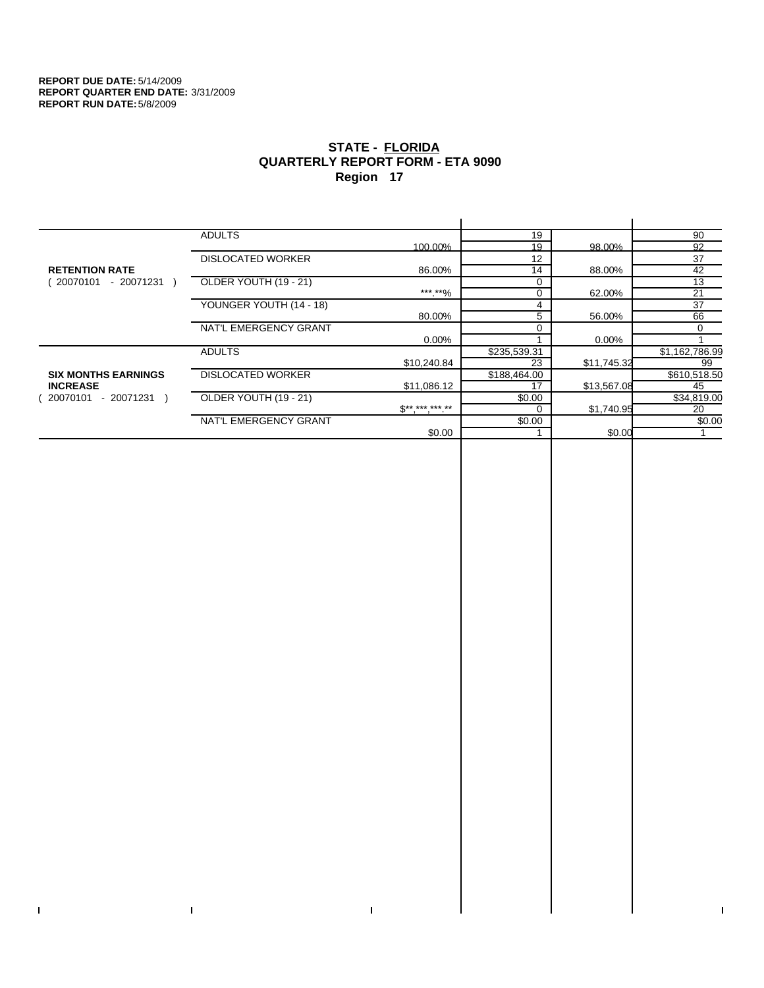$\bar{\Gamma}$ 

 $\Gamma$ 

# **STATE - FLORIDA QUARTERLY REPORT FORM - ETA 9090 Region 17**

|                            | <b>ADULTS</b>            |              | 19           |             | 90             |
|----------------------------|--------------------------|--------------|--------------|-------------|----------------|
|                            |                          | 100.00%      | 19           | 98.00%      | 92             |
|                            | <b>DISLOCATED WORKER</b> |              | 12           |             | 37             |
| <b>RETENTION RATE</b>      |                          | 86.00%       | 14           | 88.00%      | 42             |
| - 20071231<br>20070101     | OLDER YOUTH (19 - 21)    |              | $\Omega$     |             | 13             |
|                            |                          | ***.**%      | 0            | 62.00%      | 21             |
|                            | YOUNGER YOUTH (14 - 18)  |              | 4            |             | 37             |
|                            |                          | 80.00%       | 5            | 56.00%      | 66             |
|                            | NAT'L EMERGENCY GRANT    |              |              |             | $\Omega$       |
|                            |                          | $0.00\%$     |              | 0.00%       |                |
|                            | <b>ADULTS</b>            |              | \$235,539.31 |             | \$1,162,786.99 |
|                            |                          | \$10,240.84  | 23           | \$11,745.32 | 99             |
| <b>SIX MONTHS EARNINGS</b> | <b>DISLOCATED WORKER</b> |              | \$188,464.00 |             | \$610,518.50   |
| <b>INCREASE</b>            |                          | \$11,086.12  | 17           | \$13,567.08 | 45             |
| 20070101<br>- 20071231 )   | OLDER YOUTH (19 - 21)    |              | \$0.00       |             | \$34,819.00    |
|                            |                          | $S*********$ | $\Omega$     | \$1,740.95  | 20             |
|                            | NAT'L EMERGENCY GRANT    |              | \$0.00       |             | \$0.00         |
|                            |                          | \$0.00       |              | \$0.00      |                |
|                            |                          |              |              |             |                |

 $\bar{\Gamma}$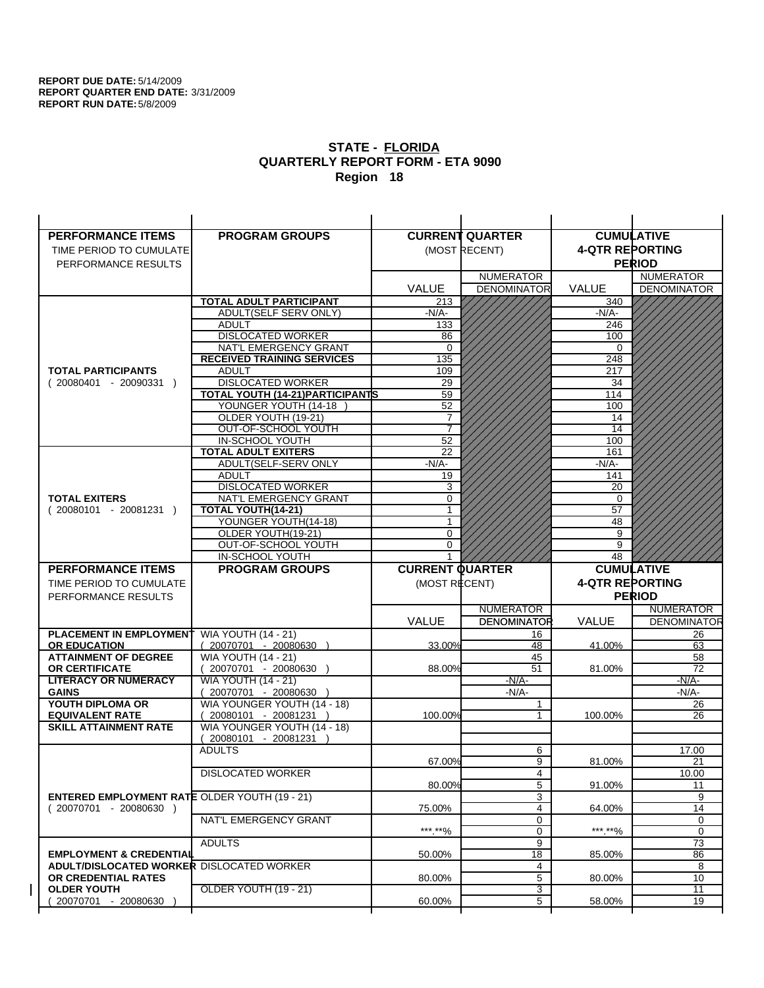| <b>PERFORMANCE ITEMS</b>                             | <b>PROGRAM GROUPS</b>                                 |                        | <b>CURRENT QUARTER</b> |                        | <b>CUMULATIVE</b>                 |
|------------------------------------------------------|-------------------------------------------------------|------------------------|------------------------|------------------------|-----------------------------------|
| TIME PERIOD TO CUMULATE                              |                                                       |                        | (MOST RECENT)          | <b>4-QTR REPORTING</b> |                                   |
| PERFORMANCE RESULTS                                  |                                                       |                        |                        |                        | <b>PERIOD</b>                     |
|                                                      |                                                       |                        | <b>NUMERATOR</b>       |                        | <b>NUMERATOR</b>                  |
|                                                      |                                                       | <b>VALUE</b>           | <b>DENOMINATOR</b>     | VALUE                  | <b>DENOMINATOR</b>                |
|                                                      | TOTAL ADULT PARTICIPANT                               | 213                    |                        | 340                    |                                   |
|                                                      | <b>ADULT(SELF SERV ONLY)</b>                          | -N/A-                  |                        | $-N/A-$                |                                   |
|                                                      | <b>ADULT</b>                                          | 133                    |                        | 246                    |                                   |
|                                                      | <b>DISLOCATED WORKER</b>                              | 86                     |                        | 100                    |                                   |
|                                                      | NAT'L EMERGENCY GRANT                                 | $\Omega$               |                        | $\Omega$               |                                   |
|                                                      | <b>RECEIVED TRAINING SERVICES</b>                     | 135                    |                        | 248                    |                                   |
| <b>TOTAL PARTICIPANTS</b>                            | <b>ADULT</b>                                          | 109                    |                        | 217                    |                                   |
| $(20080401 - 20090331)$                              | <b>DISLOCATED WORKER</b>                              | 29                     |                        | 34                     |                                   |
|                                                      | TOTAL YOUTH (14-21) PARTICIPANTS                      | 59                     |                        | 114                    |                                   |
|                                                      | YOUNGER YOUTH (14-18                                  | 52                     |                        | 100                    |                                   |
|                                                      | OLDER YOUTH (19-21)                                   | 7                      |                        | 14                     |                                   |
|                                                      | OUT-OF-SCHOOL YOUTH                                   | 7                      |                        | 14                     |                                   |
|                                                      | IN-SCHOOL YOUTH<br><b>TOTAL ADULT EXITERS</b>         | 52<br>22               |                        | 100                    |                                   |
|                                                      | ADULT(SELF-SERV ONLY                                  | $-N/A$ -               |                        | 161<br>$-N/A-$         |                                   |
|                                                      | <b>ADULT</b>                                          | 19                     |                        | 141                    |                                   |
|                                                      | <b>DISLOCATED WORKER</b>                              | 3                      |                        | 20                     |                                   |
| <b>TOTAL EXITERS</b>                                 | NAT'L EMERGENCY GRANT                                 | 0                      |                        | 0                      |                                   |
| $(20080101 - 20081231)$                              | TOTAL YOUTH(14-21)                                    | 1                      |                        | 57                     |                                   |
|                                                      | YOUNGER YOUTH(14-18)                                  |                        |                        | 48                     |                                   |
|                                                      | OLDER YOUTH(19-21)                                    | $\Omega$               |                        | 9                      |                                   |
|                                                      | OUT-OF-SCHOOL YOUTH                                   | $\Omega$               |                        | 9                      |                                   |
|                                                      | IN-SCHOOL YOUTH                                       |                        |                        | 48                     |                                   |
|                                                      |                                                       |                        |                        |                        |                                   |
| <b>PERFORMANCE ITEMS</b>                             | <b>PROGRAM GROUPS</b>                                 | <b>CURRENT QUARTER</b> |                        |                        | <b>CUMULATIVE</b>                 |
| TIME PERIOD TO CUMULATE                              |                                                       | (MOST RECENT)          |                        | <b>4-QTR REPORTING</b> |                                   |
|                                                      |                                                       |                        |                        |                        |                                   |
| PERFORMANCE RESULTS                                  |                                                       |                        | <b>NUMERATOR</b>       |                        | <b>PERIOD</b><br><b>NUMERATOR</b> |
|                                                      |                                                       | <b>VALUE</b>           | <b>DENOMINATOR</b>     | <b>VALUE</b>           |                                   |
| <b>PLACEMENT IN EMPLOYMENT</b>                       |                                                       |                        | 16                     |                        | 26                                |
| <b>OR EDUCATION</b>                                  | <b>WIA YOUTH (14 - 21)</b><br>$(20070701 - 20080630)$ | 33.00%                 | 48                     | 41.00%                 | 63                                |
| <b>ATTAINMENT OF DEGREE</b>                          | <b>WIA YOUTH (14 - 21)</b>                            |                        | 45                     |                        | 58                                |
| <b>OR CERTIFICATE</b>                                | (20070701 - 20080630                                  | 88.00%                 | 51                     | 81.00%                 | 72                                |
| <b>LITERACY OR NUMERACY</b>                          | <b>WIA YOUTH (14 - 21)</b>                            |                        | $-N/A-$                |                        | -N/A-                             |
| <b>GAINS</b>                                         | 20070701 - 20080630                                   |                        | $-N/A-$                |                        | $-N/A-$                           |
| YOUTH DIPLOMA OR                                     | WIA YOUNGER YOUTH (14 - 18)                           |                        | 1                      |                        | 26                                |
| <b>EQUIVALENT RATE</b>                               | 20080101 - 20081231 )                                 | 100.00%                | 1                      | 100.00%                | 26                                |
| <b>SKILL ATTAINMENT RATE</b>                         | WIA YOUNGER YOUTH (14 - 18)                           |                        |                        |                        |                                   |
|                                                      | (20080101 - 20081231                                  |                        |                        |                        |                                   |
|                                                      | <b>ADULTS</b>                                         |                        | 6                      |                        | 17.00                             |
|                                                      |                                                       | 67.00%                 | 9                      | 81.00%                 | 21                                |
|                                                      | <b>DISLOCATED WORKER</b>                              |                        | 4                      |                        | 10.00                             |
|                                                      |                                                       | 80.00%                 | 5                      | 91.00%                 | <b>DENOMINATOR</b><br>11          |
| <b>ENTERED EMPLOYMENT RATE OLDER YOUTH (19 - 21)</b> |                                                       |                        | 3                      |                        | 9                                 |
| $(20070701 - 20080630)$                              |                                                       | 75.00%                 | 4                      | 64.00%                 | 14                                |
|                                                      | NAT'L EMERGENCY GRANT                                 |                        | 0                      |                        | 0<br>0                            |
|                                                      | <b>ADULTS</b>                                         | ***.**%                | 0<br>9                 | *** **%                | 73                                |
| <b>EMPLOYMENT &amp; CREDENTIAL</b>                   |                                                       | 50.00%                 | 18                     | 85.00%                 | 86                                |
| <b>ADULT/DISLOCATED WORKER DISLOCATED WORKER</b>     |                                                       |                        | 4                      |                        | 8                                 |
| OR CREDENTIAL RATES                                  |                                                       | 80.00%                 | 5                      | 80.00%                 | 10                                |
| <b>OLDER YOUTH</b>                                   | <b>OLDER YOUTH (19 - 21)</b>                          |                        | $\overline{3}$         |                        | $\overline{11}$                   |
| 20070701 - 20080630                                  |                                                       | 60.00%                 | 5                      | 58.00%                 | 19                                |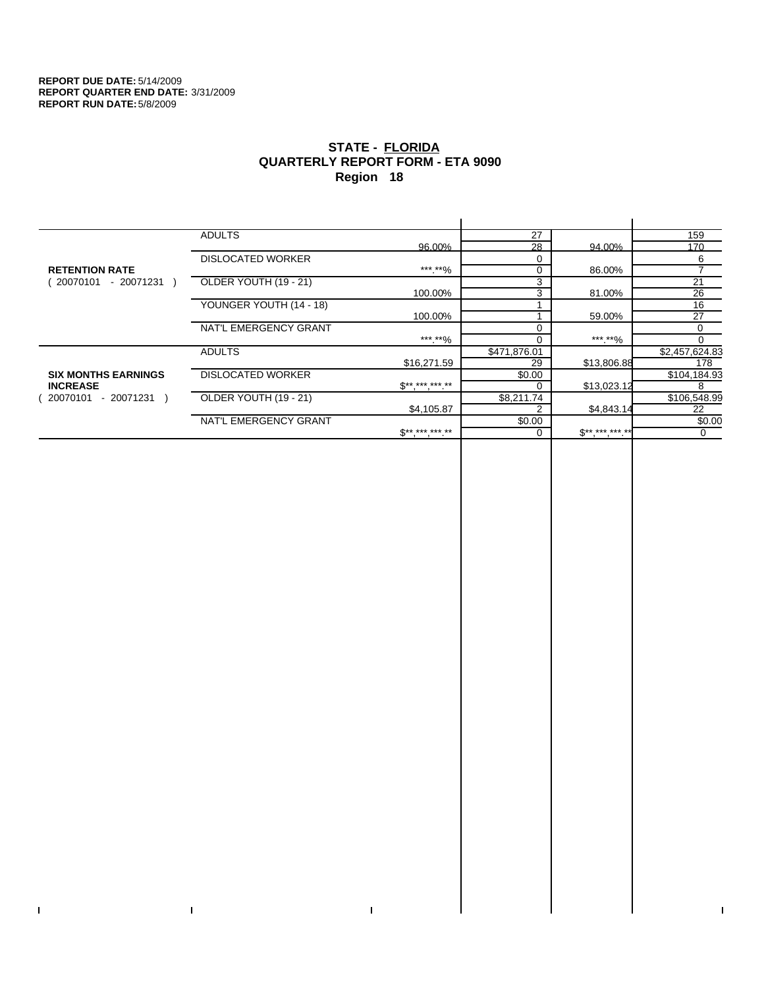$\bar{\Gamma}$ 

 $\Gamma$ 

# **STATE - FLORIDA QUARTERLY REPORT FORM - ETA 9090 Region 18**

|                            | <b>ADULTS</b>            |                               | 27           |             | 159             |
|----------------------------|--------------------------|-------------------------------|--------------|-------------|-----------------|
|                            |                          | 96.00%                        | 28           | 94.00%      | 170             |
|                            | <b>DISLOCATED WORKER</b> |                               | $\Omega$     |             | 6               |
| <b>RETENTION RATE</b>      |                          | ***.**%                       | $\mathbf 0$  | 86.00%      |                 |
| $-20071231$<br>20070101    | OLDER YOUTH (19 - 21)    |                               | 3            |             | $\overline{21}$ |
|                            |                          | 100.00%                       | 3            | 81.00%      | 26              |
|                            | YOUNGER YOUTH (14 - 18)  |                               |              |             | 16              |
|                            |                          | 100.00%                       |              | 59.00%      | 27              |
|                            | NAT'L EMERGENCY GRANT    |                               |              |             | $\Omega$        |
|                            |                          | ***.**%                       |              | ***.**%     |                 |
|                            | <b>ADULTS</b>            |                               | \$471,876.01 |             | \$2,457,624.83  |
|                            |                          | \$16,271.59                   | 29           | \$13,806.88 | 178             |
| <b>SIX MONTHS EARNINGS</b> | <b>DISLOCATED WORKER</b> |                               | \$0.00       |             | \$104,184.93    |
| <b>INCREASE</b>            |                          | $\mathbb{S}^{***}$ *** *** ** |              | \$13,023.12 | 8               |
| - 20071231<br>20070101     | OLDER YOUTH (19 - 21)    |                               | \$8,211.74   |             | \$106,548.99    |
|                            |                          | \$4,105.87                    |              | \$4,843.14  | 22              |
|                            | NAT'L EMERGENCY GRANT    |                               | \$0.00       |             | \$0.00          |
|                            |                          | $S*********$                  |              | $S********$ | 0               |
|                            |                          |                               |              |             |                 |

 $\bar{\Gamma}$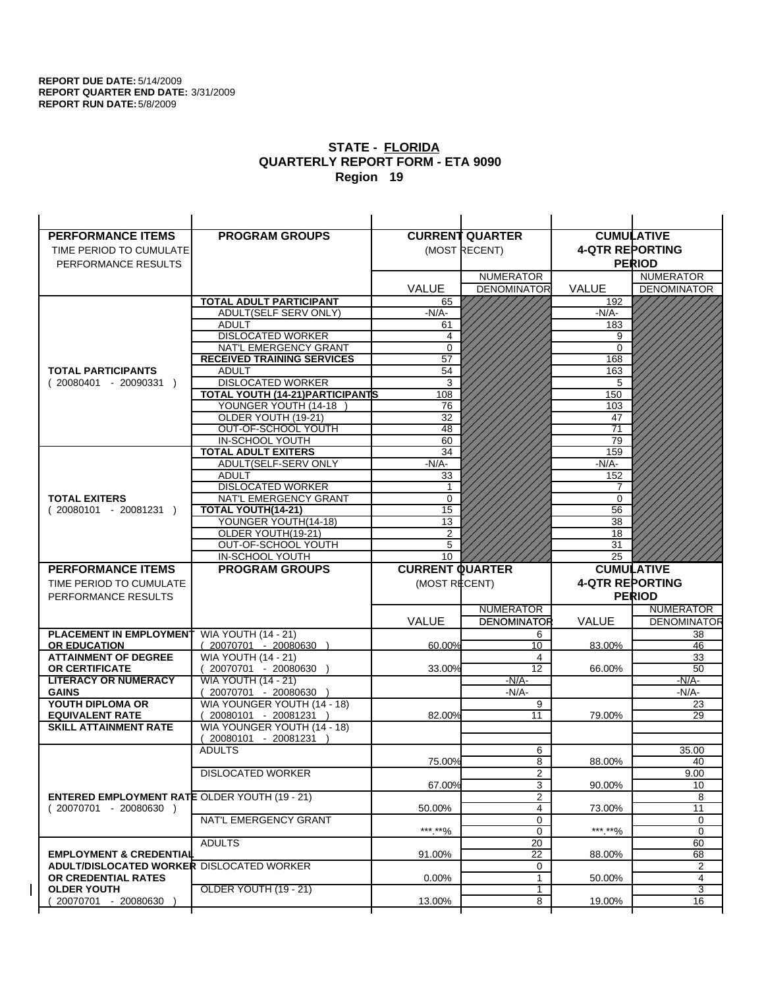| <b>PERFORMANCE ITEMS</b>                             | <b>PROGRAM GROUPS</b>                                |                        | <b>CURRENT QUARTER</b> |                        | <b>CUMULATIVE</b>       |
|------------------------------------------------------|------------------------------------------------------|------------------------|------------------------|------------------------|-------------------------|
| TIME PERIOD TO CUMULATE                              |                                                      |                        | (MOST RECENT)          | <b>4-QTR REPORTING</b> |                         |
| PERFORMANCE RESULTS                                  |                                                      |                        |                        |                        | <b>PERIOD</b>           |
|                                                      |                                                      |                        | <b>NUMERATOR</b>       |                        | <b>NUMERATOR</b>        |
|                                                      |                                                      | <b>VALUE</b>           | <b>DENOMINATOR</b>     | <b>VALUE</b>           | <b>DENOMINATOR</b>      |
|                                                      | TOTAL ADULT PARTICIPANT                              | 65                     |                        | 192                    |                         |
|                                                      | ADULT(SELF SERV ONLY)                                | $-N/A$ -               |                        | $-N/A$ -               |                         |
|                                                      | <b>ADULT</b>                                         | 61                     |                        | 183                    |                         |
|                                                      | <b>DISLOCATED WORKER</b>                             | 4                      |                        | 9                      |                         |
|                                                      | NAT'L EMERGENCY GRANT                                | $\mathbf 0$            |                        | $\Omega$               |                         |
|                                                      | <b>RECEIVED TRAINING SERVICES</b>                    | 57                     |                        | 168                    |                         |
| <b>TOTAL PARTICIPANTS</b>                            | <b>ADULT</b>                                         | 54                     |                        | 163                    |                         |
| $(20080401 - 20090331)$                              | <b>DISLOCATED WORKER</b>                             | 3                      |                        | 5                      |                         |
|                                                      | TOTAL YOUTH (14-21) PARTICIPANTS                     | 108                    |                        | 150                    |                         |
|                                                      | YOUNGER YOUTH (14-18)                                | 76                     |                        | 103                    |                         |
|                                                      | OLDER YOUTH (19-21)                                  | 32                     |                        | 47                     |                         |
|                                                      | OUT-OF-SCHOOL YOUTH                                  | 48                     |                        | $\overline{71}$        |                         |
|                                                      | IN-SCHOOL YOUTH                                      | 60                     |                        | 79                     |                         |
|                                                      | <b>TOTAL ADULT EXITERS</b>                           | 34                     |                        | 159                    |                         |
|                                                      | ADULT(SELF-SERV ONLY                                 | $-N/A$ -               |                        | $-N/A-$                |                         |
|                                                      | <b>ADULT</b>                                         | 33                     |                        | 152                    |                         |
|                                                      | <b>DISLOCATED WORKER</b><br>NAT'L EMERGENCY GRANT    | 1                      |                        | 7                      |                         |
| <b>TOTAL EXITERS</b>                                 |                                                      | 0<br>15                |                        | 0<br>56                |                         |
| $(20080101 - 20081231)$                              | TOTAL YOUTH(14-21)<br>YOUNGER YOUTH(14-18)           | 13                     |                        | 38                     |                         |
|                                                      | OLDER YOUTH(19-21)                                   | 2                      |                        | 18                     |                         |
|                                                      | OUT-OF-SCHOOL YOUTH                                  | 5                      |                        | 31                     |                         |
|                                                      | IN-SCHOOL YOUTH                                      | 10                     |                        | 25                     |                         |
| <b>PERFORMANCE ITEMS</b>                             | <b>PROGRAM GROUPS</b>                                | <b>CURRENT QUARTER</b> |                        |                        | <b>CUMULATIVE</b>       |
|                                                      |                                                      |                        |                        |                        |                         |
|                                                      |                                                      |                        |                        |                        |                         |
| TIME PERIOD TO CUMULATE                              |                                                      | (MOST RECENT)          |                        | <b>4-QTR REPORTING</b> |                         |
| PERFORMANCE RESULTS                                  |                                                      |                        |                        |                        | <b>PERIOD</b>           |
|                                                      |                                                      |                        | <b>NUMERATOR</b>       |                        | <b>NUMERATOR</b>        |
|                                                      |                                                      | <b>VALUE</b>           | <b>DENOMINATOR</b>     | <b>VALUE</b>           |                         |
| <b>PLACEMENT IN EMPLOYMENT</b>                       | <b>WIA YOUTH (14 - 21)</b>                           |                        | 6                      |                        | 38                      |
| <b>OR EDUCATION</b>                                  | $(20070701 - 20080630)$                              | 60.00%                 | 10                     | 83.00%                 | 46                      |
| <b>ATTAINMENT OF DEGREE</b>                          | <b>WIA YOUTH (14 - 21)</b>                           |                        | 4                      |                        | 33                      |
| <b>OR CERTIFICATE</b>                                | (20070701 - 20080630                                 | 33.00%                 | 12                     | 66.00%                 | 50                      |
| <b>LITERACY OR NUMERACY</b>                          | <b>WIA YOUTH (14 - 21)</b>                           |                        | $-N/A$ -               |                        | -N/A-                   |
| <b>GAINS</b>                                         | 20070701 - 20080630                                  |                        | $-N/A$ -               |                        | -N/A-                   |
| YOUTH DIPLOMA OR<br><b>EQUIVALENT RATE</b>           | WIA YOUNGER YOUTH (14 - 18)                          | 82.00%                 | 9<br>11                | 79.00%                 | 23<br>29                |
| <b>SKILL ATTAINMENT RATE</b>                         | 20080101 - 20081231 )<br>WIA YOUNGER YOUTH (14 - 18) |                        |                        |                        |                         |
|                                                      | (20080101 - 20081231                                 |                        |                        |                        |                         |
|                                                      | <b>ADULTS</b>                                        |                        | 6                      |                        | 35.00                   |
|                                                      |                                                      | 75.00%                 | 8                      | 88.00%                 | 40                      |
|                                                      | <b>DISLOCATED WORKER</b>                             |                        | $\overline{2}$         |                        | 9.00                    |
|                                                      |                                                      | 67.00%                 | 3                      | 90.00%                 | 10                      |
| <b>ENTERED EMPLOYMENT RATE OLDER YOUTH (19 - 21)</b> |                                                      |                        | 2                      |                        | 8                       |
| (20070701 - 20080630 )                               |                                                      | 50.00%                 | 4                      | 73.00%                 | 11                      |
|                                                      | NAT'L EMERGENCY GRANT                                |                        | 0                      |                        | 0                       |
|                                                      |                                                      | ***.**%                | 0                      | ***.**%                | 0                       |
|                                                      | <b>ADULTS</b>                                        |                        | 20                     |                        | 60                      |
| <b>EMPLOYMENT &amp; CREDENTIAL</b>                   |                                                      | 91.00%                 | $\overline{22}$        | 88.00%                 | 68                      |
| ADULT/DISLOCATED WORKER DISLOCATED WORKER            |                                                      |                        | 0                      |                        | 2                       |
| OR CREDENTIAL RATES                                  |                                                      | $0.00\%$               | $\mathbf{1}$           | 50.00%                 | <b>DENOMINATOR</b><br>4 |
| <b>OLDER YOUTH</b>                                   | OLDER YOUTH (19 - 21)                                |                        | 1                      |                        | 3                       |
| 20070701 - 20080630                                  |                                                      | 13.00%                 | 8                      | 19.00%                 | 16                      |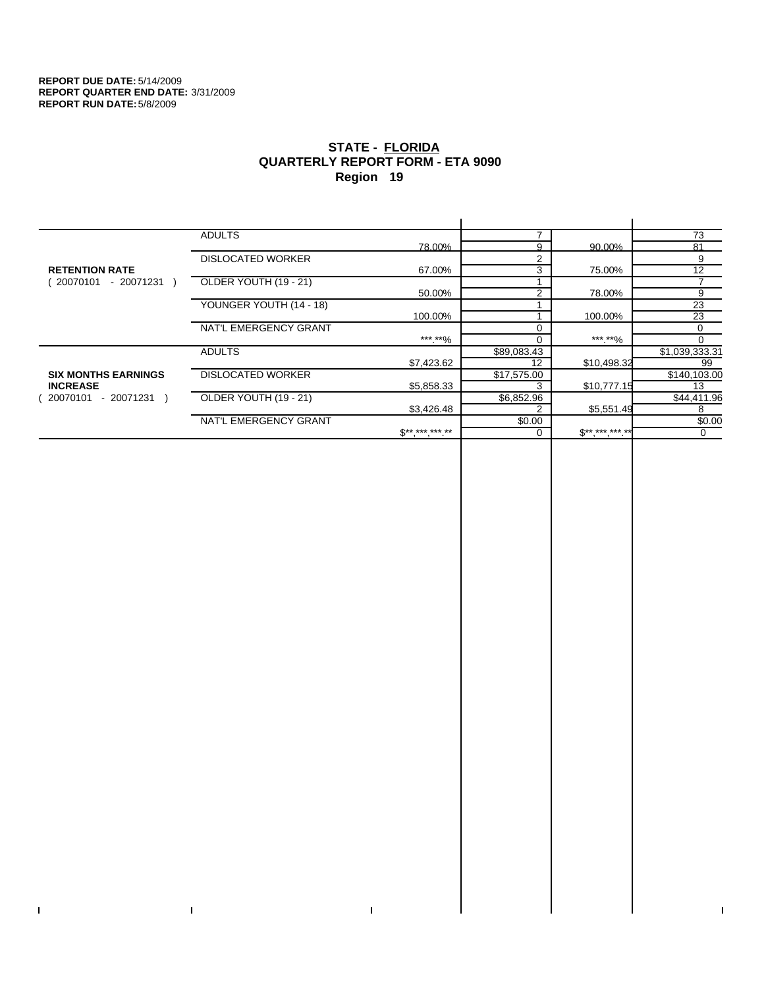$\bar{\Gamma}$ 

 $\mathbf{I}$ 

# **STATE - FLORIDA QUARTERLY REPORT FORM - ETA 9090 Region 19**

|                            | <b>ADULTS</b>            |                     |             |             | 73             |
|----------------------------|--------------------------|---------------------|-------------|-------------|----------------|
|                            |                          | 78.00%              | a           | 90.00%      | 81             |
|                            | <b>DISLOCATED WORKER</b> |                     | 2           |             | 9              |
| <b>RETENTION RATE</b>      |                          | 67.00%              | 3           | 75.00%      | 12             |
| - 20071231<br>20070101     | OLDER YOUTH (19 - 21)    |                     |             |             |                |
|                            |                          | 50.00%              | 2           | 78.00%      | 9              |
|                            | YOUNGER YOUTH (14 - 18)  |                     |             |             | 23             |
|                            |                          | 100.00%             |             | 100.00%     | 23             |
|                            | NAT'L EMERGENCY GRANT    |                     |             |             | 0              |
|                            |                          | ***.**%             |             | ***.**%     | $\Omega$       |
|                            | <b>ADULTS</b>            |                     | \$89,083.43 |             | \$1,039,333.31 |
|                            |                          | \$7,423.62          | 12          | \$10,498.32 | 99             |
| <b>SIX MONTHS EARNINGS</b> | <b>DISLOCATED WORKER</b> |                     | \$17,575.00 |             | \$140,103.00   |
| <b>INCREASE</b>            |                          | \$5,858.33          |             | \$10,777.15 | 13             |
| - 20071231<br>20070101     | OLDER YOUTH (19 - 21)    |                     | \$6,852.96  |             | \$44,411.96    |
|                            |                          | \$3,426.48          |             | \$5,551.49  | 8              |
|                            | NAT'L EMERGENCY GRANT    |                     | \$0.00      |             | \$0.00         |
|                            |                          | $S^{**}$ *** *** ** |             | $S********$ | 0              |
|                            |                          |                     |             |             |                |

 $\bar{\Gamma}$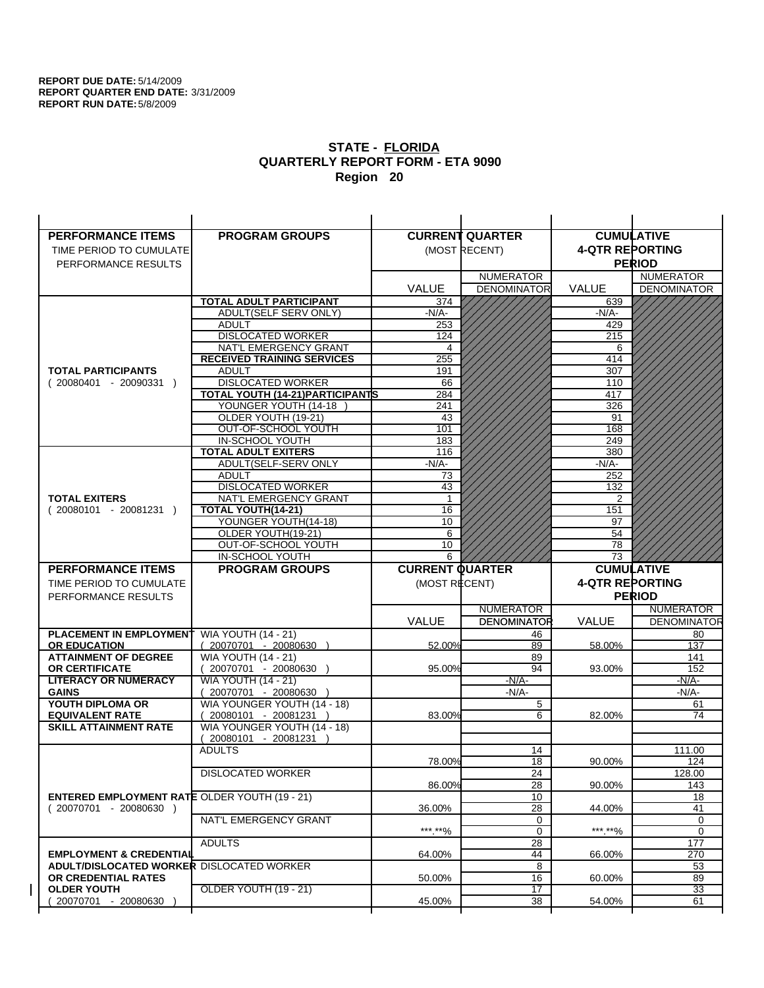| <b>PERFORMANCE ITEMS</b>                                                        | <b>PROGRAM GROUPS</b>                              |                        | <b>CURRENT QUARTER</b> |                        | <b>CUMULATIVE</b>     |
|---------------------------------------------------------------------------------|----------------------------------------------------|------------------------|------------------------|------------------------|-----------------------|
| TIME PERIOD TO CUMULATE                                                         |                                                    |                        | (MOST RECENT)          | <b>4-QTR REPORTING</b> |                       |
| PERFORMANCE RESULTS                                                             |                                                    |                        |                        |                        | <b>PERIOD</b>         |
|                                                                                 |                                                    |                        | <b>NUMERATOR</b>       |                        | <b>NUMERATOR</b>      |
|                                                                                 |                                                    | <b>VALUE</b>           | <b>DENOMINATOR</b>     | VALUE                  | <b>DENOMINATOR</b>    |
|                                                                                 | <b>TOTAL ADULT PARTICIPANT</b>                     | 374                    |                        | 639                    |                       |
|                                                                                 | ADULT(SELF SERV ONLY)                              | -N/A-                  |                        | -N/A-                  |                       |
|                                                                                 | <b>ADULT</b>                                       | 253                    |                        | 429                    |                       |
|                                                                                 | <b>DISLOCATED WORKER</b>                           | 124                    |                        | 215                    |                       |
|                                                                                 | NAT'L EMERGENCY GRANT                              | 4                      |                        | 6                      |                       |
|                                                                                 | <b>RECEIVED TRAINING SERVICES</b><br><b>ADULT</b>  | 255                    |                        | 414                    |                       |
| <b>TOTAL PARTICIPANTS</b><br>$(20080401 - 20090331)$                            | <b>DISLOCATED WORKER</b>                           | 191<br>66              |                        | 307<br>110             |                       |
|                                                                                 | TOTAL YOUTH (14-21) PARTICIPANTS                   | 284                    |                        | 417                    |                       |
|                                                                                 | YOUNGER YOUTH (14-18                               | 241                    |                        | 326                    |                       |
|                                                                                 | OLDER YOUTH (19-21)                                | 43                     |                        | 91                     |                       |
|                                                                                 | OUT-OF-SCHOOL YOUTH                                | 101                    |                        | 168                    |                       |
|                                                                                 | IN-SCHOOL YOUTH                                    | 183                    |                        | 249                    |                       |
|                                                                                 | <b>TOTAL ADULT EXITERS</b>                         | 116                    |                        | 380                    |                       |
|                                                                                 | ADULT(SELF-SERV ONLY                               | $-N/A-$                |                        | -N/A-                  |                       |
|                                                                                 | <b>ADULT</b>                                       | 73                     |                        | 252                    |                       |
| <b>TOTAL EXITERS</b>                                                            | <b>DISLOCATED WORKER</b><br>NAT'L EMERGENCY GRANT  | 43<br>$\mathbf 1$      |                        | 132<br>$\overline{2}$  |                       |
| $(20080101 - 20081231)$                                                         | TOTAL YOUTH(14-21)                                 | 16                     |                        | 151                    |                       |
|                                                                                 | YOUNGER YOUTH(14-18)                               | 10                     |                        | 97                     |                       |
|                                                                                 | OLDER YOUTH(19-21)                                 | 6                      |                        | $\overline{54}$        |                       |
|                                                                                 | OUT-OF-SCHOOL YOUTH                                | 10                     |                        | 78                     |                       |
|                                                                                 | IN-SCHOOL YOUTH                                    | 6                      |                        | 73                     |                       |
|                                                                                 |                                                    |                        |                        |                        |                       |
| <b>PERFORMANCE ITEMS</b>                                                        | <b>PROGRAM GROUPS</b>                              | <b>CURRENT QUARTER</b> |                        |                        | <b>CUMULATIVE</b>     |
| TIME PERIOD TO CUMULATE                                                         |                                                    | (MOST RECENT)          |                        | <b>4-QTR REPORTING</b> |                       |
| PERFORMANCE RESULTS                                                             |                                                    |                        |                        |                        | <b>PERIOD</b>         |
|                                                                                 |                                                    |                        | <b>NUMERATOR</b>       |                        | <b>NUMERATOR</b>      |
|                                                                                 |                                                    | <b>VALUE</b>           | <b>DENOMINATOR</b>     | <b>VALUE</b>           | <b>DENOMINATOR</b>    |
| <b>PLACEMENT IN EMPLOYMENT</b>                                                  | <b>WIA YOUTH (14 - 21)</b>                         |                        | 46                     |                        | 80                    |
| <b>OR EDUCATION</b>                                                             | $(20070701 - 20080630)$                            | 52.00%                 | 89                     | 58.00%                 | 137                   |
| <b>ATTAINMENT OF DEGREE</b>                                                     | <b>WIA YOUTH (14 - 21)</b>                         |                        | 89                     |                        | 141                   |
| OR CERTIFICATE                                                                  | $(20070701 - 20080630)$                            | 95.00%                 | 94                     | 93.00%                 | 152                   |
| <b>LITERACY OR NUMERACY</b><br><b>GAINS</b>                                     | <b>WIA YOUTH (14 - 21)</b>                         |                        | $-N/A$ -<br>$-N/A$ -   |                        | -N/A-                 |
| YOUTH DIPLOMA OR                                                                | 20070701 - 20080630<br>WIA YOUNGER YOUTH (14 - 18) |                        | 5                      |                        | $-N/A-$<br>61         |
| <b>EQUIVALENT RATE</b>                                                          | 20080101 - 20081231 )                              | 83.00%                 | 6                      | 82.00%                 | 74                    |
| <b>SKILL ATTAINMENT RATE</b>                                                    | WIA YOUNGER YOUTH (14 - 18)                        |                        |                        |                        |                       |
|                                                                                 | $(20080101 - 20081231)$                            |                        |                        |                        |                       |
|                                                                                 | <b>ADULTS</b>                                      |                        | 14                     |                        | 111.00                |
|                                                                                 |                                                    | 78.00%                 | 18                     | 90.00%                 | 124                   |
|                                                                                 | <b>DISLOCATED WORKER</b>                           |                        | $\overline{24}$        |                        | 128.00                |
|                                                                                 |                                                    | 86.00%                 | 28                     | 90.00%                 | 143                   |
| <b>ENTERED EMPLOYMENT RATE OLDER YOUTH (19 - 21)</b><br>$(20070701 - 20080630)$ |                                                    | 36.00%                 | 10                     | 44.00%                 | 18<br>41              |
|                                                                                 | NAT'L EMERGENCY GRANT                              |                        | 28<br>0                |                        | 0                     |
|                                                                                 |                                                    | *** **%                | $\mathbf 0$            | ***.**%                | $\Omega$              |
|                                                                                 | <b>ADULTS</b>                                      |                        | 28                     |                        | 177                   |
| <b>EMPLOYMENT &amp; CREDENTIAL</b>                                              |                                                    | 64.00%                 | 44                     | 66.00%                 | 270                   |
| <b>ADULT/DISLOCATED WORKER DISLOCATED WORKER</b>                                |                                                    |                        | 8                      |                        | 53                    |
| OR CREDENTIAL RATES                                                             |                                                    | 50.00%                 | 16                     | 60.00%                 | 89                    |
| <b>OLDER YOUTH</b><br>20070701 - 20080630                                       | OLDER YOUTH (19 - 21)                              | 45.00%                 | 17<br>38               | 54.00%                 | $\overline{33}$<br>61 |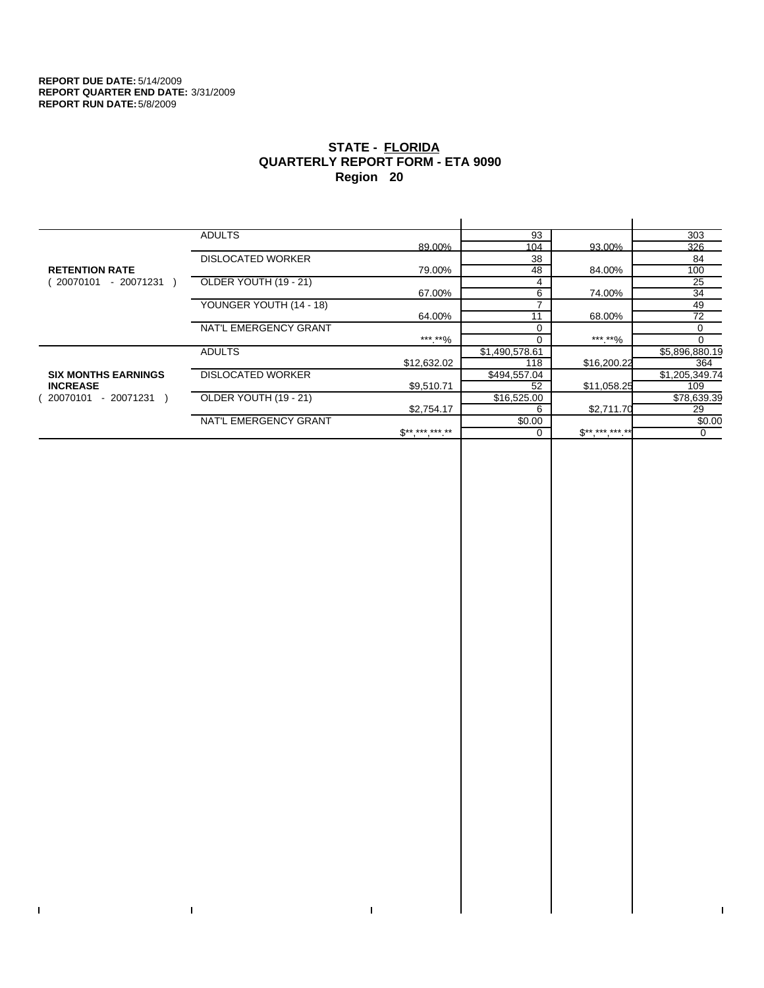$\bar{\Gamma}$ 

 $\Gamma$ 

# **STATE - FLORIDA QUARTERLY REPORT FORM - ETA 9090 Region 20**

|                            | <b>ADULTS</b>            |              | 93             |              | 303            |
|----------------------------|--------------------------|--------------|----------------|--------------|----------------|
|                            |                          | 89.00%       | 104            | 93.00%       | 326            |
|                            | <b>DISLOCATED WORKER</b> |              | 38             |              | 84             |
| <b>RETENTION RATE</b>      |                          | 79.00%       | 48             | 84.00%       | 100            |
| $-20071231$<br>20070101    | OLDER YOUTH (19 - 21)    |              | 4              |              | 25             |
|                            |                          | 67.00%       | 6              | 74.00%       | 34             |
|                            | YOUNGER YOUTH (14 - 18)  |              |                |              | 49             |
|                            |                          | 64.00%       | 11             | 68.00%       | 72             |
|                            | NAT'L EMERGENCY GRANT    |              |                |              | 0              |
|                            |                          | *** **%      | $\Omega$       | ***.**%      | $\Omega$       |
|                            | <b>ADULTS</b>            |              | \$1,490,578.61 |              | \$5,896,880.19 |
|                            |                          | \$12,632.02  | 118            | \$16,200.22  | 364            |
| <b>SIX MONTHS EARNINGS</b> | <b>DISLOCATED WORKER</b> |              | \$494,557.04   |              | \$1,205,349.74 |
| <b>INCREASE</b>            |                          | \$9,510.71   | 52             | \$11,058.25  | 109            |
| - 20071231<br>20070101     | OLDER YOUTH (19 - 21)    |              | \$16,525.00    |              | \$78,639.39    |
|                            |                          | \$2,754.17   | 6              | \$2,711.70   | 29             |
|                            | NAT'L EMERGENCY GRANT    |              | \$0.00         |              | \$0.00         |
|                            |                          | $S*********$ |                | $$********"$ | 0              |
|                            |                          |              |                |              |                |

 $\bar{\Gamma}$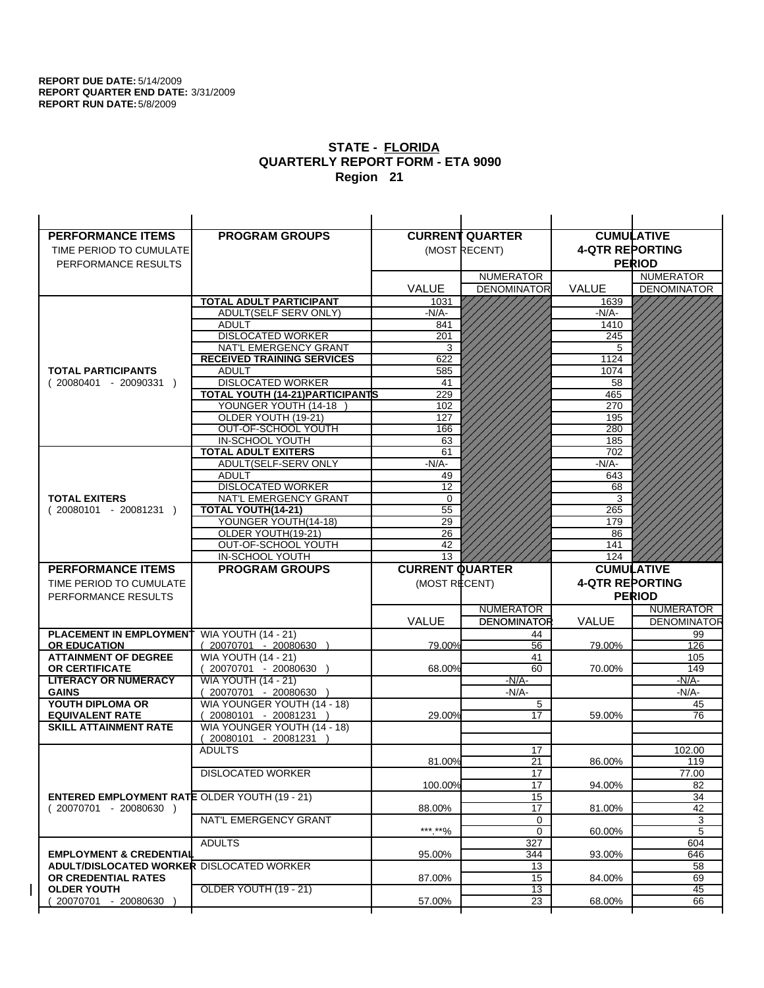| <b>PERFORMANCE ITEMS</b>                             | <b>PROGRAM GROUPS</b>                                |                        | <b>CURRENT QUARTER</b> |                        | <b>CUMULATIVE</b>  |
|------------------------------------------------------|------------------------------------------------------|------------------------|------------------------|------------------------|--------------------|
| TIME PERIOD TO CUMULATE                              |                                                      |                        | (MOST RECENT)          | <b>4-QTR REPORTING</b> |                    |
| PERFORMANCE RESULTS                                  |                                                      |                        |                        |                        | <b>PERIOD</b>      |
|                                                      |                                                      |                        | <b>NUMERATOR</b>       |                        | <b>NUMERATOR</b>   |
|                                                      |                                                      | <b>VALUE</b>           | <b>DENOMINATOR</b>     | VALUE                  | <b>DENOMINATOR</b> |
|                                                      | TOTAL ADULT PARTICIPANT                              | 1031                   |                        | 1639                   |                    |
|                                                      | <b>ADULT(SELF SERV ONLY)</b>                         | -N/A-                  |                        | -N/A-                  |                    |
|                                                      | <b>ADULT</b>                                         | 841                    |                        | 1410                   |                    |
|                                                      | <b>DISLOCATED WORKER</b>                             | 201                    |                        | 245                    |                    |
|                                                      | NAT'L EMERGENCY GRANT                                | 3                      |                        | 5                      |                    |
| <b>TOTAL PARTICIPANTS</b>                            | <b>RECEIVED TRAINING SERVICES</b><br><b>ADULT</b>    | 622                    |                        | 1124                   |                    |
| $(20080401 - 20090331)$                              | <b>DISLOCATED WORKER</b>                             | 585<br>41              |                        | 1074<br>58             |                    |
|                                                      | TOTAL YOUTH (14-21) PARTICIPANTS                     | 229                    |                        | 465                    |                    |
|                                                      | YOUNGER YOUTH (14-18                                 | 102                    |                        | 270                    |                    |
|                                                      | OLDER YOUTH (19-21)                                  | 127                    |                        | 195                    |                    |
|                                                      | OUT-OF-SCHOOL YOUTH                                  | 166                    |                        | 280                    |                    |
|                                                      | IN-SCHOOL YOUTH                                      | 63                     |                        | 185                    |                    |
|                                                      | <b>TOTAL ADULT EXITERS</b>                           | 61                     |                        | 702                    |                    |
|                                                      | ADULT(SELF-SERV ONLY                                 | $-N/A$ -               |                        | $-N/A-$                |                    |
|                                                      | <b>ADULT</b>                                         | 49                     |                        | 643                    |                    |
|                                                      | <b>DISLOCATED WORKER</b>                             | $\overline{12}$        |                        | 68                     |                    |
| <b>TOTAL EXITERS</b><br>$(20080101 - 20081231)$      | NAT'L EMERGENCY GRANT<br>TOTAL YOUTH(14-21)          | 0<br>55                |                        | 3<br>265               |                    |
|                                                      | YOUNGER YOUTH(14-18)                                 | 29                     |                        | 179                    |                    |
|                                                      | OLDER YOUTH(19-21)                                   | 26                     |                        | 86                     |                    |
|                                                      | OUT-OF-SCHOOL YOUTH                                  | 42                     |                        | 141                    |                    |
|                                                      | IN-SCHOOL YOUTH                                      | $\overline{13}$        |                        | 124                    |                    |
|                                                      |                                                      |                        |                        |                        |                    |
| <b>PERFORMANCE ITEMS</b>                             | <b>PROGRAM GROUPS</b>                                | <b>CURRENT QUARTER</b> |                        |                        | <b>CUMULATIVE</b>  |
| TIME PERIOD TO CUMULATE                              |                                                      | (MOST RECENT)          |                        | <b>4-QTR REPORTING</b> |                    |
| PERFORMANCE RESULTS                                  |                                                      |                        |                        |                        | <b>PERIOD</b>      |
|                                                      |                                                      |                        | <b>NUMERATOR</b>       |                        | <b>NUMERATOR</b>   |
|                                                      |                                                      | <b>VALUE</b>           | <b>DENOMINATOR</b>     | <b>VALUE</b>           | <b>DENOMINATOR</b> |
| <b>PLACEMENT IN EMPLOYMENT</b>                       | <b>WIA YOUTH (14 - 21)</b>                           |                        | 44                     |                        | 99                 |
| <b>OR EDUCATION</b>                                  | $(20070701 - 20080630)$                              | 79.00%                 | 56                     | 79.00%                 | 126                |
| <b>ATTAINMENT OF DEGREE</b>                          | <b>WIA YOUTH (14 - 21)</b>                           |                        | 41                     |                        | 105                |
| <b>OR CERTIFICATE</b>                                | (20070701 - 20080630                                 | 68.00%                 | 60                     | 70.00%                 | 149                |
| <b>LITERACY OR NUMERACY</b>                          | <b>WIA YOUTH (14 - 21)</b>                           |                        | $-N/A-$                |                        | $-N/A$ -           |
| <b>GAINS</b>                                         | 20070701 - 20080630                                  |                        | $-N/A-$                |                        | $-N/A-$            |
| YOUTH DIPLOMA OR<br><b>EQUIVALENT RATE</b>           | WIA YOUNGER YOUTH (14 - 18)<br>20080101 - 20081231 ) | 29.00%                 | 5<br>17                | 59.00%                 | 45<br>76           |
| <b>SKILL ATTAINMENT RATE</b>                         | WIA YOUNGER YOUTH (14 - 18)                          |                        |                        |                        |                    |
|                                                      | (20080101 - 20081231                                 |                        |                        |                        |                    |
|                                                      | <b>ADULTS</b>                                        |                        | 17                     |                        | 102.00             |
|                                                      |                                                      | 81.00%                 | 21                     | 86.00%                 | 119                |
|                                                      | <b>DISLOCATED WORKER</b>                             |                        | $\overline{17}$        |                        | 77.00              |
|                                                      |                                                      | 100.00%                | 17                     | 94.00%                 | 82                 |
| <b>ENTERED EMPLOYMENT RATE OLDER YOUTH (19 - 21)</b> |                                                      |                        | 15                     |                        | 34                 |
| $(20070701 - 20080630)$                              | NAT'L EMERGENCY GRANT                                | 88.00%                 | 17                     | 81.00%                 | 42                 |
|                                                      |                                                      | ***.**%                | 0<br>0                 | 60.00%                 | 3<br>5             |
|                                                      | <b>ADULTS</b>                                        |                        | 327                    |                        | 604                |
| <b>EMPLOYMENT &amp; CREDENTIAL</b>                   |                                                      | 95.00%                 | 344                    | 93.00%                 | 646                |
| <b>ADULT/DISLOCATED WORKER DISLOCATED WORKER</b>     |                                                      |                        | 13                     |                        | 58                 |
| OR CREDENTIAL RATES                                  |                                                      | 87.00%                 | 15                     | 84.00%                 | 69                 |
| <b>OLDER YOUTH</b><br>20070701 - 20080630            | OLDER YOUTH (19 - 21)                                | 57.00%                 | $\overline{13}$<br>23  | 68.00%                 | 45<br>66           |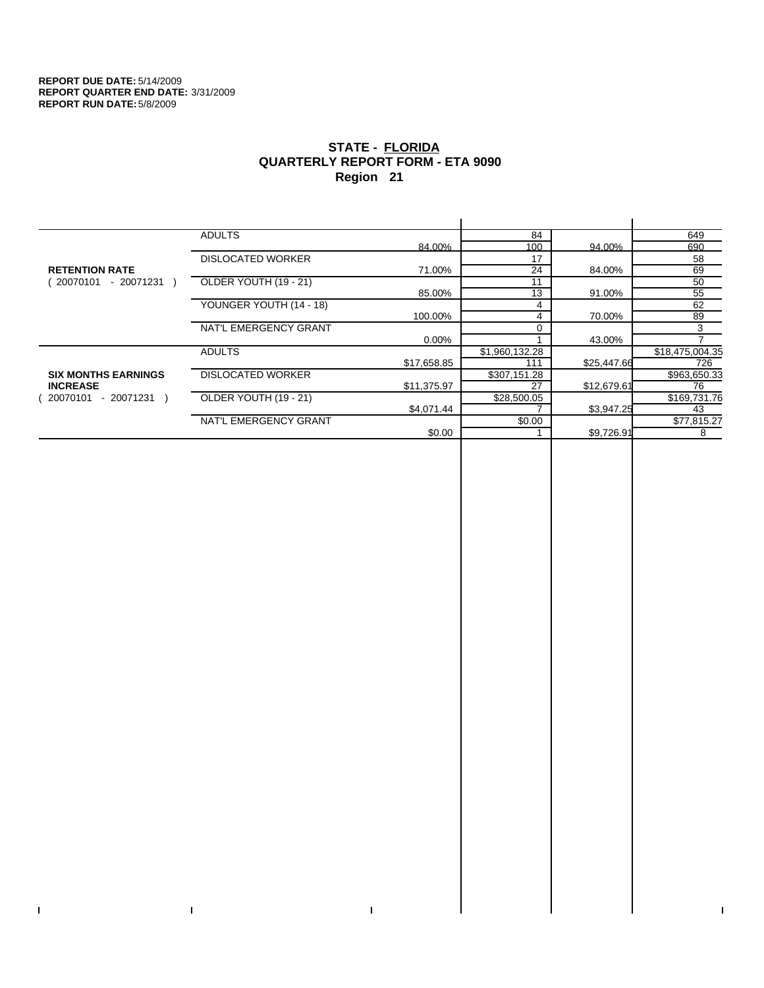$\bar{\Gamma}$ 

 $\Gamma$ 

# **STATE - FLORIDA QUARTERLY REPORT FORM - ETA 9090 Region 21**

|                            | <b>ADULTS</b>            |             | 84             |             | 649             |
|----------------------------|--------------------------|-------------|----------------|-------------|-----------------|
|                            |                          | 84.00%      | 100            | 94.00%      | 690             |
|                            | <b>DISLOCATED WORKER</b> |             | 17             |             | 58              |
| <b>RETENTION RATE</b>      |                          | 71.00%      | 24             | 84.00%      | 69              |
| - 20071231<br>20070101     | OLDER YOUTH (19 - 21)    |             | 11             |             | 50              |
|                            |                          | 85.00%      | 13             | 91.00%      | 55              |
|                            | YOUNGER YOUTH (14 - 18)  |             |                |             | 62              |
|                            |                          | 100.00%     | 4              | 70.00%      | 89              |
|                            | NAT'L EMERGENCY GRANT    |             |                |             | 3               |
|                            |                          | $0.00\%$    |                | 43.00%      |                 |
|                            | <b>ADULTS</b>            |             | \$1,960,132.28 |             | \$18,475,004.35 |
|                            |                          | \$17,658.85 | 111            | \$25,447.66 | 726             |
| <b>SIX MONTHS EARNINGS</b> | <b>DISLOCATED WORKER</b> |             | \$307,151.28   |             | \$963,650.33    |
| <b>INCREASE</b>            |                          | \$11,375.97 | 27             | \$12,679.61 | 76              |
| 20070101<br>- 20071231 )   | OLDER YOUTH (19 - 21)    |             | \$28,500.05    |             | \$169,731.76    |
|                            |                          | \$4,071.44  |                | \$3,947.25  | 43              |
|                            | NAT'L EMERGENCY GRANT    |             | \$0.00         |             | \$77,815.27     |
|                            |                          | \$0.00      |                | \$9,726.91  | 8               |
|                            |                          |             |                |             |                 |

 $\bar{\Gamma}$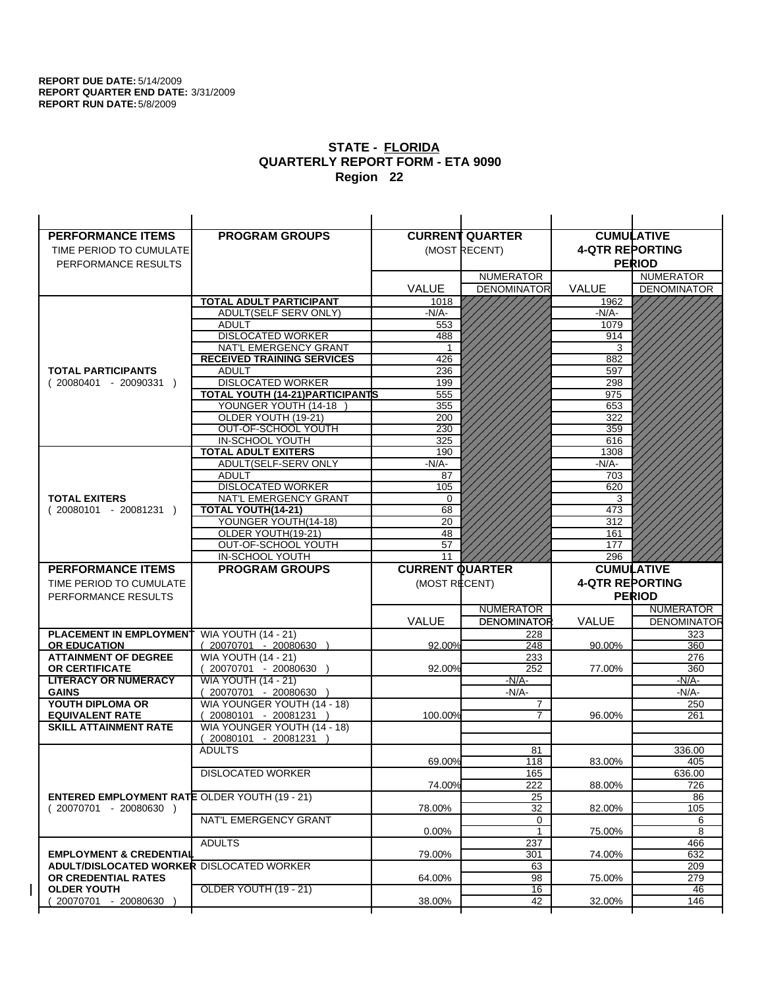| <b>PERFORMANCE ITEMS</b>                             | <b>PROGRAM GROUPS</b>                              |                        | <b>CURRENT QUARTER</b> |                        | <b>CUMULATIVE</b>  |
|------------------------------------------------------|----------------------------------------------------|------------------------|------------------------|------------------------|--------------------|
| TIME PERIOD TO CUMULATE                              |                                                    |                        | (MOST RECENT)          | <b>4-QTR REPORTING</b> |                    |
| PERFORMANCE RESULTS                                  |                                                    |                        |                        |                        | <b>PERIOD</b>      |
|                                                      |                                                    |                        | <b>NUMERATOR</b>       |                        | <b>NUMERATOR</b>   |
|                                                      |                                                    | <b>VALUE</b>           | <b>DENOMINATOR</b>     | VALUE                  | <b>DENOMINATOR</b> |
|                                                      | TOTAL ADULT PARTICIPANT                            | 1018                   |                        | 1962                   |                    |
|                                                      | <b>ADULT(SELF SERV ONLY)</b>                       | -N/A-                  |                        | -N/A-                  |                    |
|                                                      | <b>ADULT</b>                                       | 553                    |                        | 1079                   |                    |
|                                                      | <b>DISLOCATED WORKER</b>                           | 488                    |                        | 914                    |                    |
|                                                      | NAT'L EMERGENCY GRANT                              |                        |                        | 3                      |                    |
|                                                      | <b>RECEIVED TRAINING SERVICES</b>                  | 426                    |                        | 882                    |                    |
| <b>TOTAL PARTICIPANTS</b>                            | <b>ADULT</b>                                       | 236                    |                        | 597                    |                    |
| $(20080401 - 20090331)$                              | <b>DISLOCATED WORKER</b>                           | 199                    |                        | 298                    |                    |
|                                                      | TOTAL YOUTH (14-21) PARTICIPANTS                   | 555                    |                        | 975                    |                    |
|                                                      | YOUNGER YOUTH (14-18                               | 355                    |                        | 653                    |                    |
|                                                      | OLDER YOUTH (19-21)<br>OUT-OF-SCHOOL YOUTH         | 200<br>230             |                        | 322<br>359             |                    |
|                                                      | IN-SCHOOL YOUTH                                    | 325                    |                        | 616                    |                    |
|                                                      | <b>TOTAL ADULT EXITERS</b>                         | 190                    |                        | 1308                   |                    |
|                                                      | ADULT(SELF-SERV ONLY                               | $-N/A$ -               |                        | $-N/A-$                |                    |
|                                                      | <b>ADULT</b>                                       | 87                     |                        | 703                    |                    |
|                                                      | <b>DISLOCATED WORKER</b>                           | 105                    |                        | 620                    |                    |
| <b>TOTAL EXITERS</b>                                 | NAT'L EMERGENCY GRANT                              | 0                      |                        | 3                      |                    |
| $(20080101 - 20081231)$                              | TOTAL YOUTH(14-21)                                 | 68                     |                        | 473                    |                    |
|                                                      | YOUNGER YOUTH(14-18)                               | 20                     |                        | 312                    |                    |
|                                                      | OLDER YOUTH(19-21)                                 | 48                     |                        | 161                    |                    |
|                                                      | OUT-OF-SCHOOL YOUTH                                | 57                     |                        | 177                    |                    |
|                                                      | IN-SCHOOL YOUTH                                    | 11                     |                        | 296                    |                    |
|                                                      |                                                    |                        |                        |                        |                    |
| <b>PERFORMANCE ITEMS</b>                             | <b>PROGRAM GROUPS</b>                              | <b>CURRENT QUARTER</b> |                        |                        | <b>CUMULATIVE</b>  |
| TIME PERIOD TO CUMULATE                              |                                                    | (MOST RECENT)          |                        | <b>4-QTR REPORTING</b> |                    |
| PERFORMANCE RESULTS                                  |                                                    |                        |                        |                        | <b>PERIOD</b>      |
|                                                      |                                                    |                        | <b>NUMERATOR</b>       |                        | <b>NUMERATOR</b>   |
|                                                      |                                                    | <b>VALUE</b>           | <b>DENOMINATOR</b>     | <b>VALUE</b>           | <b>DENOMINATOR</b> |
| <b>PLACEMENT IN EMPLOYMENT</b>                       | <b>WIA YOUTH (14 - 21)</b>                         |                        | 228                    |                        | 323                |
| <b>OR EDUCATION</b>                                  | $(20070701 - 20080630)$                            | 92.00%                 | 248                    | 90.00%                 | 360                |
| <b>ATTAINMENT OF DEGREE</b>                          | <b>WIA YOUTH (14 - 21)</b>                         |                        | 233                    |                        | 276                |
| <b>OR CERTIFICATE</b>                                | (20070701 - 20080630                               | 92.00%                 | 252                    | 77.00%                 | 360                |
| <b>LITERACY OR NUMERACY</b>                          | <b>WIA YOUTH (14 - 21)</b>                         |                        | -N/A-                  |                        | -N/A-              |
| <b>GAINS</b>                                         | 20070701 - 20080630<br>WIA YOUNGER YOUTH (14 - 18) |                        | $-N/A-$<br>7           |                        | $-N/A-$<br>250     |
| YOUTH DIPLOMA OR<br><b>EQUIVALENT RATE</b>           | 20080101 - 20081231 )                              | 100.00%                | 7                      | 96.00%                 | 261                |
| <b>SKILL ATTAINMENT RATE</b>                         | WIA YOUNGER YOUTH (14 - 18)                        |                        |                        |                        |                    |
|                                                      | (20080101 - 20081231                               |                        |                        |                        |                    |
|                                                      | <b>ADULTS</b>                                      |                        | 81                     |                        | 336.00             |
|                                                      |                                                    | 69.00%                 | 118                    | 83.00%                 | 405                |
|                                                      | <b>DISLOCATED WORKER</b>                           |                        | 165                    |                        | 636.00             |
|                                                      |                                                    | 74.00%                 | 222                    | 88.00%                 | 726                |
| <b>ENTERED EMPLOYMENT RATE OLDER YOUTH (19 - 21)</b> |                                                    |                        | 25                     |                        | 86                 |
| $(20070701 - 20080630)$                              |                                                    | 78.00%                 | 32                     | 82.00%                 | 105                |
|                                                      | NAT'L EMERGENCY GRANT                              |                        | 0<br>1                 |                        | 6                  |
|                                                      | <b>ADULTS</b>                                      | $0.00\%$               |                        | 75.00%                 | 8<br>466           |
| <b>EMPLOYMENT &amp; CREDENTIAL</b>                   |                                                    | 79.00%                 | 237<br>301             | 74.00%                 | 632                |
| <b>ADULT/DISLOCATED WORKER DISLOCATED WORKER</b>     |                                                    |                        | 63                     |                        | 209                |
| OR CREDENTIAL RATES                                  |                                                    | 64.00%                 | 98                     | 75.00%                 | 279                |
| <b>OLDER YOUTH</b><br>20070701 - 20080630            | <b>OLDER YOUTH (19 - 21)</b>                       | 38.00%                 | 16<br>42               | 32.00%                 | 46<br>146          |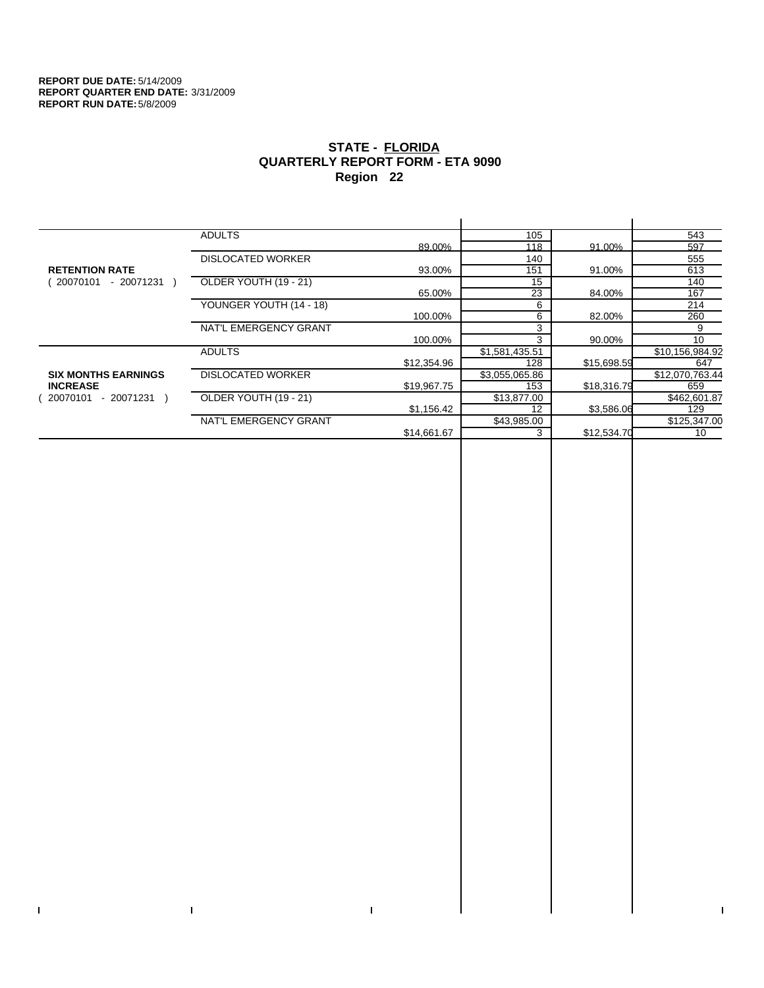$\bar{\Gamma}$ 

 $\mathbf{I}$ 

# **STATE - FLORIDA QUARTERLY REPORT FORM - ETA 9090 Region 22**

|                            | <b>ADULTS</b>            |             | 105            |             | 543             |
|----------------------------|--------------------------|-------------|----------------|-------------|-----------------|
|                            |                          | 89.00%      | 118            | 91.00%      | 597             |
|                            | <b>DISLOCATED WORKER</b> |             | 140            |             | 555             |
| <b>RETENTION RATE</b>      |                          | 93.00%      | 151            | 91.00%      | 613             |
| - 20071231<br>20070101     | OLDER YOUTH (19 - 21)    |             | 15             |             | 140             |
|                            |                          | 65.00%      | 23             | 84.00%      | 167             |
|                            | YOUNGER YOUTH (14 - 18)  |             | 6              |             | 214             |
|                            |                          | 100.00%     | 6              | 82.00%      | 260             |
|                            | NAT'L EMERGENCY GRANT    |             | 3              |             | 9               |
|                            |                          | 100.00%     | 3              | 90.00%      | 10              |
|                            | <b>ADULTS</b>            |             | \$1,581,435.51 |             | \$10,156,984.92 |
|                            |                          | \$12,354.96 | 128            | \$15,698.59 | 647             |
| <b>SIX MONTHS EARNINGS</b> | <b>DISLOCATED WORKER</b> |             | \$3,055,065.86 |             | \$12,070,763.44 |
| <b>INCREASE</b>            |                          | \$19,967.75 | 153            | \$18,316.79 | 659             |
| - 20071231<br>20070101     | OLDER YOUTH (19 - 21)    |             | \$13,877.00    |             | \$462,601.87    |
|                            |                          | \$1,156.42  | 12             | \$3,586.06  | 129             |
|                            | NAT'L EMERGENCY GRANT    |             | \$43,985.00    |             | \$125,347.00    |
|                            |                          | \$14,661.67 | 3              | \$12,534.70 | 10              |
|                            |                          |             |                |             |                 |

 $\bar{\Gamma}$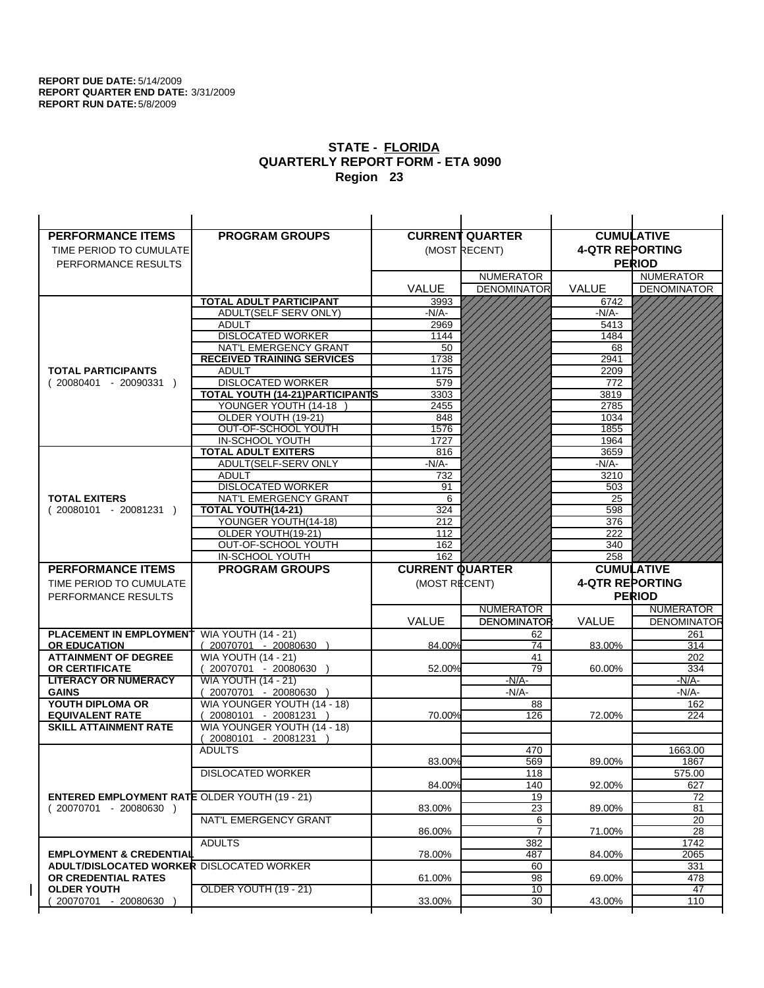| <b>PERFORMANCE ITEMS</b>                             | <b>PROGRAM GROUPS</b>             |                        | <b>CURRENT QUARTER</b> |                        | <b>CUMULATIVE</b>  |
|------------------------------------------------------|-----------------------------------|------------------------|------------------------|------------------------|--------------------|
| TIME PERIOD TO CUMULATE                              |                                   |                        | (MOST RECENT)          | <b>4-QTR REPORTING</b> |                    |
| PERFORMANCE RESULTS                                  |                                   |                        |                        |                        | <b>PERIOD</b>      |
|                                                      |                                   |                        | <b>NUMERATOR</b>       |                        | <b>NUMERATOR</b>   |
|                                                      |                                   | <b>VALUE</b>           | <b>DENOMINATOR</b>     | VALUE                  | <b>DENOMINATOR</b> |
|                                                      | <b>TOTAL ADULT PARTICIPANT</b>    | 3993                   |                        | 6742                   |                    |
|                                                      | ADULT(SELF SERV ONLY)             | -N/A-                  |                        | -N/A-                  |                    |
|                                                      | <b>ADULT</b>                      | 2969                   |                        | 5413                   |                    |
|                                                      | <b>DISLOCATED WORKER</b>          | 1144                   |                        | 1484                   |                    |
|                                                      | NAT'L EMERGENCY GRANT             | 50                     |                        | 68                     |                    |
|                                                      | <b>RECEIVED TRAINING SERVICES</b> | 1738                   |                        | 2941                   |                    |
| <b>TOTAL PARTICIPANTS</b>                            | <b>ADULT</b>                      | 1175                   |                        | 2209                   |                    |
| $(20080401 - 20090331)$                              | <b>DISLOCATED WORKER</b>          | 579                    |                        | 772                    |                    |
|                                                      | TOTAL YOUTH (14-21) PARTICIPANTS  | 3303                   |                        | 3819                   |                    |
|                                                      | YOUNGER YOUTH (14-18              | 2455                   |                        | 2785                   |                    |
|                                                      | OLDER YOUTH (19-21)               | 848                    |                        | 1034                   |                    |
|                                                      | OUT-OF-SCHOOL YOUTH               | 1576                   |                        | 1855                   |                    |
|                                                      | IN-SCHOOL YOUTH                   | 1727                   |                        | 1964                   |                    |
|                                                      | <b>TOTAL ADULT EXITERS</b>        | 816                    |                        | 3659                   |                    |
|                                                      | ADULT(SELF-SERV ONLY              | $-N/A-$                |                        | -N/A-                  |                    |
|                                                      | <b>ADULT</b>                      | 732                    |                        | 3210                   |                    |
|                                                      | <b>DISLOCATED WORKER</b>          | 91                     |                        | 503                    |                    |
| <b>TOTAL EXITERS</b>                                 | NAT'L EMERGENCY GRANT             | 6                      |                        | 25                     |                    |
| $(20080101 - 20081231)$                              | TOTAL YOUTH(14-21)                | 324                    |                        | 598                    |                    |
|                                                      | YOUNGER YOUTH(14-18)              | 212                    |                        | 376                    |                    |
|                                                      | OLDER YOUTH(19-21)                | 112                    |                        | 222                    |                    |
|                                                      | OUT-OF-SCHOOL YOUTH               | 162                    |                        | 340                    |                    |
|                                                      | IN-SCHOOL YOUTH                   | 162                    |                        | 258                    |                    |
|                                                      |                                   |                        |                        |                        |                    |
| <b>PERFORMANCE ITEMS</b>                             | <b>PROGRAM GROUPS</b>             | <b>CURRENT QUARTER</b> |                        |                        | <b>CUMULATIVE</b>  |
| TIME PERIOD TO CUMULATE                              |                                   | (MOST RECENT)          |                        | <b>4-QTR REPORTING</b> |                    |
| PERFORMANCE RESULTS                                  |                                   |                        |                        |                        | <b>PERIOD</b>      |
|                                                      |                                   |                        | <b>NUMERATOR</b>       |                        | <b>NUMERATOR</b>   |
|                                                      |                                   | <b>VALUE</b>           | <b>DENOMINATOR</b>     | <b>VALUE</b>           | <b>DENOMINATOR</b> |
| <b>PLACEMENT IN EMPLOYMENT</b>                       | <b>WIA YOUTH (14 - 21)</b>        |                        | 62                     |                        | 261                |
| <b>OR EDUCATION</b>                                  | $(20070701 - 20080630)$           | 84.00%                 | 74                     | 83.00%                 | 314                |
| <b>ATTAINMENT OF DEGREE</b>                          | <b>WIA YOUTH (14 - 21)</b>        |                        | 41                     |                        | 202                |
| OR CERTIFICATE                                       | 20070701 - 20080630 )             | 52.00%                 | 79                     | 60.00%                 | 334                |
| <b>LITERACY OR NUMERACY</b>                          | <b>WIA YOUTH (14 - 21)</b>        |                        | $-N/A$ -               |                        | -N/A-              |
| <b>GAINS</b>                                         | 20070701 - 20080630               |                        | $-N/A-$                |                        | $-N/A-$            |
| YOUTH DIPLOMA OR                                     | WIA YOUNGER YOUTH (14 - 18)       |                        | 88                     |                        | 162                |
| <b>EQUIVALENT RATE</b>                               | 20080101 - 20081231 )             | 70.00%                 | 126                    | 72.00%                 | 224                |
| <b>SKILL ATTAINMENT RATE</b>                         | WIA YOUNGER YOUTH (14 - 18)       |                        |                        |                        |                    |
|                                                      | $(20080101 - 20081231)$           |                        |                        |                        |                    |
|                                                      | <b>ADULTS</b>                     |                        | 470                    |                        | 1663.00            |
|                                                      |                                   | 83.00%                 | 569                    | 89.00%                 | 1867               |
|                                                      | <b>DISLOCATED WORKER</b>          |                        | 118                    |                        | 575.00             |
|                                                      |                                   | 84.00%                 | 140                    | 92.00%                 | 627                |
| <b>ENTERED EMPLOYMENT RATE OLDER YOUTH (19 - 21)</b> |                                   |                        | 19                     |                        | 72                 |
| $(20070701 - 20080630)$                              | NAT'L EMERGENCY GRANT             | 83.00%                 | 23<br>6                | 89.00%                 | 81<br>20           |
|                                                      |                                   | 86.00%                 | $\overline{7}$         | 71.00%                 | 28                 |
|                                                      | <b>ADULTS</b>                     |                        | 382                    |                        | 1742               |
| <b>EMPLOYMENT &amp; CREDENTIAL</b>                   |                                   | 78.00%                 | 487                    | 84.00%                 | 2065               |
| <b>ADULT/DISLOCATED WORKER DISLOCATED WORKER</b>     |                                   |                        | 60                     |                        | 331                |
| OR CREDENTIAL RATES                                  |                                   | 61.00%                 | 98                     | 69.00%                 | 478                |
| <b>OLDER YOUTH</b>                                   | OLDER YOUTH (19 - 21)             |                        | 10                     |                        | 47                 |
| 20070701 - 20080630                                  |                                   | 33.00%                 | 30                     | 43.00%                 | 110                |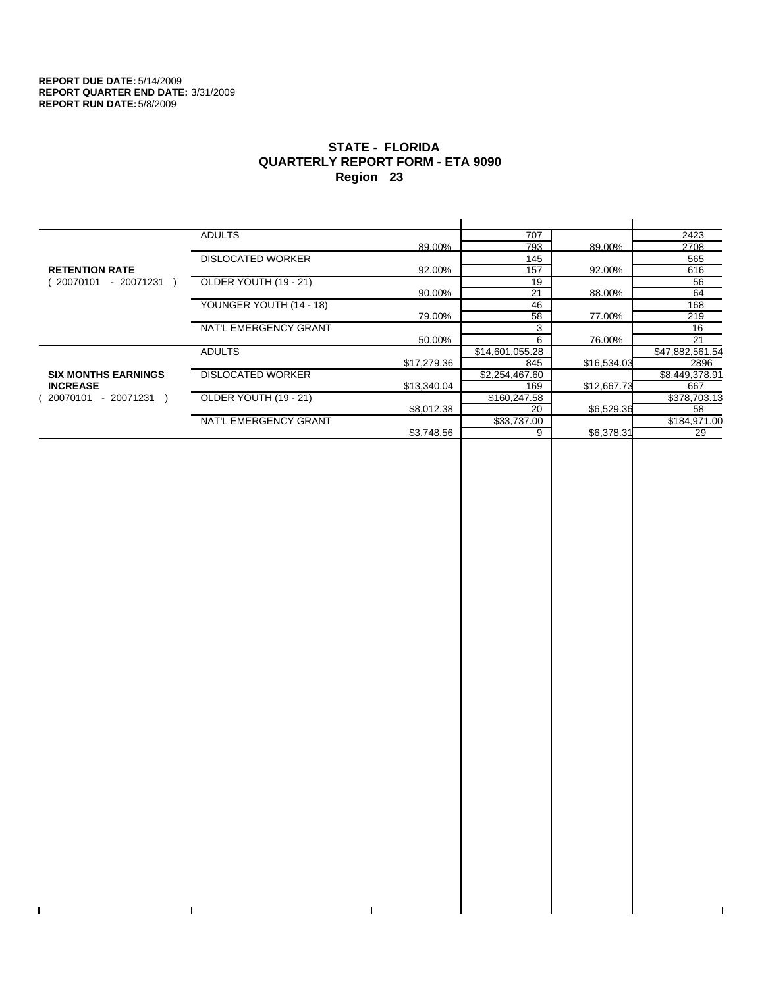$\mathbf{L}$ 

 $\Gamma$ 

# **STATE - FLORIDA QUARTERLY REPORT FORM - ETA 9090 Region 23**

|                            | <b>ADULTS</b>            |             | 707             |             | 2423            |
|----------------------------|--------------------------|-------------|-----------------|-------------|-----------------|
|                            |                          | 89.00%      | 793             | 89.00%      | 2708            |
|                            | <b>DISLOCATED WORKER</b> |             | 145             |             | 565             |
| <b>RETENTION RATE</b>      |                          | 92.00%      | 157             | 92.00%      | 616             |
| 20070101<br>- 20071231     | OLDER YOUTH (19 - 21)    |             | 19              |             | 56              |
|                            |                          | 90.00%      | 21              | 88.00%      | 64              |
|                            | YOUNGER YOUTH (14 - 18)  |             | 46              |             | 168             |
|                            |                          | 79.00%      | 58              | 77.00%      | 219             |
|                            | NAT'L EMERGENCY GRANT    |             | 3               |             | 16              |
|                            |                          | 50.00%      | 6               | 76.00%      | 21              |
|                            | <b>ADULTS</b>            |             | \$14,601,055.28 |             | \$47,882,561.54 |
|                            |                          | \$17,279.36 | 845             | \$16,534.03 | 2896            |
| <b>SIX MONTHS EARNINGS</b> | <b>DISLOCATED WORKER</b> |             | \$2,254,467.60  |             | \$8,449,378.91  |
| <b>INCREASE</b>            |                          | \$13,340.04 | 169             | \$12,667.73 | 667             |
| 20070101<br>- 20071231 )   | OLDER YOUTH (19 - 21)    |             | \$160,247.58    |             | \$378,703.13    |
|                            |                          | \$8,012.38  | 20              | \$6,529.36  | 58              |
|                            | NAT'L EMERGENCY GRANT    |             | \$33,737.00     |             | \$184,971.00    |
|                            |                          | \$3,748.56  | 9               | \$6,378.31  | 29              |
|                            |                          |             |                 |             |                 |

 $\bar{\Gamma}$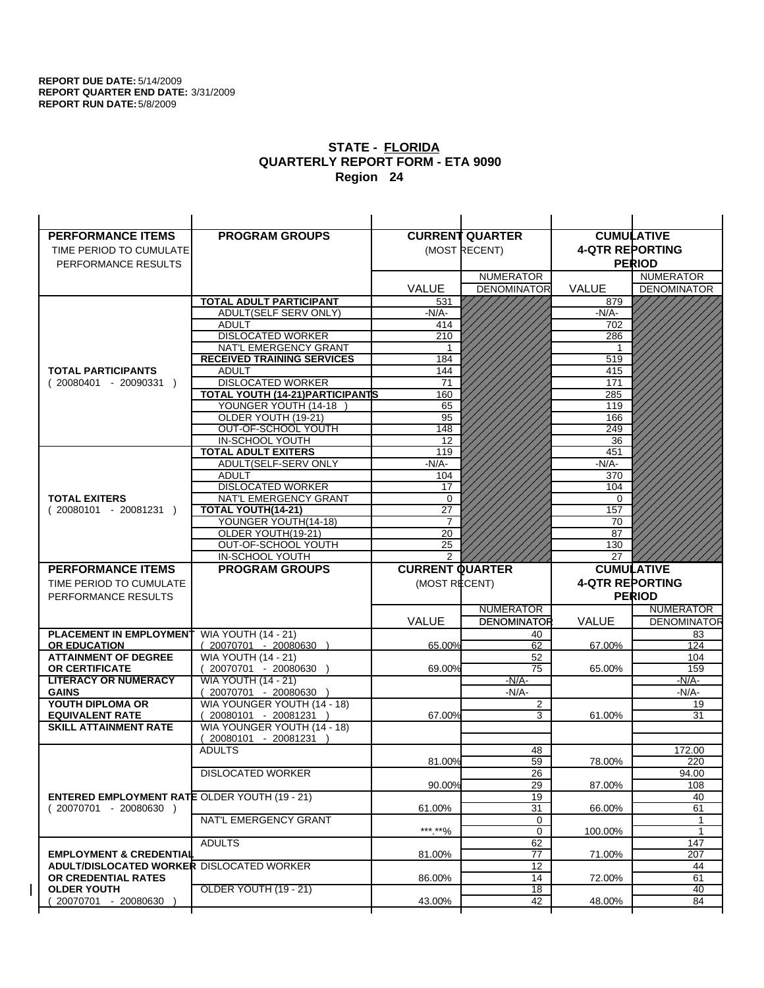| <b>PERFORMANCE ITEMS</b>                             | <b>PROGRAM GROUPS</b>                                |                        | <b>CURRENT QUARTER</b> |                        | <b>CUMULATIVE</b>        |
|------------------------------------------------------|------------------------------------------------------|------------------------|------------------------|------------------------|--------------------------|
| TIME PERIOD TO CUMULATE                              |                                                      |                        | (MOST RECENT)          | <b>4-QTR REPORTING</b> |                          |
| PERFORMANCE RESULTS                                  |                                                      |                        |                        |                        | <b>PERIOD</b>            |
|                                                      |                                                      |                        | <b>NUMERATOR</b>       |                        | <b>NUMERATOR</b>         |
|                                                      |                                                      | <b>VALUE</b>           | <b>DENOMINATOR</b>     | <b>VALUE</b>           | <b>DENOMINATOR</b>       |
|                                                      | TOTAL ADULT PARTICIPANT                              | 531                    |                        | 879                    |                          |
|                                                      | ADULT(SELF SERV ONLY)                                | $-N/A$ -               |                        | -N/A-                  |                          |
|                                                      | <b>ADULT</b>                                         | 414                    |                        | 702                    |                          |
|                                                      | <b>DISLOCATED WORKER</b>                             | 210                    |                        | 286                    |                          |
|                                                      | NAT'L EMERGENCY GRANT                                |                        |                        |                        |                          |
|                                                      | <b>RECEIVED TRAINING SERVICES</b>                    | 184                    |                        | 519                    |                          |
| <b>TOTAL PARTICIPANTS</b>                            | <b>ADULT</b>                                         | 144                    |                        | 415                    |                          |
| $(20080401 - 20090331)$                              | <b>DISLOCATED WORKER</b>                             | 71                     |                        | 171                    |                          |
|                                                      | TOTAL YOUTH (14-21) PARTICIPANTS                     | 160                    |                        | 285                    |                          |
|                                                      | YOUNGER YOUTH (14-18)                                | 65                     |                        | 119                    |                          |
|                                                      | OLDER YOUTH (19-21)                                  | 95                     |                        | 166                    |                          |
|                                                      | OUT-OF-SCHOOL YOUTH                                  | 148                    |                        | 249                    |                          |
|                                                      | IN-SCHOOL YOUTH                                      | 12                     |                        | 36                     |                          |
|                                                      | <b>TOTAL ADULT EXITERS</b>                           | 119                    |                        | 451                    |                          |
|                                                      | ADULT(SELF-SERV ONLY                                 | $-N/A-$                |                        | $-N/A-$                |                          |
|                                                      | <b>ADULT</b>                                         | 104                    |                        | 370                    |                          |
|                                                      | <b>DISLOCATED WORKER</b>                             | 17                     |                        | 104                    |                          |
| <b>TOTAL EXITERS</b>                                 | NAT'L EMERGENCY GRANT                                | 0<br>$\overline{27}$   |                        | 0<br>157               |                          |
| $(20080101 - 20081231)$                              | TOTAL YOUTH(14-21)<br>YOUNGER YOUTH(14-18)           | $\overline{7}$         |                        | 70                     |                          |
|                                                      | OLDER YOUTH(19-21)                                   | 20                     |                        | 87                     |                          |
|                                                      | OUT-OF-SCHOOL YOUTH                                  | 25                     |                        | 130                    |                          |
|                                                      | IN-SCHOOL YOUTH                                      | 2                      |                        | 27                     |                          |
|                                                      |                                                      |                        |                        |                        |                          |
|                                                      |                                                      |                        |                        |                        |                          |
| <b>PERFORMANCE ITEMS</b>                             | <b>PROGRAM GROUPS</b>                                | <b>CURRENT QUARTER</b> |                        |                        | <b>CUMULATIVE</b>        |
| TIME PERIOD TO CUMULATE                              |                                                      | (MOST RECENT)          |                        | <b>4-QTR REPORTING</b> |                          |
| PERFORMANCE RESULTS                                  |                                                      |                        |                        |                        | <b>PERIOD</b>            |
|                                                      |                                                      |                        | <b>NUMERATOR</b>       |                        | <b>NUMERATOR</b>         |
|                                                      |                                                      | <b>VALUE</b>           | <b>DENOMINATOR</b>     | <b>VALUE</b>           |                          |
| <b>PLACEMENT IN EMPLOYMENT</b>                       | <b>WIA YOUTH (14 - 21)</b>                           |                        | 40                     |                        | 83                       |
| <b>OR EDUCATION</b>                                  | $(20070701 - 20080630)$                              | 65.00%                 | 62                     | 67.00%                 | 124                      |
| <b>ATTAINMENT OF DEGREE</b>                          | <b>WIA YOUTH (14 - 21)</b>                           |                        | 52                     |                        | 104                      |
| <b>OR CERTIFICATE</b>                                | (20070701 - 20080630                                 | 69.00%                 | 75                     | 65.00%                 | 159                      |
| <b>LITERACY OR NUMERACY</b>                          | <b>WIA YOUTH (14 - 21)</b>                           |                        | $-N/A$ -               |                        | -N/A-                    |
| <b>GAINS</b>                                         | 20070701 - 20080630                                  |                        | $-N/A$ -               |                        | -N/A-<br>19              |
| YOUTH DIPLOMA OR<br><b>EQUIVALENT RATE</b>           | WIA YOUNGER YOUTH (14 - 18)<br>20080101 - 20081231 ) | 67.00%                 | 2<br>3                 | 61.00%                 | 31                       |
| <b>SKILL ATTAINMENT RATE</b>                         | WIA YOUNGER YOUTH (14 - 18)                          |                        |                        |                        |                          |
|                                                      | (20080101 - 20081231                                 |                        |                        |                        |                          |
|                                                      | <b>ADULTS</b>                                        |                        | 48                     |                        | 172.00                   |
|                                                      |                                                      | 81.00%                 | 59                     | 78.00%                 | 220                      |
|                                                      | <b>DISLOCATED WORKER</b>                             |                        | $\overline{26}$        |                        | 94.00                    |
|                                                      |                                                      | 90.00%                 | 29                     | 87.00%                 | 108                      |
| <b>ENTERED EMPLOYMENT RATE OLDER YOUTH (19 - 21)</b> |                                                      |                        | 19                     |                        | 40                       |
| (20070701 - 20080630 )                               |                                                      | 61.00%                 | 31                     | 66.00%                 | 61                       |
|                                                      | NAT'L EMERGENCY GRANT                                |                        | 0                      |                        | 1                        |
|                                                      |                                                      | ***.**%                | 0                      | 100.00%                | 1                        |
|                                                      | <b>ADULTS</b>                                        |                        | 62                     |                        | 147                      |
| <b>EMPLOYMENT &amp; CREDENTIAL</b>                   |                                                      | 81.00%                 | 77                     | 71.00%                 | 207                      |
| ADULT/DISLOCATED WORKER DISLOCATED WORKER            |                                                      |                        | 12                     |                        | 44                       |
| OR CREDENTIAL RATES                                  |                                                      | 86.00%                 | 14                     | 72.00%                 | <b>DENOMINATOR</b><br>61 |
| <b>OLDER YOUTH</b><br>20070701 - 20080630            | OLDER YOUTH (19 - 21)                                | 43.00%                 | 18<br>42               | 48.00%                 | 40<br>84                 |